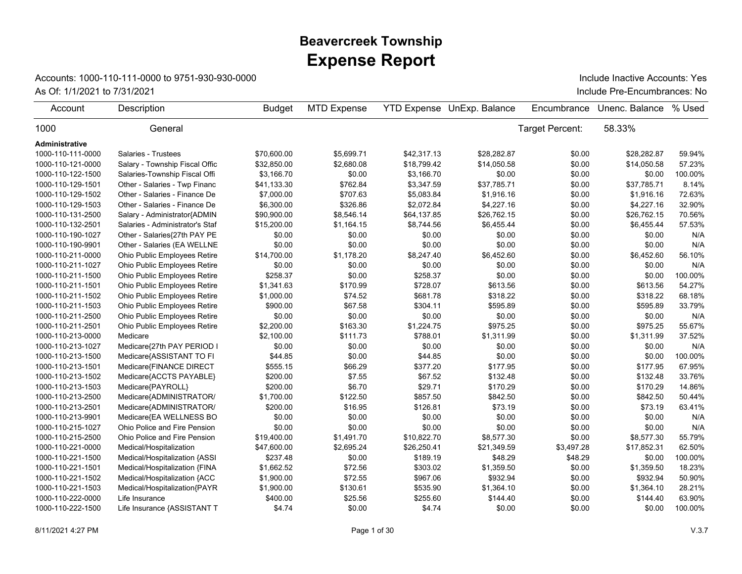## **Expense Report Beavercreek Township**

## Accounts: 1000-110-111-0000 to 9751-930-930-0000

As Of: 1/1/2021 to 7/31/2021 **Include Pre-Encumbrances: No** Include Inactive Accounts: Yes

| Account           | Description                     | <b>Budget</b> | <b>MTD Expense</b> |             | <b>YTD Expense UnExp. Balance</b> | Encumbrance     | Unenc. Balance | % Used  |
|-------------------|---------------------------------|---------------|--------------------|-------------|-----------------------------------|-----------------|----------------|---------|
| 1000              | General                         |               |                    |             |                                   | Target Percent: | 58.33%         |         |
| Administrative    |                                 |               |                    |             |                                   |                 |                |         |
| 1000-110-111-0000 | Salaries - Trustees             | \$70,600.00   | \$5,699.71         | \$42,317.13 | \$28,282.87                       | \$0.00          | \$28,282.87    | 59.94%  |
| 1000-110-121-0000 | Salary - Township Fiscal Offic  | \$32,850.00   | \$2,680.08         | \$18,799.42 | \$14,050.58                       | \$0.00          | \$14,050.58    | 57.23%  |
| 1000-110-122-1500 | Salaries-Township Fiscal Offi   | \$3,166.70    | \$0.00             | \$3,166.70  | \$0.00                            | \$0.00          | \$0.00         | 100.00% |
| 1000-110-129-1501 | Other - Salaries - Twp Financ   | \$41,133.30   | \$762.84           | \$3,347.59  | \$37,785.71                       | \$0.00          | \$37,785.71    | 8.14%   |
| 1000-110-129-1502 | Other - Salaries - Finance De   | \$7,000.00    | \$707.63           | \$5,083.84  | \$1,916.16                        | \$0.00          | \$1,916.16     | 72.63%  |
| 1000-110-129-1503 | Other - Salaries - Finance De   | \$6,300.00    | \$326.86           | \$2,072.84  | \$4,227.16                        | \$0.00          | \$4,227.16     | 32.90%  |
| 1000-110-131-2500 | Salary - Administrator{ADMIN    | \$90,900.00   | \$8,546.14         | \$64,137.85 | \$26,762.15                       | \$0.00          | \$26,762.15    | 70.56%  |
| 1000-110-132-2501 | Salaries - Administrator's Staf | \$15,200.00   | \$1,164.15         | \$8,744.56  | \$6,455.44                        | \$0.00          | \$6,455.44     | 57.53%  |
| 1000-110-190-1027 | Other - Salaries{27th PAY PE    | \$0.00        | \$0.00             | \$0.00      | \$0.00                            | \$0.00          | \$0.00         | N/A     |
| 1000-110-190-9901 | Other - Salaries (EA WELLNE     | \$0.00        | \$0.00             | \$0.00      | \$0.00                            | \$0.00          | \$0.00         | N/A     |
| 1000-110-211-0000 | Ohio Public Employees Retire    | \$14,700.00   | \$1,178.20         | \$8,247.40  | \$6,452.60                        | \$0.00          | \$6,452.60     | 56.10%  |
| 1000-110-211-1027 | Ohio Public Employees Retire    | \$0.00        | \$0.00             | \$0.00      | \$0.00                            | \$0.00          | \$0.00         | N/A     |
| 1000-110-211-1500 | Ohio Public Employees Retire    | \$258.37      | \$0.00             | \$258.37    | \$0.00                            | \$0.00          | \$0.00         | 100.00% |
| 1000-110-211-1501 | Ohio Public Employees Retire    | \$1,341.63    | \$170.99           | \$728.07    | \$613.56                          | \$0.00          | \$613.56       | 54.27%  |
| 1000-110-211-1502 | Ohio Public Employees Retire    | \$1,000.00    | \$74.52            | \$681.78    | \$318.22                          | \$0.00          | \$318.22       | 68.18%  |
| 1000-110-211-1503 | Ohio Public Employees Retire    | \$900.00      | \$67.58            | \$304.11    | \$595.89                          | \$0.00          | \$595.89       | 33.79%  |
| 1000-110-211-2500 | Ohio Public Employees Retire    | \$0.00        | \$0.00             | \$0.00      | \$0.00                            | \$0.00          | \$0.00         | N/A     |
| 1000-110-211-2501 | Ohio Public Employees Retire    | \$2,200.00    | \$163.30           | \$1,224.75  | \$975.25                          | \$0.00          | \$975.25       | 55.67%  |
| 1000-110-213-0000 | Medicare                        | \$2,100.00    | \$111.73           | \$788.01    | \$1,311.99                        | \$0.00          | \$1,311.99     | 37.52%  |
| 1000-110-213-1027 | Medicare{27th PAY PERIOD I      | \$0.00        | \$0.00             | \$0.00      | \$0.00                            | \$0.00          | \$0.00         | N/A     |
| 1000-110-213-1500 | Medicare{ASSISTANT TO FI        | \$44.85       | \$0.00             | \$44.85     | \$0.00                            | \$0.00          | \$0.00         | 100.00% |
| 1000-110-213-1501 | Medicare{FINANCE DIRECT         | \$555.15      | \$66.29            | \$377.20    | \$177.95                          | \$0.00          | \$177.95       | 67.95%  |
| 1000-110-213-1502 | Medicare{ACCTS PAYABLE}         | \$200.00      | \$7.55             | \$67.52     | \$132.48                          | \$0.00          | \$132.48       | 33.76%  |
| 1000-110-213-1503 | Medicare{PAYROLL}               | \$200.00      | \$6.70             | \$29.71     | \$170.29                          | \$0.00          | \$170.29       | 14.86%  |
| 1000-110-213-2500 | Medicare{ADMINISTRATOR/         | \$1,700.00    | \$122.50           | \$857.50    | \$842.50                          | \$0.00          | \$842.50       | 50.44%  |
| 1000-110-213-2501 | Medicare{ADMINISTRATOR/         | \$200.00      | \$16.95            | \$126.81    | \$73.19                           | \$0.00          | \$73.19        | 63.41%  |
| 1000-110-213-9901 | Medicare{EA WELLNESS BO         | \$0.00        | \$0.00             | \$0.00      | \$0.00                            | \$0.00          | \$0.00         | N/A     |
| 1000-110-215-1027 | Ohio Police and Fire Pension    | \$0.00        | \$0.00             | \$0.00      | \$0.00                            | \$0.00          | \$0.00         | N/A     |
| 1000-110-215-2500 | Ohio Police and Fire Pension    | \$19,400.00   | \$1,491.70         | \$10,822.70 | \$8,577.30                        | \$0.00          | \$8,577.30     | 55.79%  |
| 1000-110-221-0000 | Medical/Hospitalization         | \$47,600.00   | \$2,695.24         | \$26,250.41 | \$21,349.59                       | \$3,497.28      | \$17,852.31    | 62.50%  |
| 1000-110-221-1500 | Medical/Hospitalization {ASSI   | \$237.48      | \$0.00             | \$189.19    | \$48.29                           | \$48.29         | \$0.00         | 100.00% |
| 1000-110-221-1501 | Medical/Hospitalization {FINA   | \$1,662.52    | \$72.56            | \$303.02    | \$1,359.50                        | \$0.00          | \$1,359.50     | 18.23%  |
| 1000-110-221-1502 | Medical/Hospitalization {ACC    | \$1,900.00    | \$72.55            | \$967.06    | \$932.94                          | \$0.00          | \$932.94       | 50.90%  |
| 1000-110-221-1503 | Medical/Hospitalization{PAYR    | \$1,900.00    | \$130.61           | \$535.90    | \$1,364.10                        | \$0.00          | \$1,364.10     | 28.21%  |
| 1000-110-222-0000 | Life Insurance                  | \$400.00      | \$25.56            | \$255.60    | \$144.40                          | \$0.00          | \$144.40       | 63.90%  |
| 1000-110-222-1500 | Life Insurance {ASSISTANT T     | \$4.74        | \$0.00             | \$4.74      | \$0.00                            | \$0.00          | \$0.00         | 100.00% |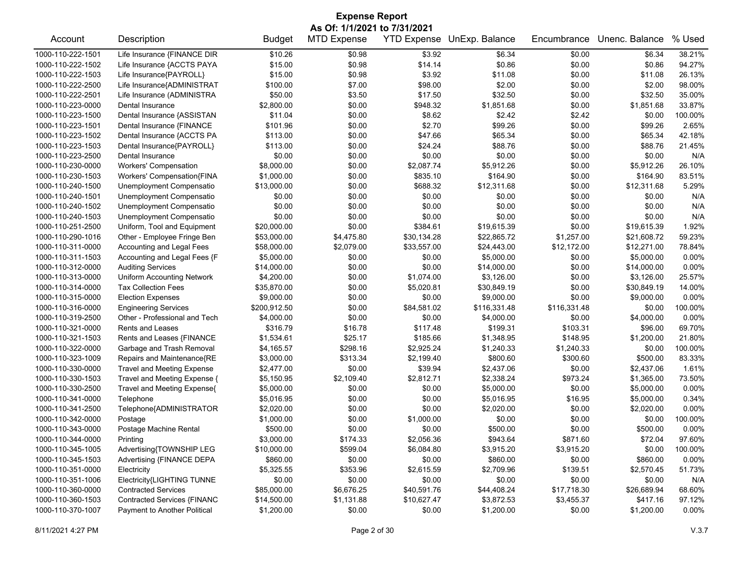| <b>Expense Report</b> |                                                            |               |                    |             |              |              |                |         |  |  |
|-----------------------|------------------------------------------------------------|---------------|--------------------|-------------|--------------|--------------|----------------|---------|--|--|
|                       | As Of: 1/1/2021 to 7/31/2021<br>YTD Expense UnExp. Balance |               |                    |             |              |              |                |         |  |  |
| Account               | Description                                                | <b>Budget</b> | <b>MTD Expense</b> |             |              | Encumbrance  | Unenc. Balance | % Used  |  |  |
| 1000-110-222-1501     | Life Insurance {FINANCE DIR                                | \$10.26       | \$0.98             | \$3.92      | \$6.34       | \$0.00       | \$6.34         | 38.21%  |  |  |
| 1000-110-222-1502     | Life Insurance {ACCTS PAYA                                 | \$15.00       | \$0.98             | \$14.14     | \$0.86       | \$0.00       | \$0.86         | 94.27%  |  |  |
| 1000-110-222-1503     | Life Insurance{PAYROLL}                                    | \$15.00       | \$0.98             | \$3.92      | \$11.08      | \$0.00       | \$11.08        | 26.13%  |  |  |
| 1000-110-222-2500     | Life Insurance{ADMINISTRAT                                 | \$100.00      | \$7.00             | \$98.00     | \$2.00       | \$0.00       | \$2.00         | 98.00%  |  |  |
| 1000-110-222-2501     | Life Insurance (ADMINISTRA                                 | \$50.00       | \$3.50             | \$17.50     | \$32.50      | \$0.00       | \$32.50        | 35.00%  |  |  |
| 1000-110-223-0000     | Dental Insurance                                           | \$2,800.00    | \$0.00             | \$948.32    | \$1,851.68   | \$0.00       | \$1,851.68     | 33.87%  |  |  |
| 1000-110-223-1500     | Dental Insurance {ASSISTAN                                 | \$11.04       | \$0.00             | \$8.62      | \$2.42       | \$2.42       | \$0.00         | 100.00% |  |  |
| 1000-110-223-1501     | Dental Insurance {FINANCE                                  | \$101.96      | \$0.00             | \$2.70      | \$99.26      | \$0.00       | \$99.26        | 2.65%   |  |  |
| 1000-110-223-1502     | Dental Insurance {ACCTS PA                                 | \$113.00      | \$0.00             | \$47.66     | \$65.34      | \$0.00       | \$65.34        | 42.18%  |  |  |
| 1000-110-223-1503     | Dental Insurance{PAYROLL}                                  | \$113.00      | \$0.00             | \$24.24     | \$88.76      | \$0.00       | \$88.76        | 21.45%  |  |  |
| 1000-110-223-2500     | Dental Insurance                                           | \$0.00        | \$0.00             | \$0.00      | \$0.00       | \$0.00       | \$0.00         | N/A     |  |  |
| 1000-110-230-0000     | <b>Workers' Compensation</b>                               | \$8,000.00    | \$0.00             | \$2,087.74  | \$5,912.26   | \$0.00       | \$5,912.26     | 26.10%  |  |  |
| 1000-110-230-1503     | Workers' Compensation{FINA                                 | \$1,000.00    | \$0.00             | \$835.10    | \$164.90     | \$0.00       | \$164.90       | 83.51%  |  |  |
| 1000-110-240-1500     | Unemployment Compensatio                                   | \$13,000.00   | \$0.00             | \$688.32    | \$12,311.68  | \$0.00       | \$12,311.68    | 5.29%   |  |  |
| 1000-110-240-1501     | Unemployment Compensatio                                   | \$0.00        | \$0.00             | \$0.00      | \$0.00       | \$0.00       | \$0.00         | N/A     |  |  |
| 1000-110-240-1502     | Unemployment Compensatio                                   | \$0.00        | \$0.00             | \$0.00      | \$0.00       | \$0.00       | \$0.00         | N/A     |  |  |
| 1000-110-240-1503     | Unemployment Compensatio                                   | \$0.00        | \$0.00             | \$0.00      | \$0.00       | \$0.00       | \$0.00         | N/A     |  |  |
| 1000-110-251-2500     | Uniform, Tool and Equipment                                | \$20,000.00   | \$0.00             | \$384.61    | \$19,615.39  | \$0.00       | \$19,615.39    | 1.92%   |  |  |
| 1000-110-290-1016     | Other - Employee Fringe Ben                                | \$53,000.00   | \$4,475.80         | \$30,134.28 | \$22,865.72  | \$1,257.00   | \$21,608.72    | 59.23%  |  |  |
| 1000-110-311-0000     | Accounting and Legal Fees                                  | \$58,000.00   | \$2,079.00         | \$33,557.00 | \$24,443.00  | \$12,172.00  | \$12,271.00    | 78.84%  |  |  |
| 1000-110-311-1503     | Accounting and Legal Fees {F                               | \$5,000.00    | \$0.00             | \$0.00      | \$5,000.00   | \$0.00       | \$5,000.00     | 0.00%   |  |  |
| 1000-110-312-0000     | <b>Auditing Services</b>                                   | \$14,000.00   | \$0.00             | \$0.00      | \$14,000.00  | \$0.00       | \$14,000.00    | 0.00%   |  |  |
| 1000-110-313-0000     | <b>Uniform Accounting Network</b>                          | \$4,200.00    | \$0.00             | \$1,074.00  | \$3,126.00   | \$0.00       | \$3,126.00     | 25.57%  |  |  |
| 1000-110-314-0000     | <b>Tax Collection Fees</b>                                 | \$35,870.00   | \$0.00             | \$5,020.81  | \$30,849.19  | \$0.00       | \$30,849.19    | 14.00%  |  |  |
| 1000-110-315-0000     | <b>Election Expenses</b>                                   | \$9,000.00    | \$0.00             | \$0.00      | \$9,000.00   | \$0.00       | \$9,000.00     | 0.00%   |  |  |
| 1000-110-316-0000     | <b>Engineering Services</b>                                | \$200,912.50  | \$0.00             | \$84,581.02 | \$116,331.48 | \$116,331.48 | \$0.00         | 100.00% |  |  |
| 1000-110-319-2500     | Other - Professional and Tech                              | \$4,000.00    | \$0.00             | \$0.00      | \$4,000.00   | \$0.00       | \$4,000.00     | 0.00%   |  |  |
| 1000-110-321-0000     | Rents and Leases                                           | \$316.79      | \$16.78            | \$117.48    | \$199.31     | \$103.31     | \$96.00        | 69.70%  |  |  |
| 1000-110-321-1503     | Rents and Leases {FINANCE                                  | \$1,534.61    | \$25.17            | \$185.66    | \$1,348.95   | \$148.95     | \$1,200.00     | 21.80%  |  |  |
| 1000-110-322-0000     | Garbage and Trash Removal                                  | \$4,165.57    | \$298.16           | \$2,925.24  | \$1,240.33   | \$1,240.33   | \$0.00         | 100.00% |  |  |
| 1000-110-323-1009     | Repairs and Maintenance{RE                                 | \$3,000.00    | \$313.34           | \$2,199.40  | \$800.60     | \$300.60     | \$500.00       | 83.33%  |  |  |
| 1000-110-330-0000     | <b>Travel and Meeting Expense</b>                          | \$2,477.00    | \$0.00             | \$39.94     | \$2,437.06   | \$0.00       | \$2,437.06     | 1.61%   |  |  |
| 1000-110-330-1503     | Travel and Meeting Expense {                               | \$5,150.95    | \$2,109.40         | \$2,812.71  | \$2,338.24   | \$973.24     | \$1,365.00     | 73.50%  |  |  |
| 1000-110-330-2500     | Travel and Meeting Expense{                                | \$5,000.00    | \$0.00             | \$0.00      | \$5,000.00   | \$0.00       | \$5,000.00     | 0.00%   |  |  |
| 1000-110-341-0000     | Telephone                                                  | \$5,016.95    | \$0.00             | \$0.00      | \$5,016.95   | \$16.95      | \$5,000.00     | 0.34%   |  |  |
| 1000-110-341-2500     | Telephone{ADMINISTRATOR                                    | \$2,020.00    | \$0.00             | \$0.00      | \$2,020.00   | \$0.00       | \$2,020.00     | 0.00%   |  |  |
| 1000-110-342-0000     | Postage                                                    | \$1,000.00    | \$0.00             | \$1,000.00  | \$0.00       | \$0.00       | \$0.00         | 100.00% |  |  |
| 1000-110-343-0000     | Postage Machine Rental                                     | \$500.00      | \$0.00             | \$0.00      | \$500.00     | \$0.00       | \$500.00       | 0.00%   |  |  |
| 1000-110-344-0000     | Printing                                                   | \$3,000.00    | \$174.33           | \$2,056.36  | \$943.64     | \$871.60     | \$72.04        | 97.60%  |  |  |
| 1000-110-345-1005     | Advertising{TOWNSHIP LEG                                   | \$10,000.00   | \$599.04           | \$6,084.80  | \$3,915.20   | \$3,915.20   | \$0.00         | 100.00% |  |  |
| 1000-110-345-1503     | Advertising {FINANCE DEPA                                  | \$860.00      | \$0.00             | \$0.00      | \$860.00     | \$0.00       | \$860.00       | 0.00%   |  |  |
| 1000-110-351-0000     | Electricity                                                | \$5,325.55    | \$353.96           | \$2,615.59  | \$2,709.96   | \$139.51     | \$2,570.45     | 51.73%  |  |  |
| 1000-110-351-1006     | Electricity{LIGHTING TUNNE                                 | \$0.00        | \$0.00             | \$0.00      | \$0.00       | \$0.00       | \$0.00         | N/A     |  |  |
| 1000-110-360-0000     | <b>Contracted Services</b>                                 | \$85,000.00   | \$6,676.25         | \$40,591.76 | \$44,408.24  | \$17,718.30  | \$26,689.94    | 68.60%  |  |  |
| 1000-110-360-1503     | Contracted Services {FINANC                                | \$14,500.00   | \$1,131.88         | \$10,627.47 | \$3,872.53   | \$3,455.37   | \$417.16       | 97.12%  |  |  |
| 1000-110-370-1007     | Payment to Another Political                               | \$1,200.00    | \$0.00             | \$0.00      | \$1,200.00   | \$0.00       | \$1,200.00     | 0.00%   |  |  |
|                       |                                                            |               |                    |             |              |              |                |         |  |  |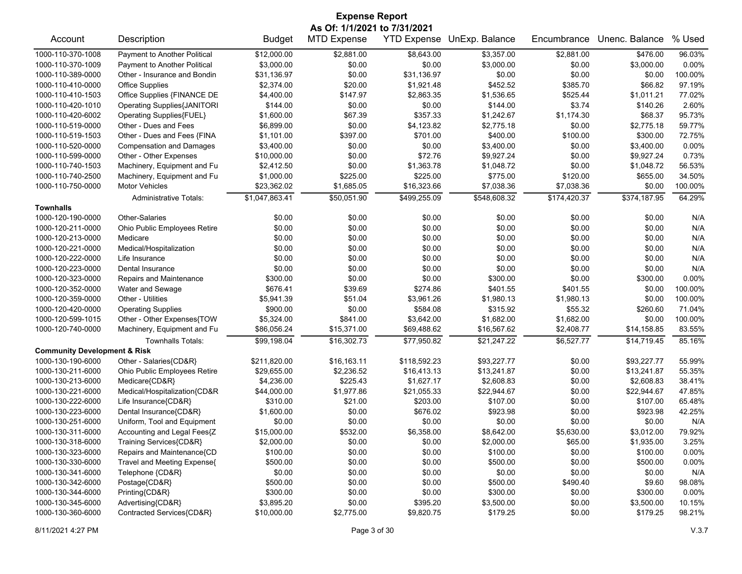| <b>Expense Report</b>                   |                                    |                |                              |              |                            |              |                |         |  |
|-----------------------------------------|------------------------------------|----------------|------------------------------|--------------|----------------------------|--------------|----------------|---------|--|
|                                         |                                    |                | As Of: 1/1/2021 to 7/31/2021 |              |                            |              |                |         |  |
| Account                                 | Description                        | <b>Budget</b>  | <b>MTD Expense</b>           |              | YTD Expense UnExp. Balance | Encumbrance  | Unenc. Balance | % Used  |  |
| 1000-110-370-1008                       | Payment to Another Political       | \$12,000.00    | \$2,881.00                   | \$8,643.00   | \$3,357.00                 | \$2,881.00   | \$476.00       | 96.03%  |  |
| 1000-110-370-1009                       | Payment to Another Political       | \$3,000.00     | \$0.00                       | \$0.00       | \$3,000.00                 | \$0.00       | \$3,000.00     | 0.00%   |  |
| 1000-110-389-0000                       | Other - Insurance and Bondin       | \$31,136.97    | \$0.00                       | \$31,136.97  | \$0.00                     | \$0.00       | \$0.00         | 100.00% |  |
| 1000-110-410-0000                       | <b>Office Supplies</b>             | \$2,374.00     | \$20.00                      | \$1,921.48   | \$452.52                   | \$385.70     | \$66.82        | 97.19%  |  |
| 1000-110-410-1503                       | Office Supplies {FINANCE DE        | \$4,400.00     | \$147.97                     | \$2,863.35   | \$1,536.65                 | \$525.44     | \$1,011.21     | 77.02%  |  |
| 1000-110-420-1010                       | <b>Operating Supplies{JANITORI</b> | \$144.00       | \$0.00                       | \$0.00       | \$144.00                   | \$3.74       | \$140.26       | 2.60%   |  |
| 1000-110-420-6002                       | Operating Supplies{FUEL}           | \$1,600.00     | \$67.39                      | \$357.33     | \$1,242.67                 | \$1,174.30   | \$68.37        | 95.73%  |  |
| 1000-110-519-0000                       | Other - Dues and Fees              | \$6,899.00     | \$0.00                       | \$4,123.82   | \$2,775.18                 | \$0.00       | \$2,775.18     | 59.77%  |  |
| 1000-110-519-1503                       | Other - Dues and Fees {FINA        | \$1,101.00     | \$397.00                     | \$701.00     | \$400.00                   | \$100.00     | \$300.00       | 72.75%  |  |
| 1000-110-520-0000                       | <b>Compensation and Damages</b>    | \$3,400.00     | \$0.00                       | \$0.00       | \$3,400.00                 | \$0.00       | \$3,400.00     | 0.00%   |  |
| 1000-110-599-0000                       | Other - Other Expenses             | \$10,000.00    | \$0.00                       | \$72.76      | \$9,927.24                 | \$0.00       | \$9,927.24     | 0.73%   |  |
| 1000-110-740-1503                       | Machinery, Equipment and Fu        | \$2,412.50     | \$0.00                       | \$1,363.78   | \$1,048.72                 | \$0.00       | \$1,048.72     | 56.53%  |  |
| 1000-110-740-2500                       | Machinery, Equipment and Fu        | \$1,000.00     | \$225.00                     | \$225.00     | \$775.00                   | \$120.00     | \$655.00       | 34.50%  |  |
| 1000-110-750-0000                       | <b>Motor Vehicles</b>              | \$23,362.02    | \$1,685.05                   | \$16,323.66  | \$7,038.36                 | \$7,038.36   | \$0.00         | 100.00% |  |
|                                         | <b>Administrative Totals:</b>      | \$1,047,863.41 | \$50,051.90                  | \$499,255.09 | \$548,608.32               | \$174,420.37 | \$374,187.95   | 64.29%  |  |
| <b>Townhalls</b>                        |                                    |                |                              |              |                            |              |                |         |  |
| 1000-120-190-0000                       | <b>Other-Salaries</b>              | \$0.00         | \$0.00                       | \$0.00       | \$0.00                     | \$0.00       | \$0.00         | N/A     |  |
| 1000-120-211-0000                       | Ohio Public Employees Retire       | \$0.00         | \$0.00                       | \$0.00       | \$0.00                     | \$0.00       | \$0.00         | N/A     |  |
| 1000-120-213-0000                       | Medicare                           | \$0.00         | \$0.00                       | \$0.00       | \$0.00                     | \$0.00       | \$0.00         | N/A     |  |
| 1000-120-221-0000                       | Medical/Hospitalization            | \$0.00         | \$0.00                       | \$0.00       | \$0.00                     | \$0.00       | \$0.00         | N/A     |  |
| 1000-120-222-0000                       | Life Insurance                     | \$0.00         | \$0.00                       | \$0.00       | \$0.00                     | \$0.00       | \$0.00         | N/A     |  |
| 1000-120-223-0000                       | Dental Insurance                   | \$0.00         | \$0.00                       | \$0.00       | \$0.00                     | \$0.00       | \$0.00         | N/A     |  |
| 1000-120-323-0000                       | Repairs and Maintenance            | \$300.00       | \$0.00                       | \$0.00       | \$300.00                   | \$0.00       | \$300.00       | 0.00%   |  |
| 1000-120-352-0000                       | Water and Sewage                   | \$676.41       | \$39.69                      | \$274.86     | \$401.55                   | \$401.55     | \$0.00         | 100.00% |  |
| 1000-120-359-0000                       | Other - Utilities                  | \$5,941.39     | \$51.04                      | \$3,961.26   | \$1,980.13                 | \$1,980.13   | \$0.00         | 100.00% |  |
| 1000-120-420-0000                       | <b>Operating Supplies</b>          | \$900.00       | \$0.00                       | \$584.08     | \$315.92                   | \$55.32      | \$260.60       | 71.04%  |  |
| 1000-120-599-1015                       | Other - Other Expenses{TOW         | \$5,324.00     | \$841.00                     | \$3,642.00   | \$1,682.00                 | \$1,682.00   | \$0.00         | 100.00% |  |
| 1000-120-740-0000                       | Machinery, Equipment and Fu        | \$86,056.24    | \$15,371.00                  | \$69,488.62  | \$16,567.62                | \$2,408.77   | \$14,158.85    | 83.55%  |  |
|                                         | <b>Townhalls Totals:</b>           | \$99,198.04    | \$16,302.73                  | \$77,950.82  | \$21,247.22                | \$6,527.77   | \$14,719.45    | 85.16%  |  |
| <b>Community Development &amp; Risk</b> |                                    |                |                              |              |                            |              |                |         |  |
| 1000-130-190-6000                       | Other - Salaries{CD&R}             | \$211,820.00   | \$16,163.11                  | \$118,592.23 | \$93,227.77                | \$0.00       | \$93,227.77    | 55.99%  |  |
| 1000-130-211-6000                       | Ohio Public Employees Retire       | \$29,655.00    | \$2,236.52                   | \$16,413.13  | \$13,241.87                | \$0.00       | \$13,241.87    | 55.35%  |  |
| 1000-130-213-6000                       | Medicare{CD&R}                     | \$4,236.00     | \$225.43                     | \$1,627.17   | \$2,608.83                 | \$0.00       | \$2,608.83     | 38.41%  |  |
| 1000-130-221-6000                       | Medical/Hospitalization{CD&R       | \$44,000.00    | \$1,977.86                   | \$21,055.33  | \$22,944.67                | \$0.00       | \$22,944.67    | 47.85%  |  |
| 1000-130-222-6000                       | Life Insurance{CD&R}               | \$310.00       | \$21.00                      | \$203.00     | \$107.00                   | \$0.00       | \$107.00       | 65.48%  |  |
| 1000-130-223-6000                       | Dental Insurance{CD&R}             | \$1,600.00     | \$0.00                       | \$676.02     | \$923.98                   | \$0.00       | \$923.98       | 42.25%  |  |
| 1000-130-251-6000                       | Uniform, Tool and Equipment        | \$0.00         | \$0.00                       | \$0.00       | \$0.00                     | \$0.00       | \$0.00         | N/A     |  |
| 1000-130-311-6000                       | Accounting and Legal Fees{Z        | \$15,000.00    | \$532.00                     | \$6,358.00   | \$8,642.00                 | \$5,630.00   | \$3,012.00     | 79.92%  |  |
| 1000-130-318-6000                       | Training Services{CD&R}            | \$2,000.00     | \$0.00                       | \$0.00       | \$2,000.00                 | \$65.00      | \$1,935.00     | 3.25%   |  |
| 1000-130-323-6000                       | Repairs and Maintenance{CD         | \$100.00       | \$0.00                       | \$0.00       | \$100.00                   | \$0.00       | \$100.00       | 0.00%   |  |
| 1000-130-330-6000                       | Travel and Meeting Expense{        | \$500.00       | \$0.00                       | \$0.00       | \$500.00                   | \$0.00       | \$500.00       | 0.00%   |  |
| 1000-130-341-6000                       | Telephone {CD&R}                   | \$0.00         | \$0.00                       | \$0.00       | \$0.00                     | \$0.00       | \$0.00         | N/A     |  |
| 1000-130-342-6000                       | Postage{CD&R}                      | \$500.00       | \$0.00                       | \$0.00       | \$500.00                   | \$490.40     | \$9.60         | 98.08%  |  |
| 1000-130-344-6000                       | Printing{CD&R}                     | \$300.00       | \$0.00                       | \$0.00       | \$300.00                   | \$0.00       | \$300.00       | 0.00%   |  |
| 1000-130-345-6000                       | Advertising{CD&R}                  | \$3,895.20     | \$0.00                       | \$395.20     | \$3,500.00                 | \$0.00       | \$3,500.00     | 10.15%  |  |
| 1000-130-360-6000                       | Contracted Services{CD&R}          | \$10,000.00    | \$2,775.00                   | \$9,820.75   | \$179.25                   | \$0.00       | \$179.25       | 98.21%  |  |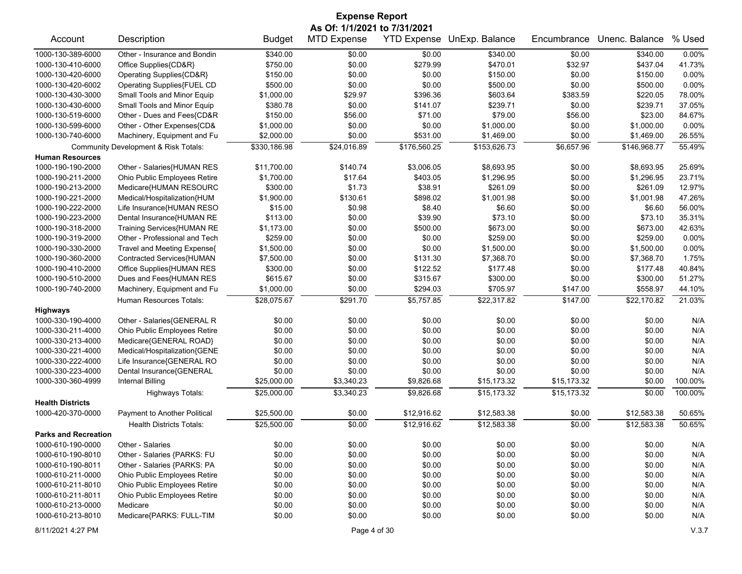| <b>Expense Report</b>       |                                      |               |                    |              |                            |             |                |         |  |
|-----------------------------|--------------------------------------|---------------|--------------------|--------------|----------------------------|-------------|----------------|---------|--|
|                             | As Of: 1/1/2021 to 7/31/2021         |               |                    |              |                            |             |                |         |  |
| Account                     | Description                          | <b>Budget</b> | <b>MTD Expense</b> |              | YTD Expense UnExp. Balance | Encumbrance | Unenc. Balance | % Used  |  |
| 1000-130-389-6000           | Other - Insurance and Bondin         | \$340.00      | \$0.00             | \$0.00       | \$340.00                   | \$0.00      | \$340.00       | 0.00%   |  |
| 1000-130-410-6000           | Office Supplies{CD&R}                | \$750.00      | \$0.00             | \$279.99     | \$470.01                   | \$32.97     | \$437.04       | 41.73%  |  |
| 1000-130-420-6000           | Operating Supplies{CD&R}             | \$150.00      | \$0.00             | \$0.00       | \$150.00                   | \$0.00      | \$150.00       | 0.00%   |  |
| 1000-130-420-6002           | Operating Supplies{FUEL CD           | \$500.00      | \$0.00             | \$0.00       | \$500.00                   | \$0.00      | \$500.00       | 0.00%   |  |
| 1000-130-430-3000           | Small Tools and Minor Equip          | \$1,000.00    | \$29.97            | \$396.36     | \$603.64                   | \$383.59    | \$220.05       | 78.00%  |  |
| 1000-130-430-6000           | Small Tools and Minor Equip          | \$380.78      | \$0.00             | \$141.07     | \$239.71                   | \$0.00      | \$239.71       | 37.05%  |  |
| 1000-130-519-6000           | Other - Dues and Fees{CD&R           | \$150.00      | \$56.00            | \$71.00      | \$79.00                    | \$56.00     | \$23.00        | 84.67%  |  |
| 1000-130-599-6000           | Other - Other Expenses{CD&           | \$1,000.00    | \$0.00             | \$0.00       | \$1,000.00                 | \$0.00      | \$1,000.00     | 0.00%   |  |
| 1000-130-740-6000           | Machinery, Equipment and Fu          | \$2,000.00    | \$0.00             | \$531.00     | \$1,469.00                 | \$0.00      | \$1,469.00     | 26.55%  |  |
|                             | Community Development & Risk Totals: | \$330,186.98  | \$24,016.89        | \$176,560.25 | \$153,626.73               | \$6,657.96  | \$146,968.77   | 55.49%  |  |
| <b>Human Resources</b>      |                                      |               |                    |              |                            |             |                |         |  |
| 1000-190-190-2000           | Other - Salaries{HUMAN RES           | \$11,700.00   | \$140.74           | \$3,006.05   | \$8,693.95                 | \$0.00      | \$8,693.95     | 25.69%  |  |
| 1000-190-211-2000           | Ohio Public Employees Retire         | \$1,700.00    | \$17.64            | \$403.05     | \$1,296.95                 | \$0.00      | \$1,296.95     | 23.71%  |  |
| 1000-190-213-2000           | Medicare{HUMAN RESOURC               | \$300.00      | \$1.73             | \$38.91      | \$261.09                   | \$0.00      | \$261.09       | 12.97%  |  |
| 1000-190-221-2000           | Medical/Hospitalization{HUM          | \$1,900.00    | \$130.61           | \$898.02     | \$1,001.98                 | \$0.00      | \$1,001.98     | 47.26%  |  |
| 1000-190-222-2000           | Life Insurance{HUMAN RESO            | \$15.00       | \$0.98             | \$8.40       | \$6.60                     | \$0.00      | \$6.60         | 56.00%  |  |
| 1000-190-223-2000           | Dental Insurance{HUMAN RE            | \$113.00      | \$0.00             | \$39.90      | \$73.10                    | \$0.00      | \$73.10        | 35.31%  |  |
| 1000-190-318-2000           | Training Services{HUMAN RE           | \$1,173.00    | \$0.00             | \$500.00     | \$673.00                   | \$0.00      | \$673.00       | 42.63%  |  |
| 1000-190-319-2000           | Other - Professional and Tech        | \$259.00      | \$0.00             | \$0.00       | \$259.00                   | \$0.00      | \$259.00       | 0.00%   |  |
| 1000-190-330-2000           | Travel and Meeting Expense{          | \$1,500.00    | \$0.00             | \$0.00       | \$1,500.00                 | \$0.00      | \$1,500.00     | 0.00%   |  |
| 1000-190-360-2000           | Contracted Services{HUMAN            | \$7,500.00    | \$0.00             | \$131.30     | \$7,368.70                 | \$0.00      | \$7,368.70     | 1.75%   |  |
| 1000-190-410-2000           | Office Supplies{HUMAN RES            | \$300.00      | \$0.00             | \$122.52     | \$177.48                   | \$0.00      | \$177.48       | 40.84%  |  |
| 1000-190-510-2000           | Dues and Fees{HUMAN RES              | \$615.67      | \$0.00             | \$315.67     | \$300.00                   | \$0.00      | \$300.00       | 51.27%  |  |
| 1000-190-740-2000           | Machinery, Equipment and Fu          | \$1,000.00    | \$0.00             | \$294.03     | \$705.97                   | \$147.00    | \$558.97       | 44.10%  |  |
|                             | Human Resources Totals:              | \$28,075.67   | \$291.70           | \$5,757.85   | \$22,317.82                | \$147.00    | \$22,170.82    | 21.03%  |  |
| <b>Highways</b>             |                                      |               |                    |              |                            |             |                |         |  |
| 1000-330-190-4000           | Other - Salaries{GENERAL R           | \$0.00        | \$0.00             | \$0.00       | \$0.00                     | \$0.00      | \$0.00         | N/A     |  |
| 1000-330-211-4000           | Ohio Public Employees Retire         | \$0.00        | \$0.00             | \$0.00       | \$0.00                     | \$0.00      | \$0.00         | N/A     |  |
| 1000-330-213-4000           | Medicare{GENERAL ROAD}               | \$0.00        | \$0.00             | \$0.00       | \$0.00                     | \$0.00      | \$0.00         | N/A     |  |
| 1000-330-221-4000           | Medical/Hospitalization{GENE         | \$0.00        | \$0.00             | \$0.00       | \$0.00                     | \$0.00      | \$0.00         | N/A     |  |
| 1000-330-222-4000           | Life Insurance{GENERAL RO            | \$0.00        | \$0.00             | \$0.00       | \$0.00                     | \$0.00      | \$0.00         | N/A     |  |
| 1000-330-223-4000           | Dental Insurance{GENERAL             | \$0.00        | \$0.00             | \$0.00       | \$0.00                     | \$0.00      | \$0.00         | N/A     |  |
| 1000-330-360-4999           | <b>Internal Billing</b>              | \$25,000.00   | \$3,340.23         | \$9,826.68   | \$15,173.32                | \$15,173.32 | \$0.00         | 100.00% |  |
|                             | <b>Highways Totals:</b>              | \$25,000.00   | \$3,340.23         | \$9,826.68   | \$15,173.32                | \$15,173.32 | \$0.00         | 100.00% |  |
| <b>Health Districts</b>     |                                      |               |                    |              |                            |             |                |         |  |
| 1000-420-370-0000           | Payment to Another Political         | \$25,500.00   | \$0.00             | \$12,916.62  | \$12,583.38                | \$0.00      | \$12,583.38    | 50.65%  |  |
|                             | <b>Health Districts Totals:</b>      | \$25,500.00   | \$0.00             | \$12,916.62  | \$12,583.38                | \$0.00      | \$12,583.38    | 50.65%  |  |
| <b>Parks and Recreation</b> |                                      |               |                    |              |                            |             |                |         |  |
| 1000-610-190-0000           | Other - Salaries                     | \$0.00        | \$0.00             | \$0.00       | \$0.00                     | \$0.00      | \$0.00         | N/A     |  |
| 1000-610-190-8010           | Other - Salaries {PARKS: FU          | \$0.00        | \$0.00             | \$0.00       | \$0.00                     | \$0.00      | \$0.00         | N/A     |  |
| 1000-610-190-8011           | Other - Salaries {PARKS: PA          | \$0.00        | \$0.00             | \$0.00       | \$0.00                     | \$0.00      | \$0.00         | N/A     |  |
| 1000-610-211-0000           | Ohio Public Employees Retire         | \$0.00        | \$0.00             | \$0.00       | \$0.00                     | \$0.00      | \$0.00         | N/A     |  |
| 1000-610-211-8010           | Ohio Public Employees Retire         | \$0.00        | \$0.00             | \$0.00       | \$0.00                     | \$0.00      | \$0.00         | N/A     |  |
| 1000-610-211-8011           | Ohio Public Employees Retire         | \$0.00        | \$0.00             | \$0.00       | \$0.00                     | \$0.00      | \$0.00         | N/A     |  |
| 1000-610-213-0000           | Medicare                             | \$0.00        | \$0.00             | \$0.00       | \$0.00                     | \$0.00      | \$0.00         | N/A     |  |
| 1000-610-213-8010           | Medicare{PARKS: FULL-TIM             | \$0.00        | \$0.00             | \$0.00       | \$0.00                     | \$0.00      | \$0.00         | N/A     |  |
|                             |                                      |               |                    |              |                            |             |                |         |  |

8/11/2021 4:27 PM Page 4 of 30 V.3.7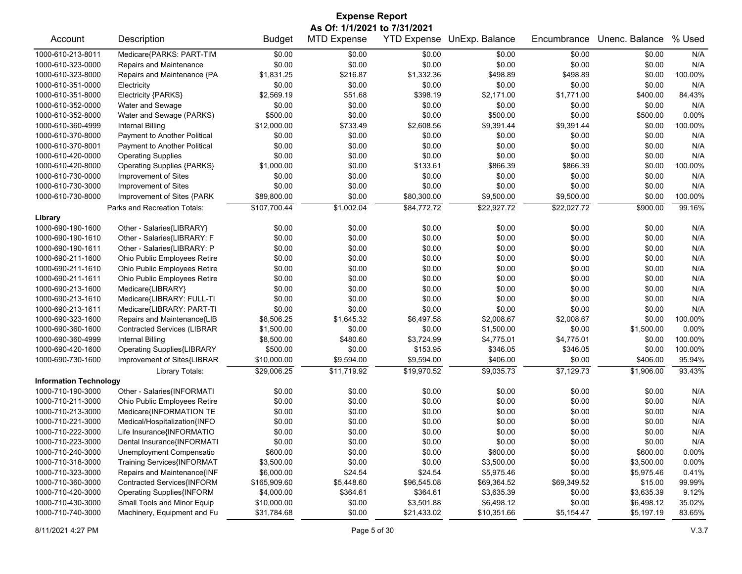| <b>Expense Report</b>         |                                    |               |                              |             |                            |             |                |         |  |
|-------------------------------|------------------------------------|---------------|------------------------------|-------------|----------------------------|-------------|----------------|---------|--|
|                               |                                    |               | As Of: 1/1/2021 to 7/31/2021 |             |                            |             |                |         |  |
| Account                       | Description                        | <b>Budget</b> | <b>MTD Expense</b>           |             | YTD Expense UnExp. Balance | Encumbrance | Unenc. Balance | % Used  |  |
| 1000-610-213-8011             | Medicare{PARKS: PART-TIM           | \$0.00        | \$0.00                       | \$0.00      | \$0.00                     | \$0.00      | \$0.00         | N/A     |  |
| 1000-610-323-0000             | Repairs and Maintenance            | \$0.00        | \$0.00                       | \$0.00      | \$0.00                     | \$0.00      | \$0.00         | N/A     |  |
| 1000-610-323-8000             | Repairs and Maintenance {PA        | \$1,831.25    | \$216.87                     | \$1,332.36  | \$498.89                   | \$498.89    | \$0.00         | 100.00% |  |
| 1000-610-351-0000             | Electricity                        | \$0.00        | \$0.00                       | \$0.00      | \$0.00                     | \$0.00      | \$0.00         | N/A     |  |
| 1000-610-351-8000             | Electricity {PARKS}                | \$2,569.19    | \$51.68                      | \$398.19    | \$2,171.00                 | \$1,771.00  | \$400.00       | 84.43%  |  |
| 1000-610-352-0000             | Water and Sewage                   | \$0.00        | \$0.00                       | \$0.00      | \$0.00                     | \$0.00      | \$0.00         | N/A     |  |
| 1000-610-352-8000             | Water and Sewage (PARKS)           | \$500.00      | \$0.00                       | \$0.00      | \$500.00                   | \$0.00      | \$500.00       | 0.00%   |  |
| 1000-610-360-4999             | <b>Internal Billing</b>            | \$12,000.00   | \$733.49                     | \$2,608.56  | \$9,391.44                 | \$9,391.44  | \$0.00         | 100.00% |  |
| 1000-610-370-8000             | Payment to Another Political       | \$0.00        | \$0.00                       | \$0.00      | \$0.00                     | \$0.00      | \$0.00         | N/A     |  |
| 1000-610-370-8001             | Payment to Another Political       | \$0.00        | \$0.00                       | \$0.00      | \$0.00                     | \$0.00      | \$0.00         | N/A     |  |
| 1000-610-420-0000             | <b>Operating Supplies</b>          | \$0.00        | \$0.00                       | \$0.00      | \$0.00                     | \$0.00      | \$0.00         | N/A     |  |
| 1000-610-420-8000             | <b>Operating Supplies {PARKS}</b>  | \$1,000.00    | \$0.00                       | \$133.61    | \$866.39                   | \$866.39    | \$0.00         | 100.00% |  |
| 1000-610-730-0000             | Improvement of Sites               | \$0.00        | \$0.00                       | \$0.00      | \$0.00                     | \$0.00      | \$0.00         | N/A     |  |
| 1000-610-730-3000             | Improvement of Sites               | \$0.00        | \$0.00                       | \$0.00      | \$0.00                     | \$0.00      | \$0.00         | N/A     |  |
| 1000-610-730-8000             | Improvement of Sites {PARK         | \$89,800.00   | \$0.00                       | \$80,300.00 | \$9,500.00                 | \$9,500.00  | \$0.00         | 100.00% |  |
|                               | Parks and Recreation Totals:       | \$107,700.44  | \$1,002.04                   | \$84,772.72 | \$22,927.72                | \$22,027.72 | \$900.00       | 99.16%  |  |
| Library                       |                                    |               |                              |             |                            |             |                |         |  |
| 1000-690-190-1600             | Other - Salaries{LIBRARY}          | \$0.00        | \$0.00                       | \$0.00      | \$0.00                     | \$0.00      | \$0.00         | N/A     |  |
| 1000-690-190-1610             | Other - Salaries{LIBRARY: F        | \$0.00        | \$0.00                       | \$0.00      | \$0.00                     | \$0.00      | \$0.00         | N/A     |  |
| 1000-690-190-1611             | Other - Salaries{LIBRARY: P        | \$0.00        | \$0.00                       | \$0.00      | \$0.00                     | \$0.00      | \$0.00         | N/A     |  |
| 1000-690-211-1600             | Ohio Public Employees Retire       | \$0.00        | \$0.00                       | \$0.00      | \$0.00                     | \$0.00      | \$0.00         | N/A     |  |
| 1000-690-211-1610             | Ohio Public Employees Retire       | \$0.00        | \$0.00                       | \$0.00      | \$0.00                     | \$0.00      | \$0.00         | N/A     |  |
| 1000-690-211-1611             | Ohio Public Employees Retire       | \$0.00        | \$0.00                       | \$0.00      | \$0.00                     | \$0.00      | \$0.00         | N/A     |  |
| 1000-690-213-1600             | Medicare{LIBRARY}                  | \$0.00        | \$0.00                       | \$0.00      | \$0.00                     | \$0.00      | \$0.00         | N/A     |  |
| 1000-690-213-1610             | Medicare{LIBRARY: FULL-TI          | \$0.00        | \$0.00                       | \$0.00      | \$0.00                     | \$0.00      | \$0.00         | N/A     |  |
| 1000-690-213-1611             | Medicare{LIBRARY: PART-TI          | \$0.00        | \$0.00                       | \$0.00      | \$0.00                     | \$0.00      | \$0.00         | N/A     |  |
| 1000-690-323-1600             | Repairs and Maintenance{LIB        | \$8,506.25    | \$1,645.32                   | \$6,497.58  | \$2,008.67                 | \$2,008.67  | \$0.00         | 100.00% |  |
| 1000-690-360-1600             | <b>Contracted Services (LIBRAR</b> | \$1,500.00    | \$0.00                       | \$0.00      | \$1,500.00                 | \$0.00      | \$1,500.00     | 0.00%   |  |
| 1000-690-360-4999             | <b>Internal Billing</b>            | \$8,500.00    | \$480.60                     | \$3,724.99  | \$4,775.01                 | \$4,775.01  | \$0.00         | 100.00% |  |
| 1000-690-420-1600             | <b>Operating Supplies{LIBRARY</b>  | \$500.00      | \$0.00                       | \$153.95    | \$346.05                   | \$346.05    | \$0.00         | 100.00% |  |
| 1000-690-730-1600             | Improvement of Sites{LIBRAR        | \$10,000.00   | \$9,594.00                   | \$9,594.00  | \$406.00                   | \$0.00      | \$406.00       | 95.94%  |  |
|                               | Library Totals:                    | \$29,006.25   | \$11,719.92                  | \$19,970.52 | \$9,035.73                 | \$7,129.73  | \$1,906.00     | 93.43%  |  |
| <b>Information Technology</b> |                                    |               |                              |             |                            |             |                |         |  |
| 1000-710-190-3000             | Other - Salaries{INFORMATI         | \$0.00        | \$0.00                       | \$0.00      | \$0.00                     | \$0.00      | \$0.00         | N/A     |  |
| 1000-710-211-3000             | Ohio Public Employees Retire       | \$0.00        | \$0.00                       | \$0.00      | \$0.00                     | \$0.00      | \$0.00         | N/A     |  |
| 1000-710-213-3000             | Medicare{INFORMATION TE            | \$0.00        | \$0.00                       | \$0.00      | \$0.00                     | \$0.00      | \$0.00         | N/A     |  |
| 1000-710-221-3000             | Medical/Hospitalization{INFO       | \$0.00        | \$0.00                       | \$0.00      | \$0.00                     | \$0.00      | \$0.00         | N/A     |  |
| 1000-710-222-3000             | Life Insurance{INFORMATIO          | \$0.00        | \$0.00                       | \$0.00      | \$0.00                     | \$0.00      | \$0.00         | N/A     |  |
| 1000-710-223-3000             | Dental Insurance{INFORMATI         | \$0.00        | \$0.00                       | \$0.00      | \$0.00                     | \$0.00      | \$0.00         | N/A     |  |
| 1000-710-240-3000             | Unemployment Compensatio           | \$600.00      | \$0.00                       | \$0.00      | \$600.00                   | \$0.00      | \$600.00       | 0.00%   |  |
| 1000-710-318-3000             | Training Services{INFORMAT         | \$3,500.00    | \$0.00                       | \$0.00      | \$3,500.00                 | \$0.00      | \$3,500.00     | 0.00%   |  |
| 1000-710-323-3000             | Repairs and Maintenance{INF        | \$6,000.00    | \$24.54                      | \$24.54     | \$5,975.46                 | \$0.00      | \$5,975.46     | 0.41%   |  |
| 1000-710-360-3000             | Contracted Services{INFORM         | \$165,909.60  | \$5,448.60                   | \$96,545.08 | \$69,364.52                | \$69,349.52 | \$15.00        | 99.99%  |  |
| 1000-710-420-3000             | <b>Operating Supplies{INFORM</b>   | \$4,000.00    | \$364.61                     | \$364.61    | \$3,635.39                 | \$0.00      | \$3,635.39     | 9.12%   |  |
| 1000-710-430-3000             | Small Tools and Minor Equip        | \$10,000.00   | \$0.00                       | \$3,501.88  | \$6,498.12                 | \$0.00      | \$6,498.12     | 35.02%  |  |
| 1000-710-740-3000             | Machinery, Equipment and Fu        |               |                              |             |                            |             |                |         |  |
|                               |                                    | \$31,784.68   | \$0.00                       | \$21,433.02 | \$10,351.66                | \$5,154.47  | \$5,197.19     | 83.65%  |  |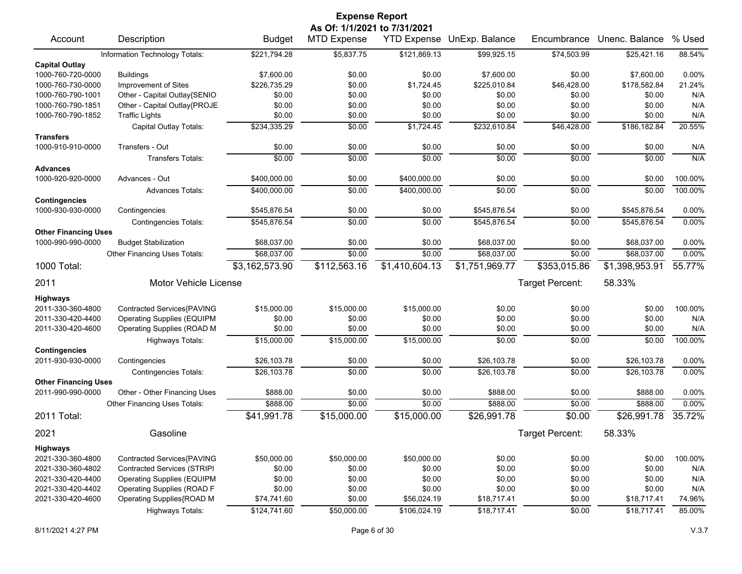| <b>Expense Report</b>                     |                                    |                |                              |                |                            |                 |                |         |  |  |
|-------------------------------------------|------------------------------------|----------------|------------------------------|----------------|----------------------------|-----------------|----------------|---------|--|--|
|                                           |                                    |                | As Of: 1/1/2021 to 7/31/2021 |                |                            |                 |                |         |  |  |
| Account                                   | Description                        | <b>Budget</b>  | <b>MTD Expense</b>           |                | YTD Expense UnExp. Balance | Encumbrance     | Unenc. Balance | % Used  |  |  |
|                                           | Information Technology Totals:     | \$221,794.28   | \$5,837.75                   | \$121,869.13   | \$99,925.15                | \$74,503.99     | \$25,421.16    | 88.54%  |  |  |
| <b>Capital Outlay</b>                     |                                    |                |                              |                |                            |                 |                |         |  |  |
| 1000-760-720-0000                         | <b>Buildings</b>                   | \$7,600.00     | \$0.00                       | \$0.00         | \$7,600.00                 | \$0.00          | \$7,600.00     | 0.00%   |  |  |
| 1000-760-730-0000                         | Improvement of Sites               | \$226,735.29   | \$0.00                       | \$1,724.45     | \$225,010.84               | \$46,428.00     | \$178,582.84   | 21.24%  |  |  |
| 1000-760-790-1001                         | Other - Capital Outlay{SENIO       | \$0.00         | \$0.00                       | \$0.00         | \$0.00                     | \$0.00          | \$0.00         | N/A     |  |  |
| 1000-760-790-1851                         | Other - Capital Outlay{PROJE       | \$0.00         | \$0.00                       | \$0.00         | \$0.00                     | \$0.00          | \$0.00         | N/A     |  |  |
| 1000-760-790-1852                         | <b>Traffic Lights</b>              | \$0.00         | \$0.00                       | \$0.00         | \$0.00                     | \$0.00          | \$0.00         | N/A     |  |  |
|                                           | Capital Outlay Totals:             | \$234,335.29   | \$0.00                       | \$1,724.45     | \$232,610.84               | \$46,428.00     | \$186,182.84   | 20.55%  |  |  |
| <b>Transfers</b>                          |                                    |                |                              |                |                            |                 |                |         |  |  |
| 1000-910-910-0000                         | Transfers - Out                    | \$0.00         | \$0.00                       | \$0.00         | \$0.00                     | \$0.00          | \$0.00         | N/A     |  |  |
|                                           | <b>Transfers Totals:</b>           | \$0.00         | \$0.00                       | \$0.00         | \$0.00                     | \$0.00          | \$0.00         | N/A     |  |  |
| <b>Advances</b>                           |                                    |                |                              |                |                            |                 |                |         |  |  |
| 1000-920-920-0000                         | Advances - Out                     | \$400,000.00   | \$0.00                       | \$400,000.00   | \$0.00                     | \$0.00          | \$0.00         | 100.00% |  |  |
|                                           | <b>Advances Totals:</b>            | \$400,000.00   | \$0.00                       | \$400,000.00   | \$0.00                     | \$0.00          | \$0.00         | 100.00% |  |  |
| <b>Contingencies</b><br>1000-930-930-0000 | Contingencies                      | \$545,876.54   | \$0.00                       | \$0.00         | \$545,876.54               | \$0.00          | \$545,876.54   | 0.00%   |  |  |
|                                           | <b>Contingencies Totals:</b>       | \$545,876.54   | \$0.00                       | \$0.00         | \$545,876.54               | \$0.00          | \$545,876.54   | 0.00%   |  |  |
| <b>Other Financing Uses</b>               |                                    |                |                              |                |                            |                 |                |         |  |  |
| 1000-990-990-0000                         | <b>Budget Stabilization</b>        | \$68,037.00    | \$0.00                       | \$0.00         | \$68,037.00                | \$0.00          | \$68,037.00    | 0.00%   |  |  |
|                                           | Other Financing Uses Totals:       | \$68,037.00    | \$0.00                       | \$0.00         | \$68,037.00                | \$0.00          | \$68,037.00    | 0.00%   |  |  |
| 1000 Total:                               |                                    | \$3,162,573.90 | \$112,563.16                 | \$1,410,604.13 | \$1,751,969.77             | \$353,015.86    | \$1,398,953.91 | 55.77%  |  |  |
| 2011                                      | <b>Motor Vehicle License</b>       |                |                              |                |                            | Target Percent: | 58.33%         |         |  |  |
|                                           |                                    |                |                              |                |                            |                 |                |         |  |  |
| <b>Highways</b>                           |                                    |                |                              |                |                            |                 |                |         |  |  |
| 2011-330-360-4800                         | Contracted Services{PAVING         | \$15,000.00    | \$15,000.00                  | \$15,000.00    | \$0.00                     | \$0.00          | \$0.00         | 100.00% |  |  |
| 2011-330-420-4400                         | <b>Operating Supplies (EQUIPM</b>  | \$0.00         | \$0.00                       | \$0.00         | \$0.00                     | \$0.00          | \$0.00         | N/A     |  |  |
| 2011-330-420-4600                         | Operating Supplies (ROAD M         | \$0.00         | \$0.00                       | \$0.00         | \$0.00                     | \$0.00          | \$0.00         | N/A     |  |  |
|                                           | <b>Highways Totals:</b>            | \$15,000.00    | \$15,000.00                  | \$15,000.00    | \$0.00                     | \$0.00          | \$0.00         | 100.00% |  |  |
| <b>Contingencies</b><br>2011-930-930-0000 |                                    | \$26,103.78    | \$0.00                       | \$0.00         | \$26,103.78                | \$0.00          | \$26,103.78    | 0.00%   |  |  |
|                                           | Contingencies                      |                |                              |                |                            |                 |                | 0.00%   |  |  |
| <b>Other Financing Uses</b>               | <b>Contingencies Totals:</b>       | \$26,103.78    | \$0.00                       | \$0.00         | \$26,103.78                | \$0.00          | \$26,103.78    |         |  |  |
| 2011-990-990-0000                         | Other - Other Financing Uses       | \$888.00       | \$0.00                       | \$0.00         | \$888.00                   | \$0.00          | \$888.00       | 0.00%   |  |  |
|                                           | Other Financing Uses Totals:       | \$888.00       | \$0.00                       | \$0.00         | \$888.00                   | \$0.00          | \$888.00       | 0.00%   |  |  |
| 2011 Total:                               |                                    | \$41,991.78    | \$15,000.00                  | \$15,000.00    | \$26,991.78                | \$0.00          | \$26,991.78    | 35.72%  |  |  |
|                                           |                                    |                |                              |                |                            |                 |                |         |  |  |
| 2021                                      | Gasoline                           |                |                              |                |                            | Target Percent: | 58.33%         |         |  |  |
| <b>Highways</b>                           |                                    |                |                              |                |                            |                 |                |         |  |  |
| 2021-330-360-4800                         | Contracted Services{PAVING         | \$50,000.00    | \$50,000.00                  | \$50,000.00    | \$0.00                     | \$0.00          | \$0.00         | 100.00% |  |  |
| 2021-330-360-4802                         | <b>Contracted Services (STRIPI</b> | \$0.00         | \$0.00                       | \$0.00         | \$0.00                     | \$0.00          | \$0.00         | N/A     |  |  |
| 2021-330-420-4400                         | <b>Operating Supplies (EQUIPM</b>  | \$0.00         | \$0.00                       | \$0.00         | \$0.00                     | \$0.00          | \$0.00         | N/A     |  |  |
| 2021-330-420-4402                         | Operating Supplies (ROAD F         | \$0.00         | \$0.00                       | \$0.00         | \$0.00                     | \$0.00          | \$0.00         | N/A     |  |  |
| 2021-330-420-4600                         | Operating Supplies{ROAD M          | \$74,741.60    | \$0.00                       | \$56,024.19    | \$18,717.41                | \$0.00          | \$18,717.41    | 74.96%  |  |  |
|                                           | <b>Highways Totals:</b>            | \$124,741.60   | \$50,000.00                  | \$106,024.19   | \$18,717.41                | \$0.00          | \$18,717.41    | 85.00%  |  |  |
|                                           |                                    |                |                              |                |                            |                 |                |         |  |  |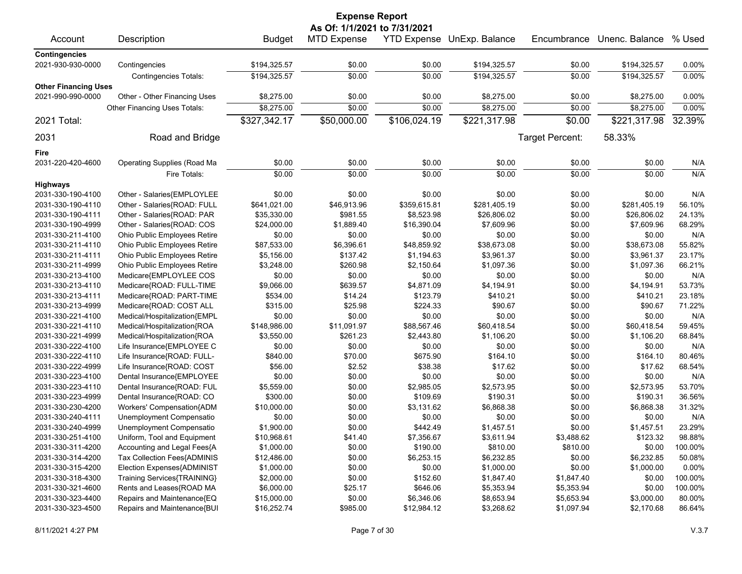| <b>Expense Report</b>       |                              |               |                              |              |                            |                 |                |         |  |
|-----------------------------|------------------------------|---------------|------------------------------|--------------|----------------------------|-----------------|----------------|---------|--|
|                             |                              |               | As Of: 1/1/2021 to 7/31/2021 |              |                            |                 |                |         |  |
| Account                     | Description                  | <b>Budget</b> | <b>MTD Expense</b>           |              | YTD Expense UnExp. Balance | Encumbrance     | Unenc. Balance | % Used  |  |
| <b>Contingencies</b>        |                              |               |                              |              |                            |                 |                |         |  |
| 2021-930-930-0000           | Contingencies                | \$194,325.57  | \$0.00                       | \$0.00       | \$194,325.57               | \$0.00          | \$194,325.57   | 0.00%   |  |
|                             | Contingencies Totals:        | \$194,325.57  | \$0.00                       | \$0.00       | \$194,325.57               | \$0.00          | \$194,325.57   | 0.00%   |  |
| <b>Other Financing Uses</b> |                              |               |                              |              |                            |                 |                |         |  |
| 2021-990-990-0000           | Other - Other Financing Uses | \$8,275.00    | \$0.00                       | \$0.00       | \$8,275.00                 | \$0.00          | \$8,275.00     | 0.00%   |  |
|                             | Other Financing Uses Totals: | \$8,275.00    | \$0.00                       | \$0.00       | \$8,275.00                 | \$0.00          | \$8,275.00     | 0.00%   |  |
| 2021 Total:                 |                              | \$327,342.17  | \$50,000.00                  | \$106,024.19 | \$221,317.98               | \$0.00          | \$221,317.98   | 32.39%  |  |
| 2031                        | Road and Bridge              |               |                              |              |                            | Target Percent: | 58.33%         |         |  |
| Fire                        |                              |               |                              |              |                            |                 |                |         |  |
| 2031-220-420-4600           | Operating Supplies (Road Ma  | \$0.00        | \$0.00                       | \$0.00       | \$0.00                     | \$0.00          | \$0.00         | N/A     |  |
|                             | Fire Totals:                 | \$0.00        | \$0.00                       | \$0.00       | \$0.00                     | \$0.00          | \$0.00         | N/A     |  |
| <b>Highways</b>             |                              |               |                              |              |                            |                 |                |         |  |
| 2031-330-190-4100           | Other - Salaries{EMPLOYLEE   | \$0.00        | \$0.00                       | \$0.00       | \$0.00                     | \$0.00          | \$0.00         | N/A     |  |
| 2031-330-190-4110           | Other - Salaries{ROAD: FULL  | \$641,021.00  | \$46,913.96                  | \$359,615.81 | \$281,405.19               | \$0.00          | \$281,405.19   | 56.10%  |  |
| 2031-330-190-4111           | Other - Salaries{ROAD: PAR   | \$35,330.00   | \$981.55                     | \$8,523.98   | \$26,806.02                | \$0.00          | \$26,806.02    | 24.13%  |  |
| 2031-330-190-4999           | Other - Salaries{ROAD: COS   | \$24,000.00   | \$1,889.40                   | \$16,390.04  | \$7,609.96                 | \$0.00          | \$7,609.96     | 68.29%  |  |
| 2031-330-211-4100           | Ohio Public Employees Retire | \$0.00        | \$0.00                       | \$0.00       | \$0.00                     | \$0.00          | \$0.00         | N/A     |  |
| 2031-330-211-4110           |                              | \$87,533.00   | \$6,396.61                   | \$48,859.92  | \$38,673.08                | \$0.00          | \$38,673.08    | 55.82%  |  |
|                             | Ohio Public Employees Retire |               |                              | \$1,194.63   |                            |                 |                |         |  |
| 2031-330-211-4111           | Ohio Public Employees Retire | \$5,156.00    | \$137.42                     |              | \$3,961.37                 | \$0.00          | \$3,961.37     | 23.17%  |  |
| 2031-330-211-4999           | Ohio Public Employees Retire | \$3,248.00    | \$260.98                     | \$2,150.64   | \$1,097.36                 | \$0.00          | \$1,097.36     | 66.21%  |  |
| 2031-330-213-4100           | Medicare{EMPLOYLEE COS       | \$0.00        | \$0.00                       | \$0.00       | \$0.00                     | \$0.00          | \$0.00         | N/A     |  |
| 2031-330-213-4110           | Medicare{ROAD: FULL-TIME     | \$9,066.00    | \$639.57                     | \$4,871.09   | \$4,194.91                 | \$0.00          | \$4,194.91     | 53.73%  |  |
| 2031-330-213-4111           | Medicare{ROAD: PART-TIME     | \$534.00      | \$14.24                      | \$123.79     | \$410.21                   | \$0.00          | \$410.21       | 23.18%  |  |
| 2031-330-213-4999           | Medicare{ROAD: COST ALL      | \$315.00      | \$25.98                      | \$224.33     | \$90.67                    | \$0.00          | \$90.67        | 71.22%  |  |
| 2031-330-221-4100           | Medical/Hospitalization{EMPL | \$0.00        | \$0.00                       | \$0.00       | \$0.00                     | \$0.00          | \$0.00         | N/A     |  |
| 2031-330-221-4110           | Medical/Hospitalization{ROA  | \$148,986.00  | \$11,091.97                  | \$88,567.46  | \$60,418.54                | \$0.00          | \$60,418.54    | 59.45%  |  |
| 2031-330-221-4999           | Medical/Hospitalization{ROA  | \$3,550.00    | \$261.23                     | \$2,443.80   | \$1,106.20                 | \$0.00          | \$1,106.20     | 68.84%  |  |
| 2031-330-222-4100           | Life Insurance{EMPLOYEE C    | \$0.00        | \$0.00                       | \$0.00       | \$0.00                     | \$0.00          | \$0.00         | N/A     |  |
| 2031-330-222-4110           | Life Insurance{ROAD: FULL-   | \$840.00      | \$70.00                      | \$675.90     | \$164.10                   | \$0.00          | \$164.10       | 80.46%  |  |
| 2031-330-222-4999           | Life Insurance{ROAD: COST    | \$56.00       | \$2.52                       | \$38.38      | \$17.62                    | \$0.00          | \$17.62        | 68.54%  |  |
| 2031-330-223-4100           | Dental Insurance{EMPLOYEE    | \$0.00        | \$0.00                       | \$0.00       | \$0.00                     | \$0.00          | \$0.00         | N/A     |  |
| 2031-330-223-4110           | Dental Insurance{ROAD: FUL   | \$5,559.00    | \$0.00                       | \$2,985.05   | \$2,573.95                 | \$0.00          | \$2,573.95     | 53.70%  |  |
| 2031-330-223-4999           | Dental Insurance{ROAD: CO    | \$300.00      | \$0.00                       | \$109.69     | \$190.31                   | \$0.00          | \$190.31       | 36.56%  |  |
| 2031-330-230-4200           | Workers' Compensation{ADM    | \$10,000.00   | \$0.00                       | \$3,131.62   | \$6,868.38                 | \$0.00          | \$6,868.38     | 31.32%  |  |
| 2031-330-240-4111           | Unemployment Compensatio     | \$0.00        | \$0.00                       | \$0.00       | \$0.00                     | \$0.00          | \$0.00         | N/A     |  |
| 2031-330-240-4999           | Unemployment Compensatio     | \$1,900.00    | \$0.00                       | \$442.49     | \$1,457.51                 | \$0.00          | \$1,457.51     | 23.29%  |  |
| 2031-330-251-4100           | Uniform, Tool and Equipment  | \$10,968.61   | \$41.40                      | \$7,356.67   | \$3,611.94                 | \$3,488.62      | \$123.32       | 98.88%  |  |
| 2031-330-311-4200           | Accounting and Legal Fees{A  | \$1,000.00    | \$0.00                       | \$190.00     | \$810.00                   | \$810.00        | \$0.00         | 100.00% |  |
| 2031-330-314-4200           | Tax Collection Fees{ADMINIS  | \$12,486.00   | \$0.00                       | \$6,253.15   | \$6,232.85                 | \$0.00          | \$6,232.85     | 50.08%  |  |
| 2031-330-315-4200           | Election Expenses{ADMINIST   | \$1,000.00    | \$0.00                       | \$0.00       | \$1,000.00                 | \$0.00          | \$1,000.00     | 0.00%   |  |
| 2031-330-318-4300           | Training Services{TRAINING}  | \$2,000.00    | \$0.00                       | \$152.60     | \$1,847.40                 | \$1,847.40      | \$0.00         | 100.00% |  |
| 2031-330-321-4600           | Rents and Leases{ROAD MA     | \$6,000.00    | \$25.17                      | \$646.06     | \$5,353.94                 | \$5,353.94      | \$0.00         | 100.00% |  |
| 2031-330-323-4400           | Repairs and Maintenance{EQ   | \$15,000.00   | \$0.00                       | \$6,346.06   | \$8,653.94                 | \$5,653.94      | \$3,000.00     | 80.00%  |  |
| 2031-330-323-4500           | Repairs and Maintenance{BUI  | \$16,252.74   | \$985.00                     | \$12,984.12  | \$3,268.62                 | \$1,097.94      | \$2,170.68     | 86.64%  |  |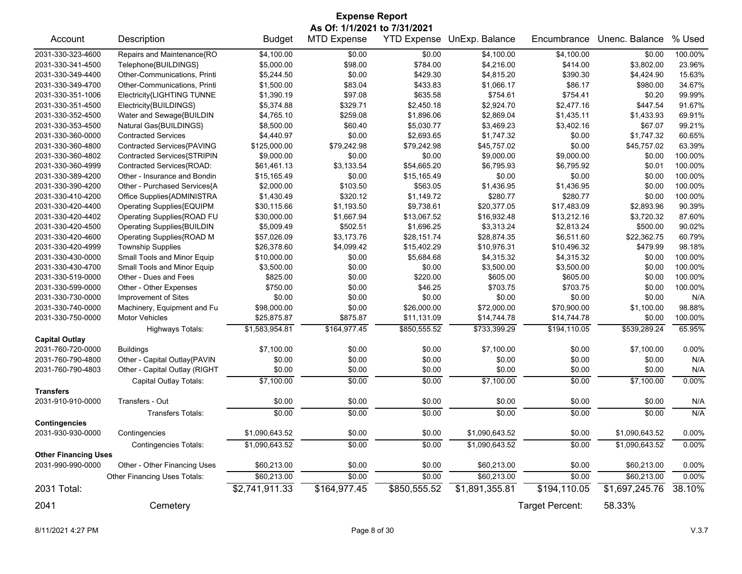|                             | <b>Expense Report</b>             |                |                              |              |                            |                 |                |          |  |  |
|-----------------------------|-----------------------------------|----------------|------------------------------|--------------|----------------------------|-----------------|----------------|----------|--|--|
|                             |                                   |                | As Of: 1/1/2021 to 7/31/2021 |              |                            |                 |                |          |  |  |
| Account                     | Description                       | <b>Budget</b>  | <b>MTD Expense</b>           |              | YTD Expense UnExp. Balance | Encumbrance     | Unenc. Balance | % Used   |  |  |
| 2031-330-323-4600           | Repairs and Maintenance{RO        | \$4,100.00     | \$0.00                       | \$0.00       | \$4,100.00                 | \$4,100.00      | \$0.00         | 100.00%  |  |  |
| 2031-330-341-4500           | Telephone{BUILDINGS}              | \$5,000.00     | \$98.00                      | \$784.00     | \$4,216.00                 | \$414.00        | \$3,802.00     | 23.96%   |  |  |
| 2031-330-349-4400           | Other-Communications, Printi      | \$5,244.50     | \$0.00                       | \$429.30     | \$4,815.20                 | \$390.30        | \$4,424.90     | 15.63%   |  |  |
| 2031-330-349-4700           | Other-Communications, Printi      | \$1,500.00     | \$83.04                      | \$433.83     | \$1,066.17                 | \$86.17         | \$980.00       | 34.67%   |  |  |
| 2031-330-351-1006           | Electricity{LIGHTING TUNNE        | \$1,390.19     | \$97.08                      | \$635.58     | \$754.61                   | \$754.41        | \$0.20         | 99.99%   |  |  |
| 2031-330-351-4500           | Electricity{BUILDINGS}            | \$5,374.88     | \$329.71                     | \$2,450.18   | \$2,924.70                 | \$2,477.16      | \$447.54       | 91.67%   |  |  |
| 2031-330-352-4500           | Water and Sewage{BUILDIN          | \$4,765.10     | \$259.08                     | \$1,896.06   | \$2,869.04                 | \$1,435.11      | \$1,433.93     | 69.91%   |  |  |
| 2031-330-353-4500           | Natural Gas{BUILDINGS}            | \$8,500.00     | \$60.40                      | \$5,030.77   | \$3,469.23                 | \$3,402.16      | \$67.07        | 99.21%   |  |  |
| 2031-330-360-0000           | <b>Contracted Services</b>        | \$4,440.97     | \$0.00                       | \$2,693.65   | \$1,747.32                 | \$0.00          | \$1,747.32     | 60.65%   |  |  |
| 2031-330-360-4800           | Contracted Services{PAVING        | \$125,000.00   | \$79,242.98                  | \$79,242.98  | \$45,757.02                | \$0.00          | \$45,757.02    | 63.39%   |  |  |
| 2031-330-360-4802           | Contracted Services{STRIPIN       | \$9,000.00     | \$0.00                       | \$0.00       | \$9,000.00                 | \$9,000.00      | \$0.00         | 100.00%  |  |  |
| 2031-330-360-4999           | Contracted Services{ROAD:         | \$61,461.13    | \$3,133.54                   | \$54,665.20  | \$6,795.93                 | \$6,795.92      | \$0.01         | 100.00%  |  |  |
| 2031-330-389-4200           | Other - Insurance and Bondin      | \$15,165.49    | \$0.00                       | \$15,165.49  | \$0.00                     | \$0.00          | \$0.00         | 100.00%  |  |  |
| 2031-330-390-4200           | Other - Purchased Services{A      | \$2,000.00     | \$103.50                     | \$563.05     | \$1,436.95                 | \$1,436.95      | \$0.00         | 100.00%  |  |  |
| 2031-330-410-4200           | Office Supplies{ADMINISTRA        | \$1,430.49     | \$320.12                     | \$1,149.72   | \$280.77                   | \$280.77        | \$0.00         | 100.00%  |  |  |
| 2031-330-420-4400           | Operating Supplies{EQUIPM         | \$30,115.66    | \$1,193.50                   | \$9,738.61   | \$20,377.05                | \$17,483.09     | \$2,893.96     | 90.39%   |  |  |
| 2031-330-420-4402           | Operating Supplies{ROAD FU        | \$30,000.00    | \$1,667.94                   | \$13,067.52  | \$16,932.48                | \$13,212.16     | \$3,720.32     | 87.60%   |  |  |
| 2031-330-420-4500           | <b>Operating Supplies{BUILDIN</b> | \$5,009.49     | \$502.51                     | \$1,696.25   | \$3,313.24                 | \$2,813.24      | \$500.00       | 90.02%   |  |  |
| 2031-330-420-4600           | Operating Supplies{ROAD M         | \$57,026.09    | \$3,173.76                   | \$28,151.74  | \$28,874.35                | \$6,511.60      | \$22,362.75    | 60.79%   |  |  |
| 2031-330-420-4999           | <b>Township Supplies</b>          | \$26,378.60    | \$4,099.42                   | \$15,402.29  | \$10,976.31                | \$10,496.32     | \$479.99       | 98.18%   |  |  |
| 2031-330-430-0000           | Small Tools and Minor Equip       | \$10,000.00    | \$0.00                       | \$5,684.68   | \$4,315.32                 | \$4,315.32      | \$0.00         | 100.00%  |  |  |
| 2031-330-430-4700           | Small Tools and Minor Equip       | \$3,500.00     | \$0.00                       | \$0.00       | \$3,500.00                 | \$3,500.00      | \$0.00         | 100.00%  |  |  |
| 2031-330-519-0000           | Other - Dues and Fees             | \$825.00       | \$0.00                       | \$220.00     | \$605.00                   | \$605.00        | \$0.00         | 100.00%  |  |  |
| 2031-330-599-0000           | Other - Other Expenses            | \$750.00       | \$0.00                       | \$46.25      | \$703.75                   | \$703.75        | \$0.00         | 100.00%  |  |  |
| 2031-330-730-0000           | Improvement of Sites              | \$0.00         | \$0.00                       | \$0.00       | \$0.00                     | \$0.00          | \$0.00         | N/A      |  |  |
| 2031-330-740-0000           | Machinery, Equipment and Fu       | \$98,000.00    | \$0.00                       | \$26,000.00  | \$72,000.00                | \$70,900.00     | \$1,100.00     | 98.88%   |  |  |
| 2031-330-750-0000           | <b>Motor Vehicles</b>             | \$25,875.87    | \$875.87                     | \$11,131.09  | \$14,744.78                | \$14,744.78     | \$0.00         | 100.00%  |  |  |
|                             | <b>Highways Totals:</b>           | \$1,583,954.81 | \$164,977.45                 | \$850,555.52 | \$733,399.29               | \$194,110.05    | \$539,289.24   | 65.95%   |  |  |
| <b>Capital Outlay</b>       |                                   |                |                              |              |                            |                 |                |          |  |  |
| 2031-760-720-0000           | <b>Buildings</b>                  | \$7,100.00     | \$0.00                       | \$0.00       | \$7,100.00                 | \$0.00          | \$7,100.00     | 0.00%    |  |  |
| 2031-760-790-4800           | Other - Capital Outlay{PAVIN      | \$0.00         | \$0.00                       | \$0.00       | \$0.00                     | \$0.00          | \$0.00         | N/A      |  |  |
| 2031-760-790-4803           | Other - Capital Outlay (RIGHT     | \$0.00         | \$0.00                       | \$0.00       | \$0.00                     | \$0.00          | \$0.00         | N/A      |  |  |
|                             | Capital Outlay Totals:            | \$7,100.00     | \$0.00                       | \$0.00       | \$7,100.00                 | \$0.00          | \$7,100.00     | 0.00%    |  |  |
| <b>Transfers</b>            |                                   |                |                              |              |                            |                 |                |          |  |  |
| 2031-910-910-0000           | Transfers - Out                   | \$0.00         | \$0.00                       | \$0.00       | \$0.00                     | \$0.00          | \$0.00         | N/A      |  |  |
|                             | <b>Transfers Totals:</b>          | \$0.00         | \$0.00                       | \$0.00       | \$0.00                     | \$0.00          | \$0.00         | N/A      |  |  |
| <b>Contingencies</b>        |                                   |                |                              |              |                            |                 |                |          |  |  |
| 2031-930-930-0000           | Contingencies                     | \$1,090,643.52 | \$0.00                       | \$0.00       | \$1,090,643.52             | \$0.00          | \$1,090,643.52 | 0.00%    |  |  |
|                             | <b>Contingencies Totals:</b>      | \$1,090,643.52 | \$0.00                       | \$0.00       | \$1,090,643.52             | \$0.00          | \$1,090,643.52 | 0.00%    |  |  |
| <b>Other Financing Uses</b> |                                   |                |                              |              |                            |                 |                |          |  |  |
| 2031-990-990-0000           | Other - Other Financing Uses      | \$60,213.00    | \$0.00                       | \$0.00       | \$60,213.00                | \$0.00          | \$60,213.00    | 0.00%    |  |  |
|                             | Other Financing Uses Totals:      | \$60,213.00    | \$0.00                       | \$0.00       | \$60,213.00                | \$0.00          | \$60,213.00    | $0.00\%$ |  |  |
| 2031 Total:                 |                                   | \$2,741,911.33 | \$164,977.45                 | \$850,555.52 | \$1,891,355.81             | \$194,110.05    | \$1,697,245.76 | 38.10%   |  |  |
| 2041                        | Cemetery                          |                |                              |              |                            | Target Percent: | 58.33%         |          |  |  |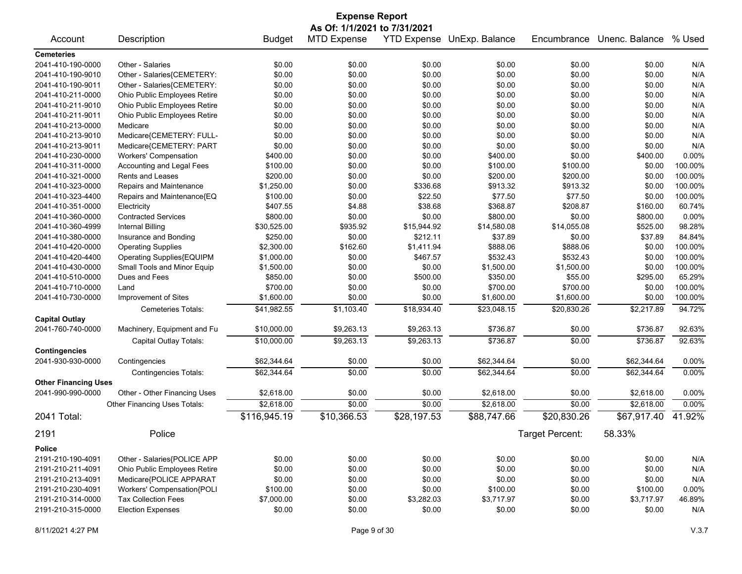| <b>Expense Report</b>                     |                              |               |                              |             |                            |                 |                |         |
|-------------------------------------------|------------------------------|---------------|------------------------------|-------------|----------------------------|-----------------|----------------|---------|
|                                           |                              |               | As Of: 1/1/2021 to 7/31/2021 |             |                            |                 |                |         |
| Account                                   | Description                  | <b>Budget</b> | <b>MTD Expense</b>           |             | YTD Expense UnExp. Balance | Encumbrance     | Unenc. Balance | % Used  |
| <b>Cemeteries</b>                         |                              |               |                              |             |                            |                 |                |         |
| 2041-410-190-0000                         | Other - Salaries             | \$0.00        | \$0.00                       | \$0.00      | \$0.00                     | \$0.00          | \$0.00         | N/A     |
| 2041-410-190-9010                         | Other - Salaries{CEMETERY:   | \$0.00        | \$0.00                       | \$0.00      | \$0.00                     | \$0.00          | \$0.00         | N/A     |
| 2041-410-190-9011                         | Other - Salaries{CEMETERY:   | \$0.00        | \$0.00                       | \$0.00      | \$0.00                     | \$0.00          | \$0.00         | N/A     |
| 2041-410-211-0000                         | Ohio Public Employees Retire | \$0.00        | \$0.00                       | \$0.00      | \$0.00                     | \$0.00          | \$0.00         | N/A     |
| 2041-410-211-9010                         | Ohio Public Employees Retire | \$0.00        | \$0.00                       | \$0.00      | \$0.00                     | \$0.00          | \$0.00         | N/A     |
| 2041-410-211-9011                         | Ohio Public Employees Retire | \$0.00        | \$0.00                       | \$0.00      | \$0.00                     | \$0.00          | \$0.00         | N/A     |
| 2041-410-213-0000                         | Medicare                     | \$0.00        | \$0.00                       | \$0.00      | \$0.00                     | \$0.00          | \$0.00         | N/A     |
| 2041-410-213-9010                         | Medicare{CEMETERY: FULL-     | \$0.00        | \$0.00                       | \$0.00      | \$0.00                     | \$0.00          | \$0.00         | N/A     |
| 2041-410-213-9011                         | Medicare{CEMETERY: PART      | \$0.00        | \$0.00                       | \$0.00      | \$0.00                     | \$0.00          | \$0.00         | N/A     |
| 2041-410-230-0000                         | <b>Workers' Compensation</b> | \$400.00      | \$0.00                       | \$0.00      | \$400.00                   | \$0.00          | \$400.00       | 0.00%   |
| 2041-410-311-0000                         | Accounting and Legal Fees    | \$100.00      | \$0.00                       | \$0.00      | \$100.00                   | \$100.00        | \$0.00         | 100.00% |
| 2041-410-321-0000                         | Rents and Leases             | \$200.00      | \$0.00                       | \$0.00      | \$200.00                   | \$200.00        | \$0.00         | 100.00% |
| 2041-410-323-0000                         | Repairs and Maintenance      | \$1,250.00    | \$0.00                       | \$336.68    | \$913.32                   | \$913.32        | \$0.00         | 100.00% |
| 2041-410-323-4400                         | Repairs and Maintenance{EQ   | \$100.00      | \$0.00                       | \$22.50     | \$77.50                    | \$77.50         | \$0.00         | 100.00% |
| 2041-410-351-0000                         | Electricity                  | \$407.55      | \$4.88                       | \$38.68     | \$368.87                   | \$208.87        | \$160.00       | 60.74%  |
| 2041-410-360-0000                         | <b>Contracted Services</b>   | \$800.00      | \$0.00                       | \$0.00      | \$800.00                   | \$0.00          | \$800.00       | 0.00%   |
| 2041-410-360-4999                         | Internal Billing             | \$30,525.00   | \$935.92                     | \$15,944.92 | \$14,580.08                | \$14,055.08     | \$525.00       | 98.28%  |
| 2041-410-380-0000                         | Insurance and Bonding        | \$250.00      | \$0.00                       | \$212.11    | \$37.89                    | \$0.00          | \$37.89        | 84.84%  |
| 2041-410-420-0000                         | <b>Operating Supplies</b>    | \$2,300.00    | \$162.60                     | \$1,411.94  | \$888.06                   | \$888.06        | \$0.00         | 100.00% |
| 2041-410-420-4400                         | Operating Supplies{EQUIPM    | \$1,000.00    | \$0.00                       | \$467.57    | \$532.43                   | \$532.43        | \$0.00         | 100.00% |
| 2041-410-430-0000                         | Small Tools and Minor Equip  | \$1,500.00    | \$0.00                       | \$0.00      | \$1,500.00                 | \$1,500.00      | \$0.00         | 100.00% |
| 2041-410-510-0000                         | Dues and Fees                | \$850.00      | \$0.00                       | \$500.00    | \$350.00                   | \$55.00         | \$295.00       | 65.29%  |
| 2041-410-710-0000                         | Land                         | \$700.00      | \$0.00                       | \$0.00      | \$700.00                   | \$700.00        | \$0.00         | 100.00% |
| 2041-410-730-0000                         | Improvement of Sites         | \$1,600.00    | \$0.00                       | \$0.00      | \$1,600.00                 | \$1,600.00      | \$0.00         | 100.00% |
|                                           | Cemeteries Totals:           | \$41,982.55   | \$1,103.40                   | \$18,934.40 | \$23,048.15                | \$20,830.26     | \$2,217.89     | 94.72%  |
| <b>Capital Outlay</b>                     |                              |               |                              |             |                            |                 |                |         |
| 2041-760-740-0000                         | Machinery, Equipment and Fu  | \$10,000.00   | \$9,263.13                   | \$9,263.13  | \$736.87                   | \$0.00          | \$736.87       | 92.63%  |
|                                           |                              |               |                              |             |                            |                 |                |         |
|                                           | Capital Outlay Totals:       | \$10,000.00   | \$9,263.13                   | \$9,263.13  | \$736.87                   | \$0.00          | \$736.87       | 92.63%  |
| <b>Contingencies</b><br>2041-930-930-0000 | Contingencies                | \$62,344.64   | \$0.00                       | \$0.00      | \$62,344.64                | \$0.00          | \$62,344.64    | 0.00%   |
|                                           | <b>Contingencies Totals:</b> | \$62,344.64   | \$0.00                       | \$0.00      | \$62,344.64                | \$0.00          | \$62,344.64    | 0.00%   |
| <b>Other Financing Uses</b>               |                              |               |                              |             |                            |                 |                |         |
| 2041-990-990-0000                         | Other - Other Financing Uses | \$2,618.00    | \$0.00                       | \$0.00      | \$2,618.00                 | \$0.00          | \$2,618.00     | 0.00%   |
|                                           | Other Financing Uses Totals: | \$2,618.00    | \$0.00                       | \$0.00      | \$2,618.00                 | \$0.00          | \$2,618.00     | 0.00%   |
| 2041 Total:                               |                              | \$116,945.19  | \$10,366.53                  | \$28,197.53 | \$88,747.66                | \$20,830.26     | \$67,917.40    | 41.92%  |
| 2191                                      | Police                       |               |                              |             |                            | Target Percent: | 58.33%         |         |
|                                           |                              |               |                              |             |                            |                 |                |         |
| <b>Police</b>                             |                              |               |                              |             |                            |                 |                |         |
| 2191-210-190-4091                         | Other - Salaries{POLICE APP  | \$0.00        | \$0.00                       | \$0.00      | \$0.00                     | \$0.00          | \$0.00         | N/A     |
| 2191-210-211-4091                         | Ohio Public Employees Retire | \$0.00        | \$0.00                       | \$0.00      | \$0.00                     | \$0.00          | \$0.00         | N/A     |
| 2191-210-213-4091                         | Medicare{POLICE APPARAT      | \$0.00        | \$0.00                       | \$0.00      | \$0.00                     | \$0.00          | \$0.00         | N/A     |
| 2191-210-230-4091                         | Workers' Compensation{POLI   | \$100.00      | \$0.00                       | \$0.00      | \$100.00                   | \$0.00          | \$100.00       | 0.00%   |
| 2191-210-314-0000                         | <b>Tax Collection Fees</b>   | \$7,000.00    | \$0.00                       | \$3,282.03  | \$3,717.97                 | \$0.00          | \$3,717.97     | 46.89%  |
| 2191-210-315-0000                         | <b>Election Expenses</b>     | \$0.00        | \$0.00                       | \$0.00      | \$0.00                     | \$0.00          | \$0.00         | N/A     |
|                                           |                              |               |                              |             |                            |                 |                |         |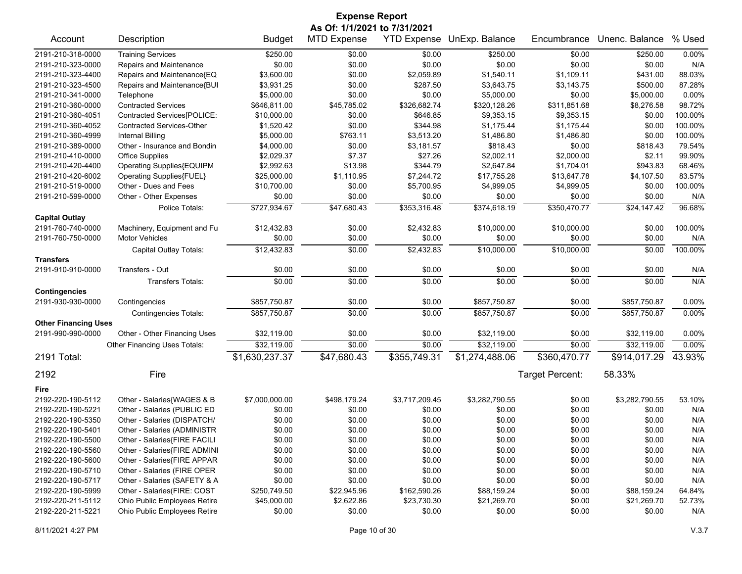| <b>Expense Report</b>       |                                  |                |                              |                |                            |                 |                |          |  |
|-----------------------------|----------------------------------|----------------|------------------------------|----------------|----------------------------|-----------------|----------------|----------|--|
|                             |                                  |                | As Of: 1/1/2021 to 7/31/2021 |                |                            |                 |                |          |  |
| Account                     | Description                      | <b>Budget</b>  | <b>MTD Expense</b>           |                | YTD Expense UnExp. Balance | Encumbrance     | Unenc. Balance | % Used   |  |
| 2191-210-318-0000           | <b>Training Services</b>         | \$250.00       | \$0.00                       | \$0.00         | \$250.00                   | \$0.00          | \$250.00       | 0.00%    |  |
| 2191-210-323-0000           | Repairs and Maintenance          | \$0.00         | \$0.00                       | \$0.00         | \$0.00                     | \$0.00          | \$0.00         | N/A      |  |
| 2191-210-323-4400           | Repairs and Maintenance{EQ       | \$3,600.00     | \$0.00                       | \$2,059.89     | \$1,540.11                 | \$1,109.11      | \$431.00       | 88.03%   |  |
| 2191-210-323-4500           | Repairs and Maintenance{BUI      | \$3,931.25     | \$0.00                       | \$287.50       | \$3,643.75                 | \$3,143.75      | \$500.00       | 87.28%   |  |
| 2191-210-341-0000           | Telephone                        | \$5,000.00     | \$0.00                       | \$0.00         | \$5,000.00                 | \$0.00          | \$5,000.00     | 0.00%    |  |
| 2191-210-360-0000           | <b>Contracted Services</b>       | \$646,811.00   | \$45,785.02                  | \$326,682.74   | \$320,128.26               | \$311,851.68    | \$8,276.58     | 98.72%   |  |
| 2191-210-360-4051           | Contracted Services[POLICE:      | \$10,000.00    | \$0.00                       | \$646.85       | \$9,353.15                 | \$9,353.15      | \$0.00         | 100.00%  |  |
| 2191-210-360-4052           | <b>Contracted Services-Other</b> | \$1,520.42     | \$0.00                       | \$344.98       | \$1,175.44                 | \$1,175.44      | \$0.00         | 100.00%  |  |
| 2191-210-360-4999           | <b>Internal Billing</b>          | \$5,000.00     | \$763.11                     | \$3,513.20     | \$1,486.80                 | \$1,486.80      | \$0.00         | 100.00%  |  |
| 2191-210-389-0000           | Other - Insurance and Bondin     | \$4,000.00     | \$0.00                       | \$3,181.57     | \$818.43                   | \$0.00          | \$818.43       | 79.54%   |  |
| 2191-210-410-0000           | <b>Office Supplies</b>           | \$2,029.37     | \$7.37                       | \$27.26        | \$2,002.11                 | \$2,000.00      | \$2.11         | 99.90%   |  |
| 2191-210-420-4400           | Operating Supplies{EQUIPM        | \$2,992.63     | \$13.98                      | \$344.79       | \$2,647.84                 | \$1,704.01      | \$943.83       | 68.46%   |  |
| 2191-210-420-6002           | Operating Supplies{FUEL}         | \$25,000.00    | \$1,110.95                   | \$7,244.72     | \$17,755.28                | \$13,647.78     | \$4,107.50     | 83.57%   |  |
| 2191-210-519-0000           | Other - Dues and Fees            | \$10,700.00    | \$0.00                       | \$5,700.95     | \$4,999.05                 | \$4,999.05      | \$0.00         | 100.00%  |  |
| 2191-210-599-0000           | Other - Other Expenses           | \$0.00         | \$0.00                       | \$0.00         | \$0.00                     | \$0.00          | \$0.00         | N/A      |  |
|                             | Police Totals:                   | \$727,934.67   | \$47,680.43                  | \$353,316.48   | \$374,618.19               | \$350,470.77    | \$24,147.42    | 96.68%   |  |
| <b>Capital Outlay</b>       |                                  |                |                              |                |                            |                 |                |          |  |
| 2191-760-740-0000           | Machinery, Equipment and Fu      | \$12,432.83    | \$0.00                       | \$2,432.83     | \$10,000.00                | \$10,000.00     | \$0.00         | 100.00%  |  |
| 2191-760-750-0000           | <b>Motor Vehicles</b>            | \$0.00         | \$0.00                       | \$0.00         | \$0.00                     | \$0.00          | \$0.00         | N/A      |  |
|                             | Capital Outlay Totals:           | \$12,432.83    | \$0.00                       | \$2,432.83     | \$10,000.00                | \$10,000.00     | \$0.00         | 100.00%  |  |
| <b>Transfers</b>            |                                  |                |                              |                |                            |                 |                |          |  |
| 2191-910-910-0000           | Transfers - Out                  | \$0.00         | \$0.00                       | \$0.00         | \$0.00                     | \$0.00          | \$0.00         | N/A      |  |
|                             | <b>Transfers Totals:</b>         | \$0.00         | \$0.00                       | \$0.00         | \$0.00                     | \$0.00          | \$0.00         | N/A      |  |
| <b>Contingencies</b>        |                                  |                |                              |                |                            |                 |                |          |  |
| 2191-930-930-0000           | Contingencies                    | \$857,750.87   | \$0.00                       | \$0.00         | \$857,750.87               | \$0.00          | \$857,750.87   | 0.00%    |  |
|                             | <b>Contingencies Totals:</b>     | \$857,750.87   | \$0.00                       | \$0.00         | \$857,750.87               | \$0.00          | \$857,750.87   | 0.00%    |  |
| <b>Other Financing Uses</b> |                                  |                |                              |                |                            |                 |                |          |  |
| 2191-990-990-0000           | Other - Other Financing Uses     | \$32,119.00    | \$0.00                       | \$0.00         | \$32,119.00                | \$0.00          | \$32,119.00    | $0.00\%$ |  |
|                             | Other Financing Uses Totals:     | \$32,119.00    | \$0.00                       | \$0.00         | \$32,119.00                | \$0.00          | \$32,119.00    | 0.00%    |  |
| 2191 Total:                 |                                  | \$1,630,237.37 | \$47,680.43                  | \$355,749.31   | \$1,274,488.06             | \$360,470.77    | \$914,017.29   | 43.93%   |  |
| 2192                        | Fire                             |                |                              |                |                            | Target Percent: | 58.33%         |          |  |
| Fire                        |                                  |                |                              |                |                            |                 |                |          |  |
| 2192-220-190-5112           | Other - Salaries{WAGES & B       | \$7,000,000.00 | \$498,179.24                 | \$3,717,209.45 | \$3,282,790.55             | \$0.00          | \$3,282,790.55 | 53.10%   |  |
| 2192-220-190-5221           | Other - Salaries (PUBLIC ED      | \$0.00         | \$0.00                       | \$0.00         | \$0.00                     | \$0.00          | \$0.00         | N/A      |  |
| 2192-220-190-5350           | Other - Salaries (DISPATCH/      | \$0.00         | \$0.00                       | \$0.00         | \$0.00                     | \$0.00          | \$0.00         | N/A      |  |
| 2192-220-190-5401           | Other - Salaries (ADMINISTR      | \$0.00         | \$0.00                       | \$0.00         | \$0.00                     | \$0.00          | \$0.00         | N/A      |  |
| 2192-220-190-5500           | Other - Salaries{FIRE FACILI     | \$0.00         | \$0.00                       | \$0.00         | \$0.00                     | \$0.00          | \$0.00         | N/A      |  |
| 2192-220-190-5560           | Other - Salaries{FIRE ADMINI     | \$0.00         | \$0.00                       | \$0.00         | \$0.00                     | \$0.00          | \$0.00         | N/A      |  |
| 2192-220-190-5600           | Other - Salaries{FIRE APPAR      | \$0.00         | \$0.00                       | \$0.00         | \$0.00                     | \$0.00          | \$0.00         | N/A      |  |
| 2192-220-190-5710           | Other - Salaries (FIRE OPER      | \$0.00         | \$0.00                       | \$0.00         | \$0.00                     | \$0.00          | \$0.00         | N/A      |  |
| 2192-220-190-5717           | Other - Salaries (SAFETY & A     | \$0.00         | \$0.00                       | \$0.00         | \$0.00                     | \$0.00          | \$0.00         | N/A      |  |
| 2192-220-190-5999           | Other - Salaries(FIRE: COST      | \$250,749.50   | \$22,945.96                  | \$162,590.26   | \$88,159.24                | \$0.00          | \$88,159.24    | 64.84%   |  |
| 2192-220-211-5112           | Ohio Public Employees Retire     | \$45,000.00    | \$2,622.86                   | \$23,730.30    | \$21,269.70                | \$0.00          | \$21,269.70    | 52.73%   |  |
| 2192-220-211-5221           | Ohio Public Employees Retire     | \$0.00         | \$0.00                       | \$0.00         | \$0.00                     | \$0.00          | \$0.00         | N/A      |  |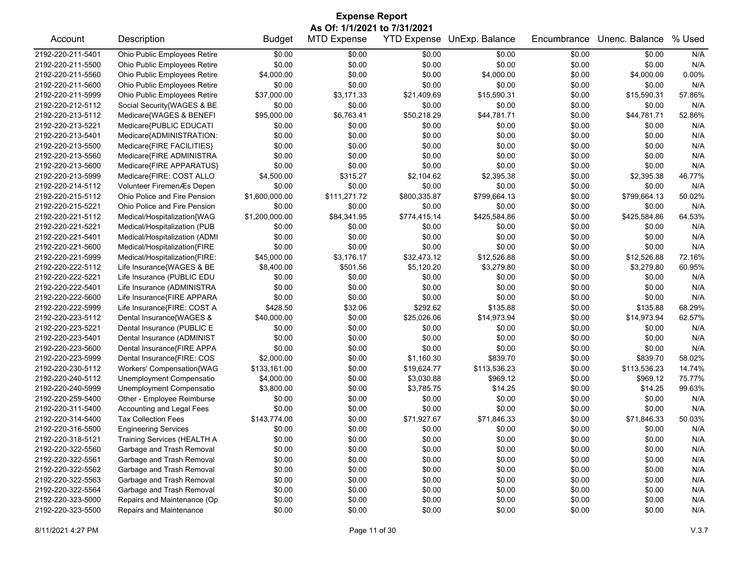| <b>Expense Report</b> |                               |                |                              |                    |                |             |                |        |  |
|-----------------------|-------------------------------|----------------|------------------------------|--------------------|----------------|-------------|----------------|--------|--|
|                       |                               |                | As Of: 1/1/2021 to 7/31/2021 |                    |                |             |                |        |  |
| Account               | Description                   | <b>Budget</b>  | <b>MTD Expense</b>           | <b>YTD Expense</b> | UnExp. Balance | Encumbrance | Unenc. Balance | % Used |  |
| 2192-220-211-5401     | Ohio Public Employees Retire  | \$0.00         | \$0.00                       | \$0.00             | \$0.00         | \$0.00      | \$0.00         | N/A    |  |
| 2192-220-211-5500     | Ohio Public Employees Retire  | \$0.00         | \$0.00                       | \$0.00             | \$0.00         | \$0.00      | \$0.00         | N/A    |  |
| 2192-220-211-5560     | Ohio Public Employees Retire  | \$4,000.00     | \$0.00                       | \$0.00             | \$4,000.00     | \$0.00      | \$4,000.00     | 0.00%  |  |
| 2192-220-211-5600     | Ohio Public Employees Retire  | \$0.00         | \$0.00                       | \$0.00             | \$0.00         | \$0.00      | \$0.00         | N/A    |  |
| 2192-220-211-5999     | Ohio Public Employees Retire  | \$37,000.00    | \$3,171.33                   | \$21,409.69        | \$15,590.31    | \$0.00      | \$15,590.31    | 57.86% |  |
| 2192-220-212-5112     | Social Security{WAGES & BE    | \$0.00         | \$0.00                       | \$0.00             | \$0.00         | \$0.00      | \$0.00         | N/A    |  |
| 2192-220-213-5112     | Medicare{WAGES & BENEFI       | \$95,000.00    | \$6,763.41                   | \$50,218.29        | \$44,781.71    | \$0.00      | \$44,781.71    | 52.86% |  |
| 2192-220-213-5221     | Medicare{PUBLIC EDUCATI       | \$0.00         | \$0.00                       | \$0.00             | \$0.00         | \$0.00      | \$0.00         | N/A    |  |
| 2192-220-213-5401     | Medicare{ADMINISTRATION:      | \$0.00         | \$0.00                       | \$0.00             | \$0.00         | \$0.00      | \$0.00         | N/A    |  |
| 2192-220-213-5500     | Medicare{FIRE FACILITIES}     | \$0.00         | \$0.00                       | \$0.00             | \$0.00         | \$0.00      | \$0.00         | N/A    |  |
| 2192-220-213-5560     | Medicare{FIRE ADMINISTRA      | \$0.00         | \$0.00                       | \$0.00             | \$0.00         | \$0.00      | \$0.00         | N/A    |  |
| 2192-220-213-5600     | Medicare{FIRE APPARATUS}      | \$0.00         | \$0.00                       | \$0.00             | \$0.00         | \$0.00      | \$0.00         | N/A    |  |
| 2192-220-213-5999     | Medicare{FIRE: COST ALLO      | \$4,500.00     | \$315.27                     | \$2,104.62         | \$2,395.38     | \$0.00      | \$2,395.38     | 46.77% |  |
| 2192-220-214-5112     | Volunteer FiremenÆs Depen     | \$0.00         | \$0.00                       | \$0.00             | \$0.00         | \$0.00      | \$0.00         | N/A    |  |
| 2192-220-215-5112     | Ohio Police and Fire Pension  | \$1,600,000.00 | \$111,271.72                 | \$800,335.87       | \$799,664.13   | \$0.00      | \$799,664.13   | 50.02% |  |
| 2192-220-215-5221     | Ohio Police and Fire Pension  | \$0.00         | \$0.00                       | \$0.00             | \$0.00         | \$0.00      | \$0.00         | N/A    |  |
| 2192-220-221-5112     | Medical/Hospitalization{WAG   | \$1,200,000.00 | \$84,341.95                  | \$774,415.14       | \$425,584.86   | \$0.00      | \$425,584.86   | 64.53% |  |
| 2192-220-221-5221     | Medical/Hospitalization (PUB  | \$0.00         | \$0.00                       | \$0.00             | \$0.00         | \$0.00      | \$0.00         | N/A    |  |
| 2192-220-221-5401     | Medical/Hospitalization (ADMI | \$0.00         | \$0.00                       | \$0.00             | \$0.00         | \$0.00      | \$0.00         | N/A    |  |
| 2192-220-221-5600     | Medical/Hospitalization{FIRE  | \$0.00         | \$0.00                       | \$0.00             | \$0.00         | \$0.00      | \$0.00         | N/A    |  |
| 2192-220-221-5999     | Medical/Hospitalization{FIRE: | \$45,000.00    | \$3,176.17                   | \$32,473.12        | \$12,526.88    | \$0.00      | \$12,526.88    | 72.16% |  |
| 2192-220-222-5112     | Life Insurance{WAGES & BE     | \$8,400.00     | \$501.56                     | \$5,120.20         | \$3,279.80     | \$0.00      | \$3,279.80     | 60.95% |  |
| 2192-220-222-5221     | Life Insurance (PUBLIC EDU    | \$0.00         | \$0.00                       | \$0.00             | \$0.00         | \$0.00      | \$0.00         | N/A    |  |
| 2192-220-222-5401     | Life Insurance (ADMINISTRA    | \$0.00         | \$0.00                       | \$0.00             | \$0.00         | \$0.00      | \$0.00         | N/A    |  |
| 2192-220-222-5600     | Life Insurance{FIRE APPARA    | \$0.00         | \$0.00                       | \$0.00             | \$0.00         | \$0.00      | \$0.00         | N/A    |  |
| 2192-220-222-5999     | Life Insurance{FIRE: COST A   | \$428.50       | \$32.06                      | \$292.62           | \$135.88       | \$0.00      | \$135.88       | 68.29% |  |
| 2192-220-223-5112     | Dental Insurance{WAGES &      | \$40,000.00    | \$0.00                       | \$25,026.06        | \$14,973.94    | \$0.00      | \$14,973.94    | 62.57% |  |
| 2192-220-223-5221     | Dental Insurance (PUBLIC E    | \$0.00         | \$0.00                       | \$0.00             | \$0.00         | \$0.00      | \$0.00         | N/A    |  |
| 2192-220-223-5401     | Dental Insurance (ADMINIST    | \$0.00         | \$0.00                       | \$0.00             | \$0.00         | \$0.00      | \$0.00         | N/A    |  |
| 2192-220-223-5600     | Dental Insurance{FIRE APPA    | \$0.00         | \$0.00                       | \$0.00             | \$0.00         | \$0.00      | \$0.00         | N/A    |  |
| 2192-220-223-5999     | Dental Insurance{FIRE: COS    | \$2,000.00     | \$0.00                       | \$1,160.30         | \$839.70       | \$0.00      | \$839.70       | 58.02% |  |
| 2192-220-230-5112     | Workers' Compensation{WAG     | \$133,161.00   | \$0.00                       | \$19,624.77        | \$113,536.23   | \$0.00      | \$113,536.23   | 14.74% |  |
| 2192-220-240-5112     | Unemployment Compensatio      | \$4,000.00     | \$0.00                       | \$3,030.88         | \$969.12       | \$0.00      | \$969.12       | 75.77% |  |
| 2192-220-240-5999     | Unemployment Compensatio      | \$3,800.00     | \$0.00                       | \$3,785.75         | \$14.25        | \$0.00      | \$14.25        | 99.63% |  |
| 2192-220-259-5400     | Other - Employee Reimburse    | \$0.00         | \$0.00                       | \$0.00             | \$0.00         | \$0.00      | \$0.00         | N/A    |  |
| 2192-220-311-5400     | Accounting and Legal Fees     | \$0.00         | \$0.00                       | \$0.00             | \$0.00         | \$0.00      | \$0.00         | N/A    |  |
| 2192-220-314-5400     | <b>Tax Collection Fees</b>    | \$143,774.00   | \$0.00                       | \$71,927.67        | \$71,846.33    | \$0.00      | \$71.846.33    | 50.03% |  |
| 2192-220-316-5500     | <b>Engineering Services</b>   | \$0.00         | \$0.00                       | \$0.00             | \$0.00         | \$0.00      | \$0.00         | N/A    |  |
| 2192-220-318-5121     | Training Services (HEALTH A   | \$0.00         | \$0.00                       | \$0.00             | \$0.00         | \$0.00      | \$0.00         | N/A    |  |
| 2192-220-322-5560     | Garbage and Trash Removal     | \$0.00         | \$0.00                       | \$0.00             | \$0.00         | \$0.00      | \$0.00         | N/A    |  |
| 2192-220-322-5561     | Garbage and Trash Removal     | \$0.00         | \$0.00                       | \$0.00             | \$0.00         | \$0.00      | \$0.00         | N/A    |  |
| 2192-220-322-5562     | Garbage and Trash Removal     | \$0.00         | \$0.00                       | \$0.00             | \$0.00         | \$0.00      | \$0.00         | N/A    |  |
| 2192-220-322-5563     | Garbage and Trash Removal     | \$0.00         | \$0.00                       | \$0.00             | \$0.00         | \$0.00      | \$0.00         | N/A    |  |
| 2192-220-322-5564     | Garbage and Trash Removal     | \$0.00         | \$0.00                       | \$0.00             | \$0.00         | \$0.00      | \$0.00         | N/A    |  |
| 2192-220-323-5000     | Repairs and Maintenance (Op   | \$0.00         | \$0.00                       | \$0.00             | \$0.00         | \$0.00      | \$0.00         | N/A    |  |
| 2192-220-323-5500     | Repairs and Maintenance       | \$0.00         | \$0.00                       | \$0.00             | \$0.00         | \$0.00      | \$0.00         | N/A    |  |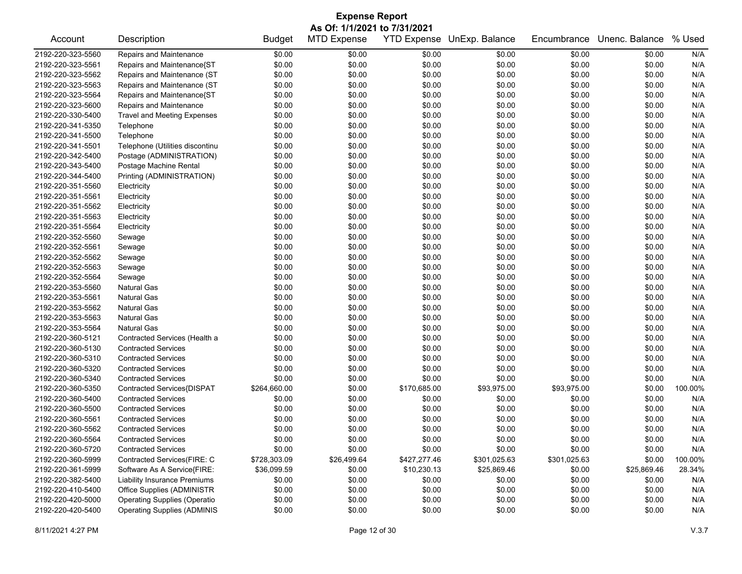| <b>Expense Report</b> |                                     |               |                    |                    |                |              |                |         |  |  |
|-----------------------|-------------------------------------|---------------|--------------------|--------------------|----------------|--------------|----------------|---------|--|--|
|                       | As Of: 1/1/2021 to 7/31/2021        |               |                    |                    |                |              |                |         |  |  |
| Account               | Description                         | <b>Budget</b> | <b>MTD Expense</b> | <b>YTD Expense</b> | UnExp. Balance | Encumbrance  | Unenc. Balance | % Used  |  |  |
| 2192-220-323-5560     | Repairs and Maintenance             | \$0.00        | \$0.00             | \$0.00             | \$0.00         | \$0.00       | \$0.00         | N/A     |  |  |
| 2192-220-323-5561     | Repairs and Maintenance{ST          | \$0.00        | \$0.00             | \$0.00             | \$0.00         | \$0.00       | \$0.00         | N/A     |  |  |
| 2192-220-323-5562     | Repairs and Maintenance (ST         | \$0.00        | \$0.00             | \$0.00             | \$0.00         | \$0.00       | \$0.00         | N/A     |  |  |
| 2192-220-323-5563     | Repairs and Maintenance (ST         | \$0.00        | \$0.00             | \$0.00             | \$0.00         | \$0.00       | \$0.00         | N/A     |  |  |
| 2192-220-323-5564     | Repairs and Maintenance{ST          | \$0.00        | \$0.00             | \$0.00             | \$0.00         | \$0.00       | \$0.00         | N/A     |  |  |
| 2192-220-323-5600     | Repairs and Maintenance             | \$0.00        | \$0.00             | \$0.00             | \$0.00         | \$0.00       | \$0.00         | N/A     |  |  |
| 2192-220-330-5400     | <b>Travel and Meeting Expenses</b>  | \$0.00        | \$0.00             | \$0.00             | \$0.00         | \$0.00       | \$0.00         | N/A     |  |  |
| 2192-220-341-5350     | Telephone                           | \$0.00        | \$0.00             | \$0.00             | \$0.00         | \$0.00       | \$0.00         | N/A     |  |  |
| 2192-220-341-5500     | Telephone                           | \$0.00        | \$0.00             | \$0.00             | \$0.00         | \$0.00       | \$0.00         | N/A     |  |  |
| 2192-220-341-5501     | Telephone (Utilities discontinu     | \$0.00        | \$0.00             | \$0.00             | \$0.00         | \$0.00       | \$0.00         | N/A     |  |  |
| 2192-220-342-5400     | Postage (ADMINISTRATION)            | \$0.00        | \$0.00             | \$0.00             | \$0.00         | \$0.00       | \$0.00         | N/A     |  |  |
| 2192-220-343-5400     | Postage Machine Rental              | \$0.00        | \$0.00             | \$0.00             | \$0.00         | \$0.00       | \$0.00         | N/A     |  |  |
| 2192-220-344-5400     | Printing (ADMINISTRATION)           | \$0.00        | \$0.00             | \$0.00             | \$0.00         | \$0.00       | \$0.00         | N/A     |  |  |
| 2192-220-351-5560     | Electricity                         | \$0.00        | \$0.00             | \$0.00             | \$0.00         | \$0.00       | \$0.00         | N/A     |  |  |
| 2192-220-351-5561     | Electricity                         | \$0.00        | \$0.00             | \$0.00             | \$0.00         | \$0.00       | \$0.00         | N/A     |  |  |
| 2192-220-351-5562     | Electricity                         | \$0.00        | \$0.00             | \$0.00             | \$0.00         | \$0.00       | \$0.00         | N/A     |  |  |
| 2192-220-351-5563     | Electricity                         | \$0.00        | \$0.00             | \$0.00             | \$0.00         | \$0.00       | \$0.00         | N/A     |  |  |
| 2192-220-351-5564     | Electricity                         | \$0.00        | \$0.00             | \$0.00             | \$0.00         | \$0.00       | \$0.00         | N/A     |  |  |
| 2192-220-352-5560     | Sewage                              | \$0.00        | \$0.00             | \$0.00             | \$0.00         | \$0.00       | \$0.00         | N/A     |  |  |
| 2192-220-352-5561     | Sewage                              | \$0.00        | \$0.00             | \$0.00             | \$0.00         | \$0.00       | \$0.00         | N/A     |  |  |
| 2192-220-352-5562     | Sewage                              | \$0.00        | \$0.00             | \$0.00             | \$0.00         | \$0.00       | \$0.00         | N/A     |  |  |
| 2192-220-352-5563     | Sewage                              | \$0.00        | \$0.00             | \$0.00             | \$0.00         | \$0.00       | \$0.00         | N/A     |  |  |
| 2192-220-352-5564     | Sewage                              | \$0.00        | \$0.00             | \$0.00             | \$0.00         | \$0.00       | \$0.00         | N/A     |  |  |
| 2192-220-353-5560     | <b>Natural Gas</b>                  | \$0.00        | \$0.00             | \$0.00             | \$0.00         | \$0.00       | \$0.00         | N/A     |  |  |
| 2192-220-353-5561     | <b>Natural Gas</b>                  | \$0.00        | \$0.00             | \$0.00             | \$0.00         | \$0.00       | \$0.00         | N/A     |  |  |
| 2192-220-353-5562     | <b>Natural Gas</b>                  | \$0.00        | \$0.00             | \$0.00             | \$0.00         | \$0.00       | \$0.00         | N/A     |  |  |
| 2192-220-353-5563     | <b>Natural Gas</b>                  | \$0.00        | \$0.00             | \$0.00             | \$0.00         | \$0.00       | \$0.00         | N/A     |  |  |
| 2192-220-353-5564     | <b>Natural Gas</b>                  | \$0.00        | \$0.00             | \$0.00             | \$0.00         | \$0.00       | \$0.00         | N/A     |  |  |
| 2192-220-360-5121     | Contracted Services (Health a       | \$0.00        | \$0.00             | \$0.00             | \$0.00         | \$0.00       | \$0.00         | N/A     |  |  |
| 2192-220-360-5130     | <b>Contracted Services</b>          | \$0.00        | \$0.00             | \$0.00             | \$0.00         | \$0.00       | \$0.00         | N/A     |  |  |
| 2192-220-360-5310     | <b>Contracted Services</b>          | \$0.00        | \$0.00             | \$0.00             | \$0.00         | \$0.00       | \$0.00         | N/A     |  |  |
| 2192-220-360-5320     | <b>Contracted Services</b>          | \$0.00        | \$0.00             | \$0.00             | \$0.00         | \$0.00       | \$0.00         | N/A     |  |  |
| 2192-220-360-5340     | <b>Contracted Services</b>          | \$0.00        | \$0.00             | \$0.00             | \$0.00         | \$0.00       | \$0.00         | N/A     |  |  |
| 2192-220-360-5350     | Contracted Services{DISPAT          | \$264,660.00  | \$0.00             | \$170,685.00       | \$93,975.00    | \$93,975.00  | \$0.00         | 100.00% |  |  |
| 2192-220-360-5400     | <b>Contracted Services</b>          | \$0.00        | \$0.00             | \$0.00             | \$0.00         | \$0.00       | \$0.00         | N/A     |  |  |
| 2192-220-360-5500     | <b>Contracted Services</b>          | \$0.00        | \$0.00             | \$0.00             | \$0.00         | \$0.00       | \$0.00         | N/A     |  |  |
| 2192-220-360-5561     | <b>Contracted Services</b>          | \$0.00        | \$0.00             | \$0.00             | \$0.00         | \$0.00       | \$0.00         | N/A     |  |  |
| 2192-220-360-5562     | <b>Contracted Services</b>          | \$0.00        | \$0.00             | \$0.00             | \$0.00         | \$0.00       | \$0.00         | N/A     |  |  |
| 2192-220-360-5564     | <b>Contracted Services</b>          | \$0.00        | \$0.00             | \$0.00             | \$0.00         | \$0.00       | \$0.00         | N/A     |  |  |
| 2192-220-360-5720     | <b>Contracted Services</b>          | \$0.00        | \$0.00             | \$0.00             | \$0.00         | \$0.00       | \$0.00         | N/A     |  |  |
| 2192-220-360-5999     | Contracted Services(FIRE: C         | \$728,303.09  | \$26,499.64        | \$427,277.46       | \$301,025.63   | \$301,025.63 | \$0.00         | 100.00% |  |  |
| 2192-220-361-5999     | Software As A Service{FIRE:         | \$36,099.59   | \$0.00             | \$10,230.13        | \$25,869.46    | \$0.00       | \$25,869.46    | 28.34%  |  |  |
| 2192-220-382-5400     | <b>Liability Insurance Premiums</b> | \$0.00        | \$0.00             | \$0.00             | \$0.00         | \$0.00       | \$0.00         | N/A     |  |  |
| 2192-220-410-5400     | Office Supplies (ADMINISTR          | \$0.00        | \$0.00             | \$0.00             | \$0.00         | \$0.00       | \$0.00         | N/A     |  |  |
| 2192-220-420-5000     | <b>Operating Supplies (Operatio</b> | \$0.00        | \$0.00             | \$0.00             | \$0.00         | \$0.00       | \$0.00         | N/A     |  |  |
| 2192-220-420-5400     | <b>Operating Supplies (ADMINIS</b>  | \$0.00        | \$0.00             | \$0.00             | \$0.00         | \$0.00       | \$0.00         | N/A     |  |  |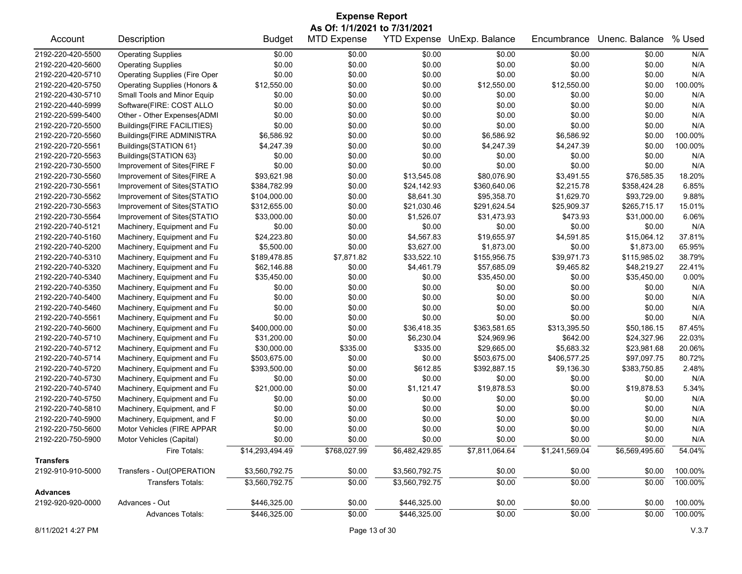| <b>Expense Report</b>        |                                                           |                 |                    |                    |                |                |                |         |  |
|------------------------------|-----------------------------------------------------------|-----------------|--------------------|--------------------|----------------|----------------|----------------|---------|--|
| As Of: 1/1/2021 to 7/31/2021 |                                                           |                 |                    |                    |                |                |                |         |  |
| Account                      | Description                                               | <b>Budget</b>   | <b>MTD Expense</b> | <b>YTD Expense</b> | UnExp. Balance | Encumbrance    | Unenc. Balance | % Used  |  |
| 2192-220-420-5500            | <b>Operating Supplies</b>                                 | \$0.00          | \$0.00             | \$0.00             | \$0.00         | \$0.00         | \$0.00         | N/A     |  |
| 2192-220-420-5600            | <b>Operating Supplies</b>                                 | \$0.00          | \$0.00             | \$0.00             | \$0.00         | \$0.00         | \$0.00         | N/A     |  |
| 2192-220-420-5710            | <b>Operating Supplies (Fire Oper</b>                      | \$0.00          | \$0.00             | \$0.00             | \$0.00         | \$0.00         | \$0.00         | N/A     |  |
| 2192-220-420-5750            | Operating Supplies (Honors &                              | \$12,550.00     | \$0.00             | \$0.00             | \$12,550.00    | \$12,550.00    | \$0.00         | 100.00% |  |
| 2192-220-430-5710            | Small Tools and Minor Equip                               | \$0.00          | \$0.00             | \$0.00             | \$0.00         | \$0.00         | \$0.00         | N/A     |  |
| 2192-220-440-5999            | Software(FIRE: COST ALLO                                  | \$0.00          | \$0.00             | \$0.00             | \$0.00         | \$0.00         | \$0.00         | N/A     |  |
| 2192-220-599-5400            | Other - Other Expenses{ADMI                               | \$0.00          | \$0.00             | \$0.00             | \$0.00         | \$0.00         | \$0.00         | N/A     |  |
| 2192-220-720-5500            | Buildings{FIRE FACILITIES}                                | \$0.00          | \$0.00             | \$0.00             | \$0.00         | \$0.00         | \$0.00         | N/A     |  |
| 2192-220-720-5560            | Buildings{FIRE ADMINISTRA                                 | \$6,586.92      | \$0.00             | \$0.00             | \$6,586.92     | \$6,586.92     | \$0.00         | 100.00% |  |
| 2192-220-720-5561            | Buildings{STATION 61}                                     | \$4,247.39      | \$0.00             | \$0.00             | \$4,247.39     | \$4,247.39     | \$0.00         | 100.00% |  |
| 2192-220-720-5563            | Buildings{STATION 63}                                     | \$0.00          | \$0.00             | \$0.00             | \$0.00         | \$0.00         | \$0.00         | N/A     |  |
| 2192-220-730-5500            | Improvement of Sites{FIRE F                               | \$0.00          | \$0.00             | \$0.00             | \$0.00         | \$0.00         | \$0.00         | N/A     |  |
| 2192-220-730-5560            | Improvement of Sites{FIRE A                               | \$93,621.98     | \$0.00             | \$13,545.08        | \$80,076.90    | \$3,491.55     | \$76,585.35    | 18.20%  |  |
| 2192-220-730-5561            | Improvement of Sites{STATIO                               | \$384,782.99    | \$0.00             | \$24,142.93        | \$360,640.06   | \$2,215.78     | \$358,424.28   | 6.85%   |  |
| 2192-220-730-5562            | Improvement of Sites{STATIO                               | \$104,000.00    | \$0.00             | \$8,641.30         | \$95,358.70    | \$1,629.70     | \$93,729.00    | 9.88%   |  |
| 2192-220-730-5563            | Improvement of Sites{STATIO                               | \$312,655.00    | \$0.00             | \$21,030.46        | \$291,624.54   | \$25,909.37    | \$265,715.17   | 15.01%  |  |
| 2192-220-730-5564            | Improvement of Sites{STATIO                               | \$33,000.00     | \$0.00             | \$1,526.07         | \$31,473.93    | \$473.93       | \$31,000.00    | 6.06%   |  |
| 2192-220-740-5121            | Machinery, Equipment and Fu                               | \$0.00          | \$0.00             | \$0.00             | \$0.00         | \$0.00         | \$0.00         | N/A     |  |
| 2192-220-740-5160            | Machinery, Equipment and Fu                               | \$24,223.80     | \$0.00             | \$4,567.83         | \$19,655.97    | \$4,591.85     | \$15,064.12    | 37.81%  |  |
| 2192-220-740-5200            | Machinery, Equipment and Fu                               | \$5,500.00      | \$0.00             | \$3,627.00         | \$1,873.00     | \$0.00         | \$1,873.00     | 65.95%  |  |
| 2192-220-740-5310            | Machinery, Equipment and Fu                               | \$189,478.85    | \$7,871.82         | \$33,522.10        | \$155,956.75   | \$39,971.73    | \$115,985.02   | 38.79%  |  |
| 2192-220-740-5320            | Machinery, Equipment and Fu                               | \$62,146.88     | \$0.00             | \$4,461.79         | \$57,685.09    | \$9,465.82     | \$48,219.27    | 22.41%  |  |
| 2192-220-740-5340            | Machinery, Equipment and Fu                               | \$35,450.00     | \$0.00             | \$0.00             | \$35,450.00    | \$0.00         | \$35,450.00    | 0.00%   |  |
| 2192-220-740-5350            | Machinery, Equipment and Fu                               | \$0.00          | \$0.00             | \$0.00             | \$0.00         | \$0.00         | \$0.00         | N/A     |  |
| 2192-220-740-5400            | Machinery, Equipment and Fu                               | \$0.00          | \$0.00             | \$0.00             | \$0.00         | \$0.00         | \$0.00         | N/A     |  |
| 2192-220-740-5460            | Machinery, Equipment and Fu                               | \$0.00          | \$0.00             | \$0.00             | \$0.00         | \$0.00         | \$0.00         | N/A     |  |
| 2192-220-740-5561            | Machinery, Equipment and Fu                               | \$0.00          | \$0.00             | \$0.00             | \$0.00         | \$0.00         | \$0.00         | N/A     |  |
| 2192-220-740-5600            | Machinery, Equipment and Fu                               | \$400,000.00    | \$0.00             | \$36,418.35        | \$363,581.65   | \$313,395.50   | \$50,186.15    | 87.45%  |  |
| 2192-220-740-5710            | Machinery, Equipment and Fu                               | \$31,200.00     | \$0.00             | \$6,230.04         | \$24,969.96    | \$642.00       | \$24,327.96    | 22.03%  |  |
| 2192-220-740-5712            | Machinery, Equipment and Fu                               | \$30,000.00     | \$335.00           | \$335.00           | \$29,665.00    | \$5,683.32     | \$23,981.68    | 20.06%  |  |
| 2192-220-740-5714            | Machinery, Equipment and Fu                               | \$503,675.00    | \$0.00             | \$0.00             | \$503,675.00   | \$406,577.25   | \$97,097.75    | 80.72%  |  |
| 2192-220-740-5720            | Machinery, Equipment and Fu                               | \$393,500.00    | \$0.00             | \$612.85           | \$392,887.15   | \$9,136.30     | \$383,750.85   | 2.48%   |  |
| 2192-220-740-5730            | Machinery, Equipment and Fu                               | \$0.00          | \$0.00             | \$0.00             | \$0.00         | \$0.00         | \$0.00         | N/A     |  |
| 2192-220-740-5740            | Machinery, Equipment and Fu                               | \$21,000.00     | \$0.00             | \$1,121.47         | \$19,878.53    | \$0.00         | \$19,878.53    | 5.34%   |  |
| 2192-220-740-5750            | Machinery, Equipment and Fu                               | \$0.00          | \$0.00             | \$0.00             | \$0.00         | \$0.00         | \$0.00         | N/A     |  |
| 2192-220-740-5810            | Machinery, Equipment, and F                               | \$0.00          | \$0.00             | \$0.00             | \$0.00         | \$0.00         | \$0.00         | N/A     |  |
| 2192-220-740-5900            |                                                           | \$0.00          | \$0.00             | \$0.00             | \$0.00         | \$0.00         | \$0.00         | N/A     |  |
| 2192-220-750-5600            | Machinery, Equipment, and F<br>Motor Vehicles (FIRE APPAR | \$0.00          | \$0.00             | \$0.00             | \$0.00         | \$0.00         | \$0.00         | N/A     |  |
|                              |                                                           |                 |                    |                    |                |                |                |         |  |
| 2192-220-750-5900            | Motor Vehicles (Capital)                                  | \$0.00          | \$0.00             | \$0.00             | \$0.00         | \$0.00         | \$0.00         | N/A     |  |
|                              | Fire Totals:                                              | \$14,293,494.49 | \$768,027.99       | \$6,482,429.85     | \$7,811,064.64 | \$1,241,569.04 | \$6,569,495.60 | 54.04%  |  |
| <b>Transfers</b>             |                                                           |                 |                    |                    |                |                |                |         |  |
| 2192-910-910-5000            | Transfers - Out{OPERATION                                 | \$3,560,792.75  | \$0.00             | \$3,560,792.75     | \$0.00         | \$0.00         | \$0.00         | 100.00% |  |
|                              | <b>Transfers Totals:</b>                                  | \$3,560,792.75  | \$0.00             | \$3,560,792.75     | \$0.00         | \$0.00         | \$0.00         | 100.00% |  |
| <b>Advances</b>              |                                                           |                 |                    |                    |                |                |                |         |  |
| 2192-920-920-0000            | Advances - Out                                            | \$446,325.00    | \$0.00             | \$446,325.00       | \$0.00         | \$0.00         | \$0.00         | 100.00% |  |
|                              | Advances Totals:                                          | \$446,325.00    | \$0.00             | \$446,325.00       | \$0.00         | \$0.00         | \$0.00         | 100.00% |  |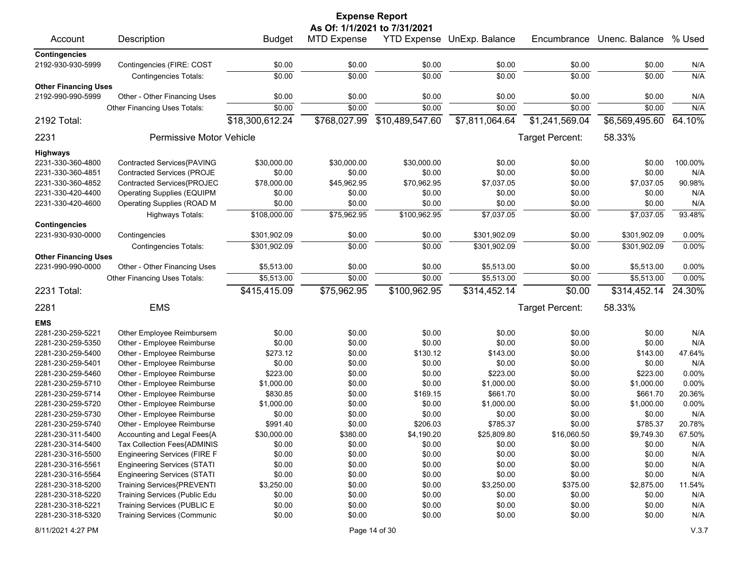|                             |                                     |                 |                    | <b>Expense Report</b> |                            |                 |                |         |  |  |  |
|-----------------------------|-------------------------------------|-----------------|--------------------|-----------------------|----------------------------|-----------------|----------------|---------|--|--|--|
|                             | As Of: 1/1/2021 to 7/31/2021        |                 |                    |                       |                            |                 |                |         |  |  |  |
| Account                     | Description                         | <b>Budget</b>   | <b>MTD Expense</b> |                       | YTD Expense UnExp. Balance | Encumbrance     | Unenc. Balance | % Used  |  |  |  |
| <b>Contingencies</b>        |                                     |                 |                    |                       |                            |                 |                |         |  |  |  |
| 2192-930-930-5999           | Contingencies (FIRE: COST           | \$0.00          | \$0.00             | \$0.00                | \$0.00                     | \$0.00          | \$0.00         | N/A     |  |  |  |
|                             | <b>Contingencies Totals:</b>        | \$0.00          | \$0.00             | \$0.00                | \$0.00                     | \$0.00          | \$0.00         | N/A     |  |  |  |
| <b>Other Financing Uses</b> |                                     |                 |                    |                       |                            |                 |                |         |  |  |  |
| 2192-990-990-5999           | Other - Other Financing Uses        | \$0.00          | \$0.00             | \$0.00                | \$0.00                     | \$0.00          | \$0.00         | N/A     |  |  |  |
|                             | Other Financing Uses Totals:        | \$0.00          | \$0.00             | \$0.00                | \$0.00                     | \$0.00          | \$0.00         | N/A     |  |  |  |
| 2192 Total:                 |                                     | \$18,300,612.24 | \$768,027.99       | \$10,489,547.60       | \$7,811,064.64             | \$1,241,569.04  | \$6,569,495.60 | 64.10%  |  |  |  |
| 2231                        | <b>Permissive Motor Vehicle</b>     |                 |                    |                       |                            | Target Percent: | 58.33%         |         |  |  |  |
| <b>Highways</b>             |                                     |                 |                    |                       |                            |                 |                |         |  |  |  |
| 2231-330-360-4800           | Contracted Services{PAVING          | \$30,000.00     | \$30,000.00        | \$30,000.00           | \$0.00                     | \$0.00          | \$0.00         | 100.00% |  |  |  |
| 2231-330-360-4851           | Contracted Services (PROJE          | \$0.00          | \$0.00             | \$0.00                | \$0.00                     | \$0.00          | \$0.00         | N/A     |  |  |  |
| 2231-330-360-4852           | Contracted Services{PROJEC          | \$78,000.00     | \$45,962.95        | \$70,962.95           | \$7,037.05                 | \$0.00          | \$7,037.05     | 90.98%  |  |  |  |
| 2231-330-420-4400           | <b>Operating Supplies (EQUIPM</b>   | \$0.00          | \$0.00             | \$0.00                | \$0.00                     | \$0.00          | \$0.00         | N/A     |  |  |  |
| 2231-330-420-4600           | Operating Supplies (ROAD M          | \$0.00          | \$0.00             | \$0.00                | \$0.00                     | \$0.00          | \$0.00         | N/A     |  |  |  |
|                             | <b>Highways Totals:</b>             | \$108,000.00    | \$75,962.95        | \$100,962.95          | \$7,037.05                 | \$0.00          | \$7,037.05     | 93.48%  |  |  |  |
| <b>Contingencies</b>        |                                     |                 |                    |                       |                            |                 |                |         |  |  |  |
| 2231-930-930-0000           | Contingencies                       | \$301,902.09    | \$0.00             | \$0.00                | \$301,902.09               | \$0.00          | \$301,902.09   | 0.00%   |  |  |  |
|                             | <b>Contingencies Totals:</b>        | \$301,902.09    | \$0.00             | \$0.00                | \$301,902.09               | \$0.00          | \$301,902.09   | 0.00%   |  |  |  |
| <b>Other Financing Uses</b> |                                     |                 |                    |                       |                            |                 |                |         |  |  |  |
| 2231-990-990-0000           | Other - Other Financing Uses        | \$5,513.00      | \$0.00             | \$0.00                | \$5,513.00                 | \$0.00          | \$5,513.00     | 0.00%   |  |  |  |
|                             | Other Financing Uses Totals:        | \$5,513.00      | \$0.00             | \$0.00                | \$5,513.00                 | \$0.00          | \$5,513.00     | 0.00%   |  |  |  |
|                             |                                     |                 |                    |                       |                            |                 |                |         |  |  |  |
| 2231 Total:                 |                                     | \$415,415.09    | \$75,962.95        | \$100,962.95          | \$314,452.14               | \$0.00          | \$314,452.14   | 24.30%  |  |  |  |
| 2281                        | <b>EMS</b>                          |                 |                    |                       |                            | Target Percent: | 58.33%         |         |  |  |  |
| <b>EMS</b>                  |                                     |                 |                    |                       |                            |                 |                |         |  |  |  |
| 2281-230-259-5221           | Other Employee Reimbursem           | \$0.00          | \$0.00             | \$0.00                | \$0.00                     | \$0.00          | \$0.00         | N/A     |  |  |  |
| 2281-230-259-5350           | Other - Employee Reimburse          | \$0.00          | \$0.00             | \$0.00                | \$0.00                     | \$0.00          | \$0.00         | N/A     |  |  |  |
| 2281-230-259-5400           | Other - Employee Reimburse          | \$273.12        | \$0.00             | \$130.12              | \$143.00                   | \$0.00          | \$143.00       | 47.64%  |  |  |  |
| 2281-230-259-5401           | Other - Employee Reimburse          | \$0.00          | \$0.00             | \$0.00                | \$0.00                     | \$0.00          | \$0.00         | N/A     |  |  |  |
| 2281-230-259-5460           | Other - Employee Reimburse          | \$223.00        | \$0.00             | \$0.00                | \$223.00                   | \$0.00          | \$223.00       | 0.00%   |  |  |  |
| 2281-230-259-5710           | Other - Employee Reimburse          | \$1,000.00      | \$0.00             | \$0.00                | \$1,000.00                 | \$0.00          | \$1,000.00     | 0.00%   |  |  |  |
| 2281-230-259-5714           | Other - Employee Reimburse          | \$830.85        | \$0.00             | \$169.15              | \$661.70                   | \$0.00          | \$661.70       | 20.36%  |  |  |  |
| 2281-230-259-5720           | Other - Employee Reimburse          | \$1,000.00      | \$0.00             | \$0.00                | \$1,000.00                 | \$0.00          | \$1,000.00     | 0.00%   |  |  |  |
| 2281-230-259-5730           | Other - Employee Reimburse          | \$0.00          | \$0.00             | \$0.00                | \$0.00                     | \$0.00          | \$0.00         | N/A     |  |  |  |
| 2281-230-259-5740           | Other - Employee Reimburse          | \$991.40        | \$0.00             | \$206.03              | \$785.37                   | \$0.00          | \$785.37       | 20.78%  |  |  |  |
| 2281-230-311-5400           | Accounting and Legal Fees{A         | \$30,000.00     | \$380.00           | \$4,190.20            | \$25,809.80                | \$16,060.50     | \$9,749.30     | 67.50%  |  |  |  |
| 2281-230-314-5400           | Tax Collection Fees{ADMINIS         | \$0.00          | \$0.00             | \$0.00                | \$0.00                     | \$0.00          | \$0.00         | N/A     |  |  |  |
| 2281-230-316-5500           | <b>Engineering Services (FIRE F</b> | \$0.00          | \$0.00             | \$0.00                | \$0.00                     | \$0.00          | \$0.00         | N/A     |  |  |  |
| 2281-230-316-5561           | <b>Engineering Services (STATI</b>  | \$0.00          | \$0.00             | \$0.00                | \$0.00                     | \$0.00          | \$0.00         | N/A     |  |  |  |
| 2281-230-316-5564           | <b>Engineering Services (STATI</b>  | \$0.00          | \$0.00             | \$0.00                | \$0.00                     | \$0.00          | \$0.00         | N/A     |  |  |  |
| 2281-230-318-5200           | Training Services{PREVENTI          | \$3,250.00      | \$0.00             | \$0.00                | \$3,250.00                 | \$375.00        | \$2,875.00     | 11.54%  |  |  |  |
| 2281-230-318-5220           | Training Services (Public Edu       | \$0.00          | \$0.00             | \$0.00                | \$0.00                     | \$0.00          | \$0.00         | N/A     |  |  |  |
| 2281-230-318-5221           | Training Services (PUBLIC E         | \$0.00          | \$0.00             | \$0.00                | \$0.00                     | \$0.00          | \$0.00         | N/A     |  |  |  |
| 2281-230-318-5320           | <b>Training Services (Communic</b>  | \$0.00          | \$0.00             | \$0.00                | \$0.00                     | \$0.00          | \$0.00         | N/A     |  |  |  |
| 8/11/2021 4:27 PM           |                                     |                 |                    | Page 14 of 30         |                            |                 |                | V.3.7   |  |  |  |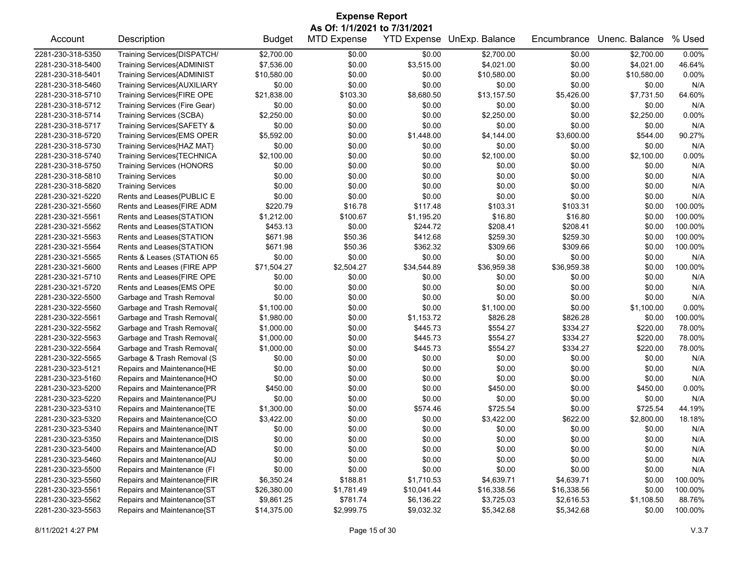| <b>Expense Report</b>        |                                   |               |                    |             |                            |             |                |         |  |
|------------------------------|-----------------------------------|---------------|--------------------|-------------|----------------------------|-------------|----------------|---------|--|
| As Of: 1/1/2021 to 7/31/2021 |                                   |               |                    |             |                            |             |                |         |  |
| Account                      | Description                       | <b>Budget</b> | <b>MTD Expense</b> |             | YTD Expense UnExp. Balance | Encumbrance | Unenc. Balance | % Used  |  |
| 2281-230-318-5350            | Training Services{DISPATCH/       | \$2,700.00    | \$0.00             | \$0.00      | \$2,700.00                 | \$0.00      | \$2,700.00     | 0.00%   |  |
| 2281-230-318-5400            | Training Services{ADMINIST        | \$7,536.00    | \$0.00             | \$3,515.00  | \$4,021.00                 | \$0.00      | \$4,021.00     | 46.64%  |  |
| 2281-230-318-5401            | <b>Training Services{ADMINIST</b> | \$10,580.00   | \$0.00             | \$0.00      | \$10,580.00                | \$0.00      | \$10,580.00    | 0.00%   |  |
| 2281-230-318-5460            | Training Services{AUXILIARY       | \$0.00        | \$0.00             | \$0.00      | \$0.00                     | \$0.00      | \$0.00         | N/A     |  |
| 2281-230-318-5710            | Training Services{FIRE OPE        | \$21,838.00   | \$103.30           | \$8,680.50  | \$13,157.50                | \$5,426.00  | \$7,731.50     | 64.60%  |  |
| 2281-230-318-5712            | Training Services (Fire Gear)     | \$0.00        | \$0.00             | \$0.00      | \$0.00                     | \$0.00      | \$0.00         | N/A     |  |
| 2281-230-318-5714            | <b>Training Services (SCBA)</b>   | \$2,250.00    | \$0.00             | \$0.00      | \$2,250.00                 | \$0.00      | \$2,250.00     | 0.00%   |  |
| 2281-230-318-5717            | Training Services{SAFETY &        | \$0.00        | \$0.00             | \$0.00      | \$0.00                     | \$0.00      | \$0.00         | N/A     |  |
| 2281-230-318-5720            | <b>Training Services{EMS OPER</b> | \$5,592.00    | \$0.00             | \$1,448.00  | \$4,144.00                 | \$3,600.00  | \$544.00       | 90.27%  |  |
| 2281-230-318-5730            | Training Services{HAZ MAT}        | \$0.00        | \$0.00             | \$0.00      | \$0.00                     | \$0.00      | \$0.00         | N/A     |  |
| 2281-230-318-5740            | Training Services{TECHNICA        | \$2,100.00    | \$0.00             | \$0.00      | \$2,100.00                 | \$0.00      | \$2,100.00     | 0.00%   |  |
| 2281-230-318-5750            | <b>Training Services (HONORS</b>  | \$0.00        | \$0.00             | \$0.00      | \$0.00                     | \$0.00      | \$0.00         | N/A     |  |
| 2281-230-318-5810            | <b>Training Services</b>          | \$0.00        | \$0.00             | \$0.00      | \$0.00                     | \$0.00      | \$0.00         | N/A     |  |
| 2281-230-318-5820            | <b>Training Services</b>          | \$0.00        | \$0.00             | \$0.00      | \$0.00                     | \$0.00      | \$0.00         | N/A     |  |
| 2281-230-321-5220            | Rents and Leases{PUBLIC E         | \$0.00        | \$0.00             | \$0.00      | \$0.00                     | \$0.00      | \$0.00         | N/A     |  |
| 2281-230-321-5560            | Rents and Leases{FIRE ADM         | \$220.79      | \$16.78            | \$117.48    | \$103.31                   | \$103.31    | \$0.00         | 100.00% |  |
| 2281-230-321-5561            | Rents and Leases{STATION          | \$1,212.00    | \$100.67           | \$1,195.20  | \$16.80                    | \$16.80     | \$0.00         | 100.00% |  |
| 2281-230-321-5562            | Rents and Leases{STATION          | \$453.13      | \$0.00             | \$244.72    | \$208.41                   | \$208.41    | \$0.00         | 100.00% |  |
| 2281-230-321-5563            | Rents and Leases{STATION          | \$671.98      | \$50.36            | \$412.68    | \$259.30                   | \$259.30    | \$0.00         | 100.00% |  |
| 2281-230-321-5564            | Rents and Leases{STATION          | \$671.98      | \$50.36            | \$362.32    | \$309.66                   | \$309.66    | \$0.00         | 100.00% |  |
| 2281-230-321-5565            | Rents & Leases (STATION 65        | \$0.00        | \$0.00             | \$0.00      | \$0.00                     | \$0.00      | \$0.00         | N/A     |  |
| 2281-230-321-5600            | Rents and Leases (FIRE APP        | \$71,504.27   | \$2,504.27         | \$34,544.89 | \$36,959.38                | \$36,959.38 | \$0.00         | 100.00% |  |
| 2281-230-321-5710            | Rents and Leases{FIRE OPE         | \$0.00        | \$0.00             | \$0.00      | \$0.00                     | \$0.00      | \$0.00         | N/A     |  |
| 2281-230-321-5720            | Rents and Leases{EMS OPE          | \$0.00        | \$0.00             | \$0.00      | \$0.00                     | \$0.00      | \$0.00         | N/A     |  |
| 2281-230-322-5500            | Garbage and Trash Removal         | \$0.00        | \$0.00             | \$0.00      | \$0.00                     | \$0.00      | \$0.00         | N/A     |  |
| 2281-230-322-5560            | Garbage and Trash Removal{        | \$1,100.00    | \$0.00             | \$0.00      | \$1,100.00                 | \$0.00      | \$1,100.00     | 0.00%   |  |
| 2281-230-322-5561            | Garbage and Trash Removal{        | \$1,980.00    | \$0.00             | \$1,153.72  | \$826.28                   | \$826.28    | \$0.00         | 100.00% |  |
| 2281-230-322-5562            | Garbage and Trash Removal{        | \$1,000.00    | \$0.00             | \$445.73    | \$554.27                   | \$334.27    | \$220.00       | 78.00%  |  |
| 2281-230-322-5563            | Garbage and Trash Removal{        | \$1,000.00    | \$0.00             | \$445.73    | \$554.27                   | \$334.27    | \$220.00       | 78.00%  |  |
| 2281-230-322-5564            | Garbage and Trash Removal{        | \$1,000.00    | \$0.00             | \$445.73    | \$554.27                   | \$334.27    | \$220.00       | 78.00%  |  |
| 2281-230-322-5565            | Garbage & Trash Removal (S        | \$0.00        | \$0.00             | \$0.00      | \$0.00                     | \$0.00      | \$0.00         | N/A     |  |
| 2281-230-323-5121            | Repairs and Maintenance{HE        | \$0.00        | \$0.00             | \$0.00      | \$0.00                     | \$0.00      | \$0.00         | N/A     |  |
| 2281-230-323-5160            | Repairs and Maintenance{HO        | \$0.00        | \$0.00             | \$0.00      | \$0.00                     | \$0.00      | \$0.00         | N/A     |  |
| 2281-230-323-5200            | Repairs and Maintenance{PR        | \$450.00      | \$0.00             | \$0.00      | \$450.00                   | \$0.00      | \$450.00       | 0.00%   |  |
| 2281-230-323-5220            | Repairs and Maintenance{PU        | \$0.00        | \$0.00             | \$0.00      | \$0.00                     | \$0.00      | \$0.00         | N/A     |  |
| 2281-230-323-5310            | Repairs and Maintenance{TE        | \$1,300.00    | \$0.00             | \$574.46    | \$725.54                   | \$0.00      | \$725.54       | 44.19%  |  |
| 2281-230-323-5320            | Repairs and Maintenance{CO        | \$3,422.00    | \$0.00             | \$0.00      | \$3,422.00                 | \$622.00    | \$2,800.00     | 18.18%  |  |
| 2281-230-323-5340            | Repairs and Maintenance{INT       | \$0.00        | \$0.00             | \$0.00      | \$0.00                     | \$0.00      | \$0.00         | N/A     |  |
| 2281-230-323-5350            | Repairs and Maintenance{DIS       | \$0.00        | \$0.00             | \$0.00      | \$0.00                     | \$0.00      | \$0.00         | N/A     |  |
| 2281-230-323-5400            | Repairs and Maintenance{AD        | \$0.00        | \$0.00             | \$0.00      | \$0.00                     | \$0.00      | \$0.00         | N/A     |  |
| 2281-230-323-5460            | Repairs and Maintenance{AU        | \$0.00        | \$0.00             | \$0.00      | \$0.00                     | \$0.00      | \$0.00         | N/A     |  |
| 2281-230-323-5500            | Repairs and Maintenance (FI       | \$0.00        | \$0.00             | \$0.00      | \$0.00                     | \$0.00      | \$0.00         | N/A     |  |
| 2281-230-323-5560            | Repairs and Maintenance{FIR       | \$6,350.24    | \$188.81           | \$1,710.53  | \$4,639.71                 | \$4,639.71  | \$0.00         | 100.00% |  |
| 2281-230-323-5561            | Repairs and Maintenance{ST        | \$26,380.00   | \$1,781.49         | \$10,041.44 | \$16,338.56                | \$16,338.56 | \$0.00         | 100.00% |  |
| 2281-230-323-5562            | Repairs and Maintenance{ST        | \$9,861.25    | \$781.74           | \$6,136.22  | \$3,725.03                 | \$2,616.53  | \$1,108.50     | 88.76%  |  |
| 2281-230-323-5563            | Repairs and Maintenance{ST        | \$14,375.00   | \$2,999.75         | \$9,032.32  | \$5,342.68                 | \$5,342.68  | \$0.00         | 100.00% |  |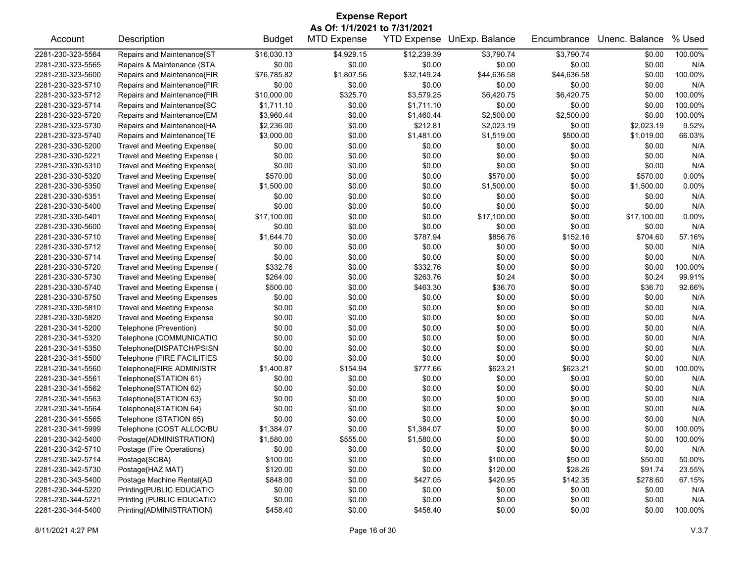| <b>Expense Report</b>        |                                    |               |                    |                    |                |             |                |         |  |
|------------------------------|------------------------------------|---------------|--------------------|--------------------|----------------|-------------|----------------|---------|--|
| As Of: 1/1/2021 to 7/31/2021 |                                    |               |                    |                    |                |             |                |         |  |
| Account                      | Description                        | <b>Budget</b> | <b>MTD Expense</b> | <b>YTD Expense</b> | UnExp. Balance | Encumbrance | Unenc. Balance | % Used  |  |
| 2281-230-323-5564            | Repairs and Maintenance{ST         | \$16,030.13   | \$4,929.15         | \$12,239.39        | \$3,790.74     | \$3,790.74  | \$0.00         | 100.00% |  |
| 2281-230-323-5565            | Repairs & Maintenance (STA         | \$0.00        | \$0.00             | \$0.00             | \$0.00         | \$0.00      | \$0.00         | N/A     |  |
| 2281-230-323-5600            | Repairs and Maintenance{FIR        | \$76,785.82   | \$1,807.56         | \$32,149.24        | \$44,636.58    | \$44,636.58 | \$0.00         | 100.00% |  |
| 2281-230-323-5710            | Repairs and Maintenance{FIR        | \$0.00        | \$0.00             | \$0.00             | \$0.00         | \$0.00      | \$0.00         | N/A     |  |
| 2281-230-323-5712            | Repairs and Maintenance{FIR        | \$10,000.00   | \$325.70           | \$3,579.25         | \$6,420.75     | \$6,420.75  | \$0.00         | 100.00% |  |
| 2281-230-323-5714            | Repairs and Maintenance{SC         | \$1,711.10    | \$0.00             | \$1,711.10         | \$0.00         | \$0.00      | \$0.00         | 100.00% |  |
| 2281-230-323-5720            | Repairs and Maintenance{EM         | \$3,960.44    | \$0.00             | \$1,460.44         | \$2,500.00     | \$2,500.00  | \$0.00         | 100.00% |  |
| 2281-230-323-5730            | Repairs and Maintenance{HA         | \$2,236.00    | \$0.00             | \$212.81           | \$2,023.19     | \$0.00      | \$2,023.19     | 9.52%   |  |
| 2281-230-323-5740            | Repairs and Maintenance{TE         | \$3,000.00    | \$0.00             | \$1,481.00         | \$1,519.00     | \$500.00    | \$1,019.00     | 66.03%  |  |
| 2281-230-330-5200            | Travel and Meeting Expense{        | \$0.00        | \$0.00             | \$0.00             | \$0.00         | \$0.00      | \$0.00         | N/A     |  |
| 2281-230-330-5221            | Travel and Meeting Expense (       | \$0.00        | \$0.00             | \$0.00             | \$0.00         | \$0.00      | \$0.00         | N/A     |  |
| 2281-230-330-5310            | Travel and Meeting Expense{        | \$0.00        | \$0.00             | \$0.00             | \$0.00         | \$0.00      | \$0.00         | N/A     |  |
| 2281-230-330-5320            | Travel and Meeting Expense{        | \$570.00      | \$0.00             | \$0.00             | \$570.00       | \$0.00      | \$570.00       | 0.00%   |  |
| 2281-230-330-5350            | Travel and Meeting Expense{        | \$1,500.00    | \$0.00             | \$0.00             | \$1,500.00     | \$0.00      | \$1,500.00     | 0.00%   |  |
| 2281-230-330-5351            | Travel and Meeting Expense(        | \$0.00        | \$0.00             | \$0.00             | \$0.00         | \$0.00      | \$0.00         | N/A     |  |
| 2281-230-330-5400            | Travel and Meeting Expense{        | \$0.00        | \$0.00             | \$0.00             | \$0.00         | \$0.00      | \$0.00         | N/A     |  |
| 2281-230-330-5401            | Travel and Meeting Expense{        | \$17,100.00   | \$0.00             | \$0.00             | \$17,100.00    | \$0.00      | \$17,100.00    | 0.00%   |  |
| 2281-230-330-5600            | Travel and Meeting Expense{        | \$0.00        | \$0.00             | \$0.00             | \$0.00         | \$0.00      | \$0.00         | N/A     |  |
| 2281-230-330-5710            | Travel and Meeting Expense{        | \$1,644.70    | \$0.00             | \$787.94           | \$856.76       | \$152.16    | \$704.60       | 57.16%  |  |
| 2281-230-330-5712            | Travel and Meeting Expense{        | \$0.00        | \$0.00             | \$0.00             | \$0.00         | \$0.00      | \$0.00         | N/A     |  |
| 2281-230-330-5714            | Travel and Meeting Expense{        | \$0.00        | \$0.00             | \$0.00             | \$0.00         | \$0.00      | \$0.00         | N/A     |  |
| 2281-230-330-5720            | Travel and Meeting Expense (       | \$332.76      | \$0.00             | \$332.76           | \$0.00         | \$0.00      | \$0.00         | 100.00% |  |
| 2281-230-330-5730            | Travel and Meeting Expense{        | \$264.00      | \$0.00             | \$263.76           | \$0.24         | \$0.00      | \$0.24         | 99.91%  |  |
| 2281-230-330-5740            | Travel and Meeting Expense (       | \$500.00      | \$0.00             | \$463.30           | \$36.70        | \$0.00      | \$36.70        | 92.66%  |  |
| 2281-230-330-5750            | <b>Travel and Meeting Expenses</b> | \$0.00        | \$0.00             | \$0.00             | \$0.00         | \$0.00      | \$0.00         | N/A     |  |
| 2281-230-330-5810            | Travel and Meeting Expense         | \$0.00        | \$0.00             | \$0.00             | \$0.00         | \$0.00      | \$0.00         | N/A     |  |
| 2281-230-330-5820            | <b>Travel and Meeting Expense</b>  | \$0.00        | \$0.00             | \$0.00             | \$0.00         | \$0.00      | \$0.00         | N/A     |  |
| 2281-230-341-5200            | Telephone (Prevention)             | \$0.00        | \$0.00             | \$0.00             | \$0.00         | \$0.00      | \$0.00         | N/A     |  |
| 2281-230-341-5320            | Telephone (COMMUNICATIO            | \$0.00        | \$0.00             | \$0.00             | \$0.00         | \$0.00      | \$0.00         | N/A     |  |
| 2281-230-341-5350            | Telephone{DISPATCH/PSISN           | \$0.00        | \$0.00             | \$0.00             | \$0.00         | \$0.00      | \$0.00         | N/A     |  |
| 2281-230-341-5500            | Telephone (FIRE FACILITIES         | \$0.00        | \$0.00             | \$0.00             | \$0.00         | \$0.00      | \$0.00         | N/A     |  |
| 2281-230-341-5560            | Telephone{FIRE ADMINISTR           | \$1,400.87    | \$154.94           | \$777.66           | \$623.21       | \$623.21    | \$0.00         | 100.00% |  |
| 2281-230-341-5561            | Telephone{STATION 61}              | \$0.00        | \$0.00             | \$0.00             | \$0.00         | \$0.00      | \$0.00         | N/A     |  |
| 2281-230-341-5562            | Telephone{STATION 62}              | \$0.00        | \$0.00             | \$0.00             | \$0.00         | \$0.00      | \$0.00         | N/A     |  |
| 2281-230-341-5563            | Telephone{STATION 63}              | \$0.00        | \$0.00             | \$0.00             | \$0.00         | \$0.00      | \$0.00         | N/A     |  |
| 2281-230-341-5564            | Telephone{STATION 64}              | \$0.00        | \$0.00             | \$0.00             | \$0.00         | \$0.00      | \$0.00         | N/A     |  |
| 2281-230-341-5565            | Telephone (STATION 65)             | \$0.00        | \$0.00             | \$0.00             | \$0.00         | \$0.00      | \$0.00         | N/A     |  |
| 2281-230-341-5999            | Telephone (COST ALLOC/BU           | \$1,384.07    | \$0.00             | \$1,384.07         | \$0.00         | \$0.00      | \$0.00         | 100.00% |  |
| 2281-230-342-5400            | Postage{ADMINISTRATION}            | \$1,580.00    | \$555.00           | \$1,580.00         | \$0.00         | \$0.00      | \$0.00         | 100.00% |  |
| 2281-230-342-5710            | Postage (Fire Operations)          | \$0.00        | \$0.00             | \$0.00             | \$0.00         | \$0.00      | \$0.00         | N/A     |  |
| 2281-230-342-5714            | Postage{SCBA}                      | \$100.00      | \$0.00             | \$0.00             | \$100.00       | \$50.00     | \$50.00        | 50.00%  |  |
| 2281-230-342-5730            | Postage{HAZ MAT}                   | \$120.00      | \$0.00             | \$0.00             | \$120.00       | \$28.26     | \$91.74        | 23.55%  |  |
| 2281-230-343-5400            | Postage Machine Rental{AD          | \$848.00      | \$0.00             | \$427.05           | \$420.95       | \$142.35    | \$278.60       | 67.15%  |  |
| 2281-230-344-5220            | Printing{PUBLIC EDUCATIO           | \$0.00        | \$0.00             | \$0.00             | \$0.00         | \$0.00      | \$0.00         | N/A     |  |
| 2281-230-344-5221            | Printing (PUBLIC EDUCATIO          | \$0.00        | \$0.00             | \$0.00             | \$0.00         | \$0.00      | \$0.00         | N/A     |  |
| 2281-230-344-5400            | Printing{ADMINISTRATION}           | \$458.40      | \$0.00             | \$458.40           | \$0.00         | \$0.00      | \$0.00         | 100.00% |  |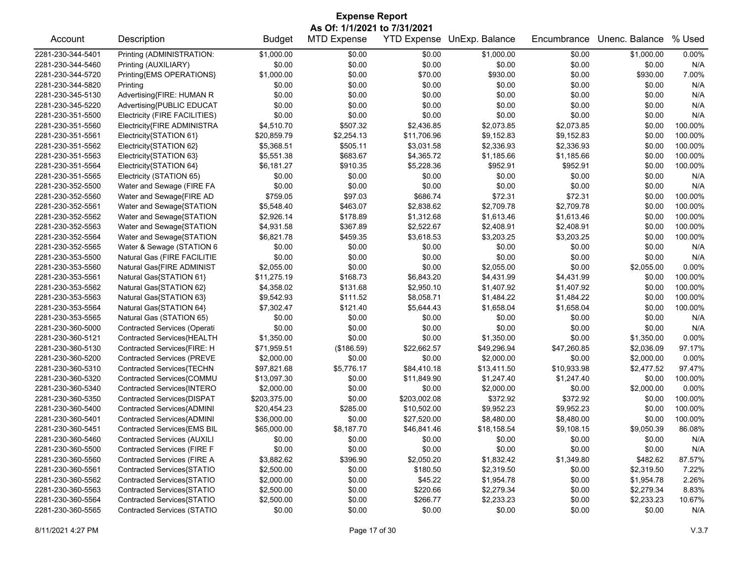| <b>Expense Report</b>        |                                    |               |                    |              |                            |             |                |         |  |
|------------------------------|------------------------------------|---------------|--------------------|--------------|----------------------------|-------------|----------------|---------|--|
| As Of: 1/1/2021 to 7/31/2021 |                                    |               |                    |              |                            |             |                |         |  |
| Account                      | Description                        | <b>Budget</b> | <b>MTD Expense</b> |              | YTD Expense UnExp. Balance | Encumbrance | Unenc. Balance | % Used  |  |
| 2281-230-344-5401            | Printing (ADMINISTRATION:          | \$1,000.00    | \$0.00             | \$0.00       | \$1,000.00                 | \$0.00      | \$1,000.00     | 0.00%   |  |
| 2281-230-344-5460            | Printing (AUXILIARY)               | \$0.00        | \$0.00             | \$0.00       | \$0.00                     | \$0.00      | \$0.00         | N/A     |  |
| 2281-230-344-5720            | Printing{EMS OPERATIONS}           | \$1,000.00    | \$0.00             | \$70.00      | \$930.00                   | \$0.00      | \$930.00       | 7.00%   |  |
| 2281-230-344-5820            | Printing                           | \$0.00        | \$0.00             | \$0.00       | \$0.00                     | \$0.00      | \$0.00         | N/A     |  |
| 2281-230-345-5130            | Advertising{FIRE: HUMAN R          | \$0.00        | \$0.00             | \$0.00       | \$0.00                     | \$0.00      | \$0.00         | N/A     |  |
| 2281-230-345-5220            | Advertising{PUBLIC EDUCAT          | \$0.00        | \$0.00             | \$0.00       | \$0.00                     | \$0.00      | \$0.00         | N/A     |  |
| 2281-230-351-5500            | Electricity (FIRE FACILITIES)      | \$0.00        | \$0.00             | \$0.00       | \$0.00                     | \$0.00      | \$0.00         | N/A     |  |
| 2281-230-351-5560            | Electricity{FIRE ADMINISTRA        | \$4,510.70    | \$507.32           | \$2,436.85   | \$2,073.85                 | \$2,073.85  | \$0.00         | 100.00% |  |
| 2281-230-351-5561            | Electricity{STATION 61}            | \$20,859.79   | \$2,254.13         | \$11,706.96  | \$9,152.83                 | \$9,152.83  | \$0.00         | 100.00% |  |
| 2281-230-351-5562            | Electricity{STATION 62}            | \$5,368.51    | \$505.11           | \$3,031.58   | \$2,336.93                 | \$2,336.93  | \$0.00         | 100.00% |  |
| 2281-230-351-5563            | Electricity{STATION 63}            | \$5,551.38    | \$683.67           | \$4,365.72   | \$1,185.66                 | \$1,185.66  | \$0.00         | 100.00% |  |
| 2281-230-351-5564            | Electricity{STATION 64}            | \$6,181.27    | \$910.35           | \$5,228.36   | \$952.91                   | \$952.91    | \$0.00         | 100.00% |  |
| 2281-230-351-5565            | Electricity (STATION 65)           | \$0.00        | \$0.00             | \$0.00       | \$0.00                     | \$0.00      | \$0.00         | N/A     |  |
| 2281-230-352-5500            | Water and Sewage (FIRE FA          | \$0.00        | \$0.00             | \$0.00       | \$0.00                     | \$0.00      | \$0.00         | N/A     |  |
| 2281-230-352-5560            | Water and Sewage{FIRE AD           | \$759.05      | \$97.03            | \$686.74     | \$72.31                    | \$72.31     | \$0.00         | 100.00% |  |
| 2281-230-352-5561            | Water and Sewage{STATION           | \$5,548.40    | \$463.07           | \$2,838.62   | \$2,709.78                 | \$2,709.78  | \$0.00         | 100.00% |  |
| 2281-230-352-5562            | Water and Sewage{STATION           | \$2,926.14    | \$178.89           | \$1,312.68   | \$1,613.46                 | \$1,613.46  | \$0.00         | 100.00% |  |
| 2281-230-352-5563            | Water and Sewage{STATION           | \$4,931.58    | \$367.89           | \$2,522.67   | \$2,408.91                 | \$2,408.91  | \$0.00         | 100.00% |  |
| 2281-230-352-5564            | Water and Sewage{STATION           | \$6,821.78    | \$459.35           | \$3,618.53   | \$3,203.25                 | \$3,203.25  | \$0.00         | 100.00% |  |
| 2281-230-352-5565            | Water & Sewage (STATION 6          | \$0.00        | \$0.00             | \$0.00       | \$0.00                     | \$0.00      | \$0.00         | N/A     |  |
| 2281-230-353-5500            | Natural Gas (FIRE FACILITIE        | \$0.00        | \$0.00             | \$0.00       | \$0.00                     | \$0.00      | \$0.00         | N/A     |  |
| 2281-230-353-5560            | Natural Gas{FIRE ADMINIST          | \$2,055.00    | \$0.00             | \$0.00       | \$2,055.00                 | \$0.00      | \$2,055.00     | 0.00%   |  |
| 2281-230-353-5561            | Natural Gas{STATION 61}            | \$11,275.19   | \$168.73           | \$6,843.20   | \$4,431.99                 | \$4,431.99  | \$0.00         | 100.00% |  |
| 2281-230-353-5562            | Natural Gas{STATION 62}            | \$4,358.02    | \$131.68           | \$2,950.10   | \$1,407.92                 | \$1,407.92  | \$0.00         | 100.00% |  |
| 2281-230-353-5563            | Natural Gas{STATION 63}            | \$9,542.93    | \$111.52           | \$8,058.71   | \$1,484.22                 | \$1,484.22  | \$0.00         | 100.00% |  |
| 2281-230-353-5564            | Natural Gas{STATION 64}            | \$7,302.47    | \$121.40           | \$5,644.43   | \$1,658.04                 | \$1,658.04  | \$0.00         | 100.00% |  |
| 2281-230-353-5565            | Natural Gas (STATION 65)           | \$0.00        | \$0.00             | \$0.00       | \$0.00                     | \$0.00      | \$0.00         | N/A     |  |
| 2281-230-360-5000            | Contracted Services (Operati       | \$0.00        | \$0.00             | \$0.00       | \$0.00                     | \$0.00      | \$0.00         | N/A     |  |
| 2281-230-360-5121            | Contracted Services{HEALTH         | \$1,350.00    | \$0.00             | \$0.00       | \$1,350.00                 | \$0.00      | \$1,350.00     | 0.00%   |  |
| 2281-230-360-5130            | Contracted Services{FIRE: H        | \$71,959.51   | (\$186.59)         | \$22,662.57  | \$49,296.94                | \$47,260.85 | \$2,036.09     | 97.17%  |  |
| 2281-230-360-5200            | <b>Contracted Services (PREVE</b>  | \$2,000.00    | \$0.00             | \$0.00       | \$2,000.00                 | \$0.00      | \$2,000.00     | 0.00%   |  |
| 2281-230-360-5310            | Contracted Services{TECHN          | \$97,821.68   | \$5,776.17         | \$84,410.18  | \$13,411.50                | \$10,933.98 | \$2,477.52     | 97.47%  |  |
| 2281-230-360-5320            | Contracted Services{COMMU          | \$13,097.30   | \$0.00             | \$11,849.90  | \$1,247.40                 | \$1,247.40  | \$0.00         | 100.00% |  |
| 2281-230-360-5340            | Contracted Services{INTERO         | \$2,000.00    | \$0.00             | \$0.00       | \$2,000.00                 | \$0.00      | \$2,000.00     | 0.00%   |  |
| 2281-230-360-5350            | Contracted Services{DISPAT         | \$203,375.00  | \$0.00             | \$203,002.08 | \$372.92                   | \$372.92    | \$0.00         | 100.00% |  |
| 2281-230-360-5400            | Contracted Services{ADMINI         | \$20,454.23   | \$285.00           | \$10,502.00  | \$9,952.23                 | \$9,952.23  | \$0.00         | 100.00% |  |
| 2281-230-360-5401            | Contracted Services{ADMINI         | \$36,000.00   | \$0.00             | \$27,520.00  | \$8,480.00                 | \$8,480.00  | \$0.00         | 100.00% |  |
| 2281-230-360-5451            | Contracted Services{EMS BIL        | \$65,000.00   | \$8,187.70         | \$46,841.46  | \$18,158.54                | \$9,108.15  | \$9,050.39     | 86.08%  |  |
| 2281-230-360-5460            | <b>Contracted Services (AUXILI</b> | \$0.00        | \$0.00             | \$0.00       | \$0.00                     | \$0.00      | \$0.00         | N/A     |  |
| 2281-230-360-5500            | Contracted Services (FIRE F        | \$0.00        | \$0.00             | \$0.00       | \$0.00                     | \$0.00      | \$0.00         | N/A     |  |
| 2281-230-360-5560            | Contracted Services (FIRE A        | \$3,882.62    | \$396.90           | \$2,050.20   | \$1,832.42                 | \$1,349.80  | \$482.62       | 87.57%  |  |
| 2281-230-360-5561            | Contracted Services{STATIO         | \$2,500.00    | \$0.00             | \$180.50     | \$2,319.50                 | \$0.00      | \$2,319.50     | 7.22%   |  |
| 2281-230-360-5562            | Contracted Services{STATIO         | \$2,000.00    | \$0.00             | \$45.22      | \$1,954.78                 | \$0.00      | \$1,954.78     | 2.26%   |  |
| 2281-230-360-5563            | Contracted Services{STATIO         | \$2,500.00    | \$0.00             | \$220.66     | \$2,279.34                 | \$0.00      | \$2,279.34     | 8.83%   |  |
| 2281-230-360-5564            | Contracted Services{STATIO         | \$2,500.00    | \$0.00             | \$266.77     | \$2,233.23                 | \$0.00      | \$2,233.23     | 10.67%  |  |
| 2281-230-360-5565            | <b>Contracted Services (STATIO</b> | \$0.00        | \$0.00             | \$0.00       | \$0.00                     | \$0.00      | \$0.00         | N/A     |  |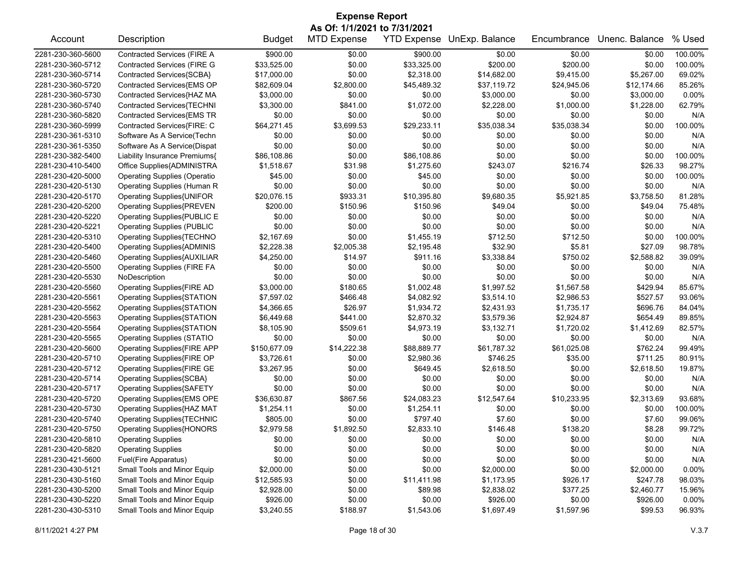| As Of: 1/1/2021 to 7/31/2021<br>% Used<br><b>MTD Expense</b><br><b>YTD Expense</b><br>UnExp. Balance<br>Unenc. Balance<br>Account<br>Description<br><b>Budget</b><br>Encumbrance<br>\$900.00<br>Contracted Services (FIRE A<br>\$0.00<br>100.00%<br>\$0.00<br>\$900.00<br>\$0.00<br>\$0.00<br><b>Contracted Services (FIRE G</b><br>\$33,525.00<br>\$200.00<br>2281-230-360-5712<br>\$0.00<br>\$33,325.00<br>\$200.00<br>\$0.00<br>100.00%<br>Contracted Services{SCBA}<br>\$17,000.00<br>\$0.00<br>\$2,318.00<br>\$14,682.00<br>\$9,415.00<br>69.02%<br>2281-230-360-5714<br>\$5,267.00<br>Contracted Services{EMS OP<br>\$82,609.04<br>\$37,119.72<br>85.26%<br>2281-230-360-5720<br>\$2,800.00<br>\$45,489.32<br>\$24,945.06<br>\$12,174.66<br>Contracted Services{HAZ MA<br>2281-230-360-5730<br>\$3,000.00<br>\$0.00<br>\$3,000.00<br>\$0.00<br>\$3,000.00<br>0.00%<br>\$0.00<br>Contracted Services{TECHNI<br>\$1,000.00<br>2281-230-360-5740<br>\$3,300.00<br>\$841.00<br>\$1,072.00<br>\$2,228.00<br>\$1,228.00<br>62.79%<br>Contracted Services{EMS TR<br>\$0.00<br>\$0.00<br>\$0.00<br>2281-230-360-5820<br>\$0.00<br>\$0.00<br>\$0.00<br>N/A<br>Contracted Services{FIRE: C<br>\$64,271.45<br>\$3,699.53<br>\$29,233.11<br>\$35,038.34<br>\$35,038.34<br>\$0.00<br>100.00%<br>2281-230-360-5999<br>Software As A Service(Techn<br>\$0.00<br>2281-230-361-5310<br>\$0.00<br>\$0.00<br>\$0.00<br>\$0.00<br>\$0.00<br>N/A<br>Software As A Service(Dispat<br>\$0.00<br>2281-230-361-5350<br>\$0.00<br>\$0.00<br>\$0.00<br>\$0.00<br>\$0.00<br>N/A<br>\$0.00<br>\$0.00<br>2281-230-382-5400<br>Liability Insurance Premiums{<br>\$86,108.86<br>\$86,108.86<br>\$0.00<br>\$0.00<br>100.00%<br>2281-230-410-5400<br>Office Supplies{ADMINISTRA<br>\$1,518.67<br>\$31.98<br>\$1,275.60<br>\$243.07<br>\$216.74<br>\$26.33<br>98.27%<br><b>Operating Supplies (Operatio</b><br>\$45.00<br>\$0.00<br>\$0.00<br>\$0.00<br>100.00%<br>2281-230-420-5000<br>\$45.00<br>\$0.00<br>Operating Supplies (Human R<br>\$0.00<br>\$0.00<br>\$0.00<br>\$0.00<br>2281-230-420-5130<br>\$0.00<br>\$0.00<br>N/A<br><b>Operating Supplies{UNIFOR</b><br>81.28%<br>2281-230-420-5170<br>\$20,076.15<br>\$933.31<br>\$10,395.80<br>\$9,680.35<br>\$5,921.85<br>\$3,758.50<br>\$200.00<br>75.48%<br>2281-230-420-5200<br><b>Operating Supplies{PREVEN</b><br>\$150.96<br>\$150.96<br>\$49.04<br>\$0.00<br>\$49.04<br>\$0.00<br>2281-230-420-5220<br>Operating Supplies{PUBLIC E<br>\$0.00<br>\$0.00<br>\$0.00<br>\$0.00<br>\$0.00<br>N/A<br><b>Operating Supplies (PUBLIC</b><br>\$0.00<br>\$0.00<br>\$0.00<br>\$0.00<br>\$0.00<br>\$0.00<br>2281-230-420-5221<br>N/A<br>Operating Supplies{TECHNO<br>\$2,167.69<br>\$0.00<br>\$1,455.19<br>\$712.50<br>\$712.50<br>100.00%<br>2281-230-420-5310<br>\$0.00<br>98.78%<br>2281-230-420-5400<br><b>Operating Supplies{ADMINIS</b><br>\$2,228.38<br>\$2,005.38<br>\$2,195.48<br>\$32.90<br>\$5.81<br>\$27.09<br>\$3,338.84<br>39.09%<br>2281-230-420-5460<br><b>Operating Supplies{AUXILIAR</b><br>\$4,250.00<br>\$14.97<br>\$911.16<br>\$750.02<br>\$2,588.82<br>2281-230-420-5500<br><b>Operating Supplies (FIRE FA</b><br>\$0.00<br>\$0.00<br>\$0.00<br>\$0.00<br>\$0.00<br>\$0.00<br>N/A<br>\$0.00<br>\$0.00<br>\$0.00<br>\$0.00<br>\$0.00<br>2281-230-420-5530<br>NoDescription<br>\$0.00<br>N/A<br>Operating Supplies{FIRE AD<br>\$3,000.00<br>\$1,997.52<br>\$1,567.58<br>85.67%<br>2281-230-420-5560<br>\$180.65<br>\$1,002.48<br>\$429.94<br>2281-230-420-5561<br><b>Operating Supplies{STATION</b><br>\$7,597.02<br>\$466.48<br>\$4,082.92<br>\$3,514.10<br>\$2,986.53<br>\$527.57<br>93.06%<br>\$26.97<br>\$696.76<br>2281-230-420-5562<br><b>Operating Supplies{STATION</b><br>\$4,366.65<br>\$1,934.72<br>\$2,431.93<br>\$1,735.17<br>84.04%<br>\$441.00<br>\$2,924.87<br>2281-230-420-5563<br><b>Operating Supplies{STATION</b><br>\$6,449.68<br>\$2,870.32<br>\$3,579.36<br>\$654.49<br>89.85%<br>Operating Supplies{STATION<br>\$1,720.02<br>\$1,412.69<br>82.57%<br>2281-230-420-5564<br>\$8,105.90<br>\$509.61<br>\$4,973.19<br>\$3,132.71<br><b>Operating Supplies (STATIO</b><br>\$0.00<br>\$0.00<br>2281-230-420-5565<br>\$0.00<br>\$0.00<br>\$0.00<br>\$0.00<br>N/A<br><b>Operating Supplies{FIRE APP</b><br>99.49%<br>\$150,677.09<br>\$14,222.38<br>\$88,889.77<br>\$61,787.32<br>\$61,025.08<br>\$762.24<br>\$746.25<br>\$35.00<br>2281-230-420-5710<br>Operating Supplies{FIRE OP<br>\$3,726.61<br>\$0.00<br>\$2,980.36<br>\$711.25<br>80.91%<br>\$2,618.50<br>2281-230-420-5712<br>Operating Supplies{FIRE GE<br>\$3,267.95<br>\$0.00<br>\$649.45<br>\$2,618.50<br>\$0.00<br>19.87%<br>Operating Supplies{SCBA}<br>\$0.00<br>N/A<br>2281-230-420-5714<br>\$0.00<br>\$0.00<br>\$0.00<br>\$0.00<br>\$0.00<br><b>Operating Supplies{SAFETY</b><br>\$0.00<br>\$0.00<br>\$0.00<br>\$0.00<br>2281-230-420-5717<br>\$0.00<br>\$0.00<br>N/A<br>2281-230-420-5720<br>Operating Supplies{EMS OPE<br>\$36,630.87<br>\$867.56<br>\$24,083.23<br>\$12,547.64<br>\$10,233.95<br>\$2,313.69<br>93.68%<br>2281-230-420-5730<br>Operating Supplies{HAZ MAT<br>\$1,254.11<br>\$0.00<br>\$1,254.11<br>\$0.00<br>\$0.00<br>\$0.00<br>100.00%<br>99.06%<br>2281-230-420-5740<br><b>Operating Supplies{TECHNIC</b><br>\$805.00<br>\$0.00<br>\$797.40<br>\$7.60<br>\$0.00<br>\$7.60<br>99.72%<br>2281-230-420-5750<br>\$2,979.58<br>\$1,892.50<br>\$2,833.10<br>\$146.48<br>\$138.20<br>\$8.28<br>Operating Supplies{HONORS<br>2281-230-420-5810<br><b>Operating Supplies</b><br>\$0.00<br>\$0.00<br>\$0.00<br>\$0.00<br>\$0.00<br>N/A<br>\$0.00<br>2281-230-420-5820<br><b>Operating Supplies</b><br>\$0.00<br>\$0.00<br>\$0.00<br>\$0.00<br>\$0.00<br>\$0.00<br>N/A<br>\$0.00<br>\$0.00<br>2281-230-421-5600<br>Fuel(Fire Apparatus)<br>\$0.00<br>\$0.00<br>\$0.00<br>\$0.00<br>N/A<br>2281-230-430-5121<br>Small Tools and Minor Equip<br>\$2,000.00<br>\$0.00<br>\$0.00<br>\$2,000.00<br>\$0.00<br>\$2,000.00<br>0.00%<br>2281-230-430-5160<br>Small Tools and Minor Equip<br>\$12,585.93<br>\$0.00<br>\$11,411.98<br>\$926.17<br>\$247.78<br>98.03%<br>\$1,173.95<br>\$0.00<br>2281-230-430-5200<br>Small Tools and Minor Equip<br>\$2,928.00<br>\$89.98<br>\$2,838.02<br>\$377.25<br>\$2,460.77<br>15.96%<br>Small Tools and Minor Equip<br>2281-230-430-5220<br>\$926.00<br>\$0.00<br>\$0.00<br>\$0.00<br>0.00%<br>\$926.00<br>\$926.00 | <b>Expense Report</b> |                             |            |          |            |            |            |         |        |  |
|--------------------------------------------------------------------------------------------------------------------------------------------------------------------------------------------------------------------------------------------------------------------------------------------------------------------------------------------------------------------------------------------------------------------------------------------------------------------------------------------------------------------------------------------------------------------------------------------------------------------------------------------------------------------------------------------------------------------------------------------------------------------------------------------------------------------------------------------------------------------------------------------------------------------------------------------------------------------------------------------------------------------------------------------------------------------------------------------------------------------------------------------------------------------------------------------------------------------------------------------------------------------------------------------------------------------------------------------------------------------------------------------------------------------------------------------------------------------------------------------------------------------------------------------------------------------------------------------------------------------------------------------------------------------------------------------------------------------------------------------------------------------------------------------------------------------------------------------------------------------------------------------------------------------------------------------------------------------------------------------------------------------------------------------------------------------------------------------------------------------------------------------------------------------------------------------------------------------------------------------------------------------------------------------------------------------------------------------------------------------------------------------------------------------------------------------------------------------------------------------------------------------------------------------------------------------------------------------------------------------------------------------------------------------------------------------------------------------------------------------------------------------------------------------------------------------------------------------------------------------------------------------------------------------------------------------------------------------------------------------------------------------------------------------------------------------------------------------------------------------------------------------------------------------------------------------------------------------------------------------------------------------------------------------------------------------------------------------------------------------------------------------------------------------------------------------------------------------------------------------------------------------------------------------------------------------------------------------------------------------------------------------------------------------------------------------------------------------------------------------------------------------------------------------------------------------------------------------------------------------------------------------------------------------------------------------------------------------------------------------------------------------------------------------------------------------------------------------------------------------------------------------------------------------------------------------------------------------------------------------------------------------------------------------------------------------------------------------------------------------------------------------------------------------------------------------------------------------------------------------------------------------------------------------------------------------------------------------------------------------------------------------------------------------------------------------------------------------------------------------------------------------------------------------------------------------------------------------------------------------------------------------------------------------------------------------------------------------------------------------------------------------------------------------------------------------------------------------------------------------------------------------------------------------------------------------------------------------------------------------------------------------------------------------------------------------------------------------------------------------------------------------------------------------------------------------------------------------------------------------------------------------------------------------------------------------------------------------------------------------------------------------------------------------------------------------------------------------------------------------------------------------------------------------------------------------------------------------------------------------------------------------------------------------------------------------------------------------------------------------------------------------------------------------------------------------------------------------------------------------------------------------------------------------------------------------------------------------------------------------------------------------------------------------------------------------------------------------------------------------------------|-----------------------|-----------------------------|------------|----------|------------|------------|------------|---------|--------|--|
|                                                                                                                                                                                                                                                                                                                                                                                                                                                                                                                                                                                                                                                                                                                                                                                                                                                                                                                                                                                                                                                                                                                                                                                                                                                                                                                                                                                                                                                                                                                                                                                                                                                                                                                                                                                                                                                                                                                                                                                                                                                                                                                                                                                                                                                                                                                                                                                                                                                                                                                                                                                                                                                                                                                                                                                                                                                                                                                                                                                                                                                                                                                                                                                                                                                                                                                                                                                                                                                                                                                                                                                                                                                                                                                                                                                                                                                                                                                                                                                                                                                                                                                                                                                                                                                                                                                                                                                                                                                                                                                                                                                                                                                                                                                                                                                                                                                                                                                                                                                                                                                                                                                                                                                                                                                                                                                                                                                                                                                                                                                                                                                                                                                                                                                                                                                                                                                                                                                                                                                                                                                                                                                                                                                                                                                                                                                                                                                |                       |                             |            |          |            |            |            |         |        |  |
|                                                                                                                                                                                                                                                                                                                                                                                                                                                                                                                                                                                                                                                                                                                                                                                                                                                                                                                                                                                                                                                                                                                                                                                                                                                                                                                                                                                                                                                                                                                                                                                                                                                                                                                                                                                                                                                                                                                                                                                                                                                                                                                                                                                                                                                                                                                                                                                                                                                                                                                                                                                                                                                                                                                                                                                                                                                                                                                                                                                                                                                                                                                                                                                                                                                                                                                                                                                                                                                                                                                                                                                                                                                                                                                                                                                                                                                                                                                                                                                                                                                                                                                                                                                                                                                                                                                                                                                                                                                                                                                                                                                                                                                                                                                                                                                                                                                                                                                                                                                                                                                                                                                                                                                                                                                                                                                                                                                                                                                                                                                                                                                                                                                                                                                                                                                                                                                                                                                                                                                                                                                                                                                                                                                                                                                                                                                                                                                |                       |                             |            |          |            |            |            |         |        |  |
|                                                                                                                                                                                                                                                                                                                                                                                                                                                                                                                                                                                                                                                                                                                                                                                                                                                                                                                                                                                                                                                                                                                                                                                                                                                                                                                                                                                                                                                                                                                                                                                                                                                                                                                                                                                                                                                                                                                                                                                                                                                                                                                                                                                                                                                                                                                                                                                                                                                                                                                                                                                                                                                                                                                                                                                                                                                                                                                                                                                                                                                                                                                                                                                                                                                                                                                                                                                                                                                                                                                                                                                                                                                                                                                                                                                                                                                                                                                                                                                                                                                                                                                                                                                                                                                                                                                                                                                                                                                                                                                                                                                                                                                                                                                                                                                                                                                                                                                                                                                                                                                                                                                                                                                                                                                                                                                                                                                                                                                                                                                                                                                                                                                                                                                                                                                                                                                                                                                                                                                                                                                                                                                                                                                                                                                                                                                                                                                | 2281-230-360-5600     |                             |            |          |            |            |            |         |        |  |
|                                                                                                                                                                                                                                                                                                                                                                                                                                                                                                                                                                                                                                                                                                                                                                                                                                                                                                                                                                                                                                                                                                                                                                                                                                                                                                                                                                                                                                                                                                                                                                                                                                                                                                                                                                                                                                                                                                                                                                                                                                                                                                                                                                                                                                                                                                                                                                                                                                                                                                                                                                                                                                                                                                                                                                                                                                                                                                                                                                                                                                                                                                                                                                                                                                                                                                                                                                                                                                                                                                                                                                                                                                                                                                                                                                                                                                                                                                                                                                                                                                                                                                                                                                                                                                                                                                                                                                                                                                                                                                                                                                                                                                                                                                                                                                                                                                                                                                                                                                                                                                                                                                                                                                                                                                                                                                                                                                                                                                                                                                                                                                                                                                                                                                                                                                                                                                                                                                                                                                                                                                                                                                                                                                                                                                                                                                                                                                                |                       |                             |            |          |            |            |            |         |        |  |
|                                                                                                                                                                                                                                                                                                                                                                                                                                                                                                                                                                                                                                                                                                                                                                                                                                                                                                                                                                                                                                                                                                                                                                                                                                                                                                                                                                                                                                                                                                                                                                                                                                                                                                                                                                                                                                                                                                                                                                                                                                                                                                                                                                                                                                                                                                                                                                                                                                                                                                                                                                                                                                                                                                                                                                                                                                                                                                                                                                                                                                                                                                                                                                                                                                                                                                                                                                                                                                                                                                                                                                                                                                                                                                                                                                                                                                                                                                                                                                                                                                                                                                                                                                                                                                                                                                                                                                                                                                                                                                                                                                                                                                                                                                                                                                                                                                                                                                                                                                                                                                                                                                                                                                                                                                                                                                                                                                                                                                                                                                                                                                                                                                                                                                                                                                                                                                                                                                                                                                                                                                                                                                                                                                                                                                                                                                                                                                                |                       |                             |            |          |            |            |            |         |        |  |
|                                                                                                                                                                                                                                                                                                                                                                                                                                                                                                                                                                                                                                                                                                                                                                                                                                                                                                                                                                                                                                                                                                                                                                                                                                                                                                                                                                                                                                                                                                                                                                                                                                                                                                                                                                                                                                                                                                                                                                                                                                                                                                                                                                                                                                                                                                                                                                                                                                                                                                                                                                                                                                                                                                                                                                                                                                                                                                                                                                                                                                                                                                                                                                                                                                                                                                                                                                                                                                                                                                                                                                                                                                                                                                                                                                                                                                                                                                                                                                                                                                                                                                                                                                                                                                                                                                                                                                                                                                                                                                                                                                                                                                                                                                                                                                                                                                                                                                                                                                                                                                                                                                                                                                                                                                                                                                                                                                                                                                                                                                                                                                                                                                                                                                                                                                                                                                                                                                                                                                                                                                                                                                                                                                                                                                                                                                                                                                                |                       |                             |            |          |            |            |            |         |        |  |
|                                                                                                                                                                                                                                                                                                                                                                                                                                                                                                                                                                                                                                                                                                                                                                                                                                                                                                                                                                                                                                                                                                                                                                                                                                                                                                                                                                                                                                                                                                                                                                                                                                                                                                                                                                                                                                                                                                                                                                                                                                                                                                                                                                                                                                                                                                                                                                                                                                                                                                                                                                                                                                                                                                                                                                                                                                                                                                                                                                                                                                                                                                                                                                                                                                                                                                                                                                                                                                                                                                                                                                                                                                                                                                                                                                                                                                                                                                                                                                                                                                                                                                                                                                                                                                                                                                                                                                                                                                                                                                                                                                                                                                                                                                                                                                                                                                                                                                                                                                                                                                                                                                                                                                                                                                                                                                                                                                                                                                                                                                                                                                                                                                                                                                                                                                                                                                                                                                                                                                                                                                                                                                                                                                                                                                                                                                                                                                                |                       |                             |            |          |            |            |            |         |        |  |
|                                                                                                                                                                                                                                                                                                                                                                                                                                                                                                                                                                                                                                                                                                                                                                                                                                                                                                                                                                                                                                                                                                                                                                                                                                                                                                                                                                                                                                                                                                                                                                                                                                                                                                                                                                                                                                                                                                                                                                                                                                                                                                                                                                                                                                                                                                                                                                                                                                                                                                                                                                                                                                                                                                                                                                                                                                                                                                                                                                                                                                                                                                                                                                                                                                                                                                                                                                                                                                                                                                                                                                                                                                                                                                                                                                                                                                                                                                                                                                                                                                                                                                                                                                                                                                                                                                                                                                                                                                                                                                                                                                                                                                                                                                                                                                                                                                                                                                                                                                                                                                                                                                                                                                                                                                                                                                                                                                                                                                                                                                                                                                                                                                                                                                                                                                                                                                                                                                                                                                                                                                                                                                                                                                                                                                                                                                                                                                                |                       |                             |            |          |            |            |            |         |        |  |
|                                                                                                                                                                                                                                                                                                                                                                                                                                                                                                                                                                                                                                                                                                                                                                                                                                                                                                                                                                                                                                                                                                                                                                                                                                                                                                                                                                                                                                                                                                                                                                                                                                                                                                                                                                                                                                                                                                                                                                                                                                                                                                                                                                                                                                                                                                                                                                                                                                                                                                                                                                                                                                                                                                                                                                                                                                                                                                                                                                                                                                                                                                                                                                                                                                                                                                                                                                                                                                                                                                                                                                                                                                                                                                                                                                                                                                                                                                                                                                                                                                                                                                                                                                                                                                                                                                                                                                                                                                                                                                                                                                                                                                                                                                                                                                                                                                                                                                                                                                                                                                                                                                                                                                                                                                                                                                                                                                                                                                                                                                                                                                                                                                                                                                                                                                                                                                                                                                                                                                                                                                                                                                                                                                                                                                                                                                                                                                                |                       |                             |            |          |            |            |            |         |        |  |
|                                                                                                                                                                                                                                                                                                                                                                                                                                                                                                                                                                                                                                                                                                                                                                                                                                                                                                                                                                                                                                                                                                                                                                                                                                                                                                                                                                                                                                                                                                                                                                                                                                                                                                                                                                                                                                                                                                                                                                                                                                                                                                                                                                                                                                                                                                                                                                                                                                                                                                                                                                                                                                                                                                                                                                                                                                                                                                                                                                                                                                                                                                                                                                                                                                                                                                                                                                                                                                                                                                                                                                                                                                                                                                                                                                                                                                                                                                                                                                                                                                                                                                                                                                                                                                                                                                                                                                                                                                                                                                                                                                                                                                                                                                                                                                                                                                                                                                                                                                                                                                                                                                                                                                                                                                                                                                                                                                                                                                                                                                                                                                                                                                                                                                                                                                                                                                                                                                                                                                                                                                                                                                                                                                                                                                                                                                                                                                                |                       |                             |            |          |            |            |            |         |        |  |
|                                                                                                                                                                                                                                                                                                                                                                                                                                                                                                                                                                                                                                                                                                                                                                                                                                                                                                                                                                                                                                                                                                                                                                                                                                                                                                                                                                                                                                                                                                                                                                                                                                                                                                                                                                                                                                                                                                                                                                                                                                                                                                                                                                                                                                                                                                                                                                                                                                                                                                                                                                                                                                                                                                                                                                                                                                                                                                                                                                                                                                                                                                                                                                                                                                                                                                                                                                                                                                                                                                                                                                                                                                                                                                                                                                                                                                                                                                                                                                                                                                                                                                                                                                                                                                                                                                                                                                                                                                                                                                                                                                                                                                                                                                                                                                                                                                                                                                                                                                                                                                                                                                                                                                                                                                                                                                                                                                                                                                                                                                                                                                                                                                                                                                                                                                                                                                                                                                                                                                                                                                                                                                                                                                                                                                                                                                                                                                                |                       |                             |            |          |            |            |            |         |        |  |
|                                                                                                                                                                                                                                                                                                                                                                                                                                                                                                                                                                                                                                                                                                                                                                                                                                                                                                                                                                                                                                                                                                                                                                                                                                                                                                                                                                                                                                                                                                                                                                                                                                                                                                                                                                                                                                                                                                                                                                                                                                                                                                                                                                                                                                                                                                                                                                                                                                                                                                                                                                                                                                                                                                                                                                                                                                                                                                                                                                                                                                                                                                                                                                                                                                                                                                                                                                                                                                                                                                                                                                                                                                                                                                                                                                                                                                                                                                                                                                                                                                                                                                                                                                                                                                                                                                                                                                                                                                                                                                                                                                                                                                                                                                                                                                                                                                                                                                                                                                                                                                                                                                                                                                                                                                                                                                                                                                                                                                                                                                                                                                                                                                                                                                                                                                                                                                                                                                                                                                                                                                                                                                                                                                                                                                                                                                                                                                                |                       |                             |            |          |            |            |            |         |        |  |
|                                                                                                                                                                                                                                                                                                                                                                                                                                                                                                                                                                                                                                                                                                                                                                                                                                                                                                                                                                                                                                                                                                                                                                                                                                                                                                                                                                                                                                                                                                                                                                                                                                                                                                                                                                                                                                                                                                                                                                                                                                                                                                                                                                                                                                                                                                                                                                                                                                                                                                                                                                                                                                                                                                                                                                                                                                                                                                                                                                                                                                                                                                                                                                                                                                                                                                                                                                                                                                                                                                                                                                                                                                                                                                                                                                                                                                                                                                                                                                                                                                                                                                                                                                                                                                                                                                                                                                                                                                                                                                                                                                                                                                                                                                                                                                                                                                                                                                                                                                                                                                                                                                                                                                                                                                                                                                                                                                                                                                                                                                                                                                                                                                                                                                                                                                                                                                                                                                                                                                                                                                                                                                                                                                                                                                                                                                                                                                                |                       |                             |            |          |            |            |            |         |        |  |
|                                                                                                                                                                                                                                                                                                                                                                                                                                                                                                                                                                                                                                                                                                                                                                                                                                                                                                                                                                                                                                                                                                                                                                                                                                                                                                                                                                                                                                                                                                                                                                                                                                                                                                                                                                                                                                                                                                                                                                                                                                                                                                                                                                                                                                                                                                                                                                                                                                                                                                                                                                                                                                                                                                                                                                                                                                                                                                                                                                                                                                                                                                                                                                                                                                                                                                                                                                                                                                                                                                                                                                                                                                                                                                                                                                                                                                                                                                                                                                                                                                                                                                                                                                                                                                                                                                                                                                                                                                                                                                                                                                                                                                                                                                                                                                                                                                                                                                                                                                                                                                                                                                                                                                                                                                                                                                                                                                                                                                                                                                                                                                                                                                                                                                                                                                                                                                                                                                                                                                                                                                                                                                                                                                                                                                                                                                                                                                                |                       |                             |            |          |            |            |            |         |        |  |
|                                                                                                                                                                                                                                                                                                                                                                                                                                                                                                                                                                                                                                                                                                                                                                                                                                                                                                                                                                                                                                                                                                                                                                                                                                                                                                                                                                                                                                                                                                                                                                                                                                                                                                                                                                                                                                                                                                                                                                                                                                                                                                                                                                                                                                                                                                                                                                                                                                                                                                                                                                                                                                                                                                                                                                                                                                                                                                                                                                                                                                                                                                                                                                                                                                                                                                                                                                                                                                                                                                                                                                                                                                                                                                                                                                                                                                                                                                                                                                                                                                                                                                                                                                                                                                                                                                                                                                                                                                                                                                                                                                                                                                                                                                                                                                                                                                                                                                                                                                                                                                                                                                                                                                                                                                                                                                                                                                                                                                                                                                                                                                                                                                                                                                                                                                                                                                                                                                                                                                                                                                                                                                                                                                                                                                                                                                                                                                                |                       |                             |            |          |            |            |            |         |        |  |
|                                                                                                                                                                                                                                                                                                                                                                                                                                                                                                                                                                                                                                                                                                                                                                                                                                                                                                                                                                                                                                                                                                                                                                                                                                                                                                                                                                                                                                                                                                                                                                                                                                                                                                                                                                                                                                                                                                                                                                                                                                                                                                                                                                                                                                                                                                                                                                                                                                                                                                                                                                                                                                                                                                                                                                                                                                                                                                                                                                                                                                                                                                                                                                                                                                                                                                                                                                                                                                                                                                                                                                                                                                                                                                                                                                                                                                                                                                                                                                                                                                                                                                                                                                                                                                                                                                                                                                                                                                                                                                                                                                                                                                                                                                                                                                                                                                                                                                                                                                                                                                                                                                                                                                                                                                                                                                                                                                                                                                                                                                                                                                                                                                                                                                                                                                                                                                                                                                                                                                                                                                                                                                                                                                                                                                                                                                                                                                                |                       |                             |            |          |            |            |            |         |        |  |
|                                                                                                                                                                                                                                                                                                                                                                                                                                                                                                                                                                                                                                                                                                                                                                                                                                                                                                                                                                                                                                                                                                                                                                                                                                                                                                                                                                                                                                                                                                                                                                                                                                                                                                                                                                                                                                                                                                                                                                                                                                                                                                                                                                                                                                                                                                                                                                                                                                                                                                                                                                                                                                                                                                                                                                                                                                                                                                                                                                                                                                                                                                                                                                                                                                                                                                                                                                                                                                                                                                                                                                                                                                                                                                                                                                                                                                                                                                                                                                                                                                                                                                                                                                                                                                                                                                                                                                                                                                                                                                                                                                                                                                                                                                                                                                                                                                                                                                                                                                                                                                                                                                                                                                                                                                                                                                                                                                                                                                                                                                                                                                                                                                                                                                                                                                                                                                                                                                                                                                                                                                                                                                                                                                                                                                                                                                                                                                                |                       |                             |            |          |            |            |            |         |        |  |
|                                                                                                                                                                                                                                                                                                                                                                                                                                                                                                                                                                                                                                                                                                                                                                                                                                                                                                                                                                                                                                                                                                                                                                                                                                                                                                                                                                                                                                                                                                                                                                                                                                                                                                                                                                                                                                                                                                                                                                                                                                                                                                                                                                                                                                                                                                                                                                                                                                                                                                                                                                                                                                                                                                                                                                                                                                                                                                                                                                                                                                                                                                                                                                                                                                                                                                                                                                                                                                                                                                                                                                                                                                                                                                                                                                                                                                                                                                                                                                                                                                                                                                                                                                                                                                                                                                                                                                                                                                                                                                                                                                                                                                                                                                                                                                                                                                                                                                                                                                                                                                                                                                                                                                                                                                                                                                                                                                                                                                                                                                                                                                                                                                                                                                                                                                                                                                                                                                                                                                                                                                                                                                                                                                                                                                                                                                                                                                                |                       |                             |            |          |            |            |            |         |        |  |
|                                                                                                                                                                                                                                                                                                                                                                                                                                                                                                                                                                                                                                                                                                                                                                                                                                                                                                                                                                                                                                                                                                                                                                                                                                                                                                                                                                                                                                                                                                                                                                                                                                                                                                                                                                                                                                                                                                                                                                                                                                                                                                                                                                                                                                                                                                                                                                                                                                                                                                                                                                                                                                                                                                                                                                                                                                                                                                                                                                                                                                                                                                                                                                                                                                                                                                                                                                                                                                                                                                                                                                                                                                                                                                                                                                                                                                                                                                                                                                                                                                                                                                                                                                                                                                                                                                                                                                                                                                                                                                                                                                                                                                                                                                                                                                                                                                                                                                                                                                                                                                                                                                                                                                                                                                                                                                                                                                                                                                                                                                                                                                                                                                                                                                                                                                                                                                                                                                                                                                                                                                                                                                                                                                                                                                                                                                                                                                                |                       |                             |            |          |            |            |            |         |        |  |
|                                                                                                                                                                                                                                                                                                                                                                                                                                                                                                                                                                                                                                                                                                                                                                                                                                                                                                                                                                                                                                                                                                                                                                                                                                                                                                                                                                                                                                                                                                                                                                                                                                                                                                                                                                                                                                                                                                                                                                                                                                                                                                                                                                                                                                                                                                                                                                                                                                                                                                                                                                                                                                                                                                                                                                                                                                                                                                                                                                                                                                                                                                                                                                                                                                                                                                                                                                                                                                                                                                                                                                                                                                                                                                                                                                                                                                                                                                                                                                                                                                                                                                                                                                                                                                                                                                                                                                                                                                                                                                                                                                                                                                                                                                                                                                                                                                                                                                                                                                                                                                                                                                                                                                                                                                                                                                                                                                                                                                                                                                                                                                                                                                                                                                                                                                                                                                                                                                                                                                                                                                                                                                                                                                                                                                                                                                                                                                                |                       |                             |            |          |            |            |            |         |        |  |
|                                                                                                                                                                                                                                                                                                                                                                                                                                                                                                                                                                                                                                                                                                                                                                                                                                                                                                                                                                                                                                                                                                                                                                                                                                                                                                                                                                                                                                                                                                                                                                                                                                                                                                                                                                                                                                                                                                                                                                                                                                                                                                                                                                                                                                                                                                                                                                                                                                                                                                                                                                                                                                                                                                                                                                                                                                                                                                                                                                                                                                                                                                                                                                                                                                                                                                                                                                                                                                                                                                                                                                                                                                                                                                                                                                                                                                                                                                                                                                                                                                                                                                                                                                                                                                                                                                                                                                                                                                                                                                                                                                                                                                                                                                                                                                                                                                                                                                                                                                                                                                                                                                                                                                                                                                                                                                                                                                                                                                                                                                                                                                                                                                                                                                                                                                                                                                                                                                                                                                                                                                                                                                                                                                                                                                                                                                                                                                                |                       |                             |            |          |            |            |            |         |        |  |
|                                                                                                                                                                                                                                                                                                                                                                                                                                                                                                                                                                                                                                                                                                                                                                                                                                                                                                                                                                                                                                                                                                                                                                                                                                                                                                                                                                                                                                                                                                                                                                                                                                                                                                                                                                                                                                                                                                                                                                                                                                                                                                                                                                                                                                                                                                                                                                                                                                                                                                                                                                                                                                                                                                                                                                                                                                                                                                                                                                                                                                                                                                                                                                                                                                                                                                                                                                                                                                                                                                                                                                                                                                                                                                                                                                                                                                                                                                                                                                                                                                                                                                                                                                                                                                                                                                                                                                                                                                                                                                                                                                                                                                                                                                                                                                                                                                                                                                                                                                                                                                                                                                                                                                                                                                                                                                                                                                                                                                                                                                                                                                                                                                                                                                                                                                                                                                                                                                                                                                                                                                                                                                                                                                                                                                                                                                                                                                                |                       |                             |            |          |            |            |            |         |        |  |
|                                                                                                                                                                                                                                                                                                                                                                                                                                                                                                                                                                                                                                                                                                                                                                                                                                                                                                                                                                                                                                                                                                                                                                                                                                                                                                                                                                                                                                                                                                                                                                                                                                                                                                                                                                                                                                                                                                                                                                                                                                                                                                                                                                                                                                                                                                                                                                                                                                                                                                                                                                                                                                                                                                                                                                                                                                                                                                                                                                                                                                                                                                                                                                                                                                                                                                                                                                                                                                                                                                                                                                                                                                                                                                                                                                                                                                                                                                                                                                                                                                                                                                                                                                                                                                                                                                                                                                                                                                                                                                                                                                                                                                                                                                                                                                                                                                                                                                                                                                                                                                                                                                                                                                                                                                                                                                                                                                                                                                                                                                                                                                                                                                                                                                                                                                                                                                                                                                                                                                                                                                                                                                                                                                                                                                                                                                                                                                                |                       |                             |            |          |            |            |            |         |        |  |
|                                                                                                                                                                                                                                                                                                                                                                                                                                                                                                                                                                                                                                                                                                                                                                                                                                                                                                                                                                                                                                                                                                                                                                                                                                                                                                                                                                                                                                                                                                                                                                                                                                                                                                                                                                                                                                                                                                                                                                                                                                                                                                                                                                                                                                                                                                                                                                                                                                                                                                                                                                                                                                                                                                                                                                                                                                                                                                                                                                                                                                                                                                                                                                                                                                                                                                                                                                                                                                                                                                                                                                                                                                                                                                                                                                                                                                                                                                                                                                                                                                                                                                                                                                                                                                                                                                                                                                                                                                                                                                                                                                                                                                                                                                                                                                                                                                                                                                                                                                                                                                                                                                                                                                                                                                                                                                                                                                                                                                                                                                                                                                                                                                                                                                                                                                                                                                                                                                                                                                                                                                                                                                                                                                                                                                                                                                                                                                                |                       |                             |            |          |            |            |            |         |        |  |
|                                                                                                                                                                                                                                                                                                                                                                                                                                                                                                                                                                                                                                                                                                                                                                                                                                                                                                                                                                                                                                                                                                                                                                                                                                                                                                                                                                                                                                                                                                                                                                                                                                                                                                                                                                                                                                                                                                                                                                                                                                                                                                                                                                                                                                                                                                                                                                                                                                                                                                                                                                                                                                                                                                                                                                                                                                                                                                                                                                                                                                                                                                                                                                                                                                                                                                                                                                                                                                                                                                                                                                                                                                                                                                                                                                                                                                                                                                                                                                                                                                                                                                                                                                                                                                                                                                                                                                                                                                                                                                                                                                                                                                                                                                                                                                                                                                                                                                                                                                                                                                                                                                                                                                                                                                                                                                                                                                                                                                                                                                                                                                                                                                                                                                                                                                                                                                                                                                                                                                                                                                                                                                                                                                                                                                                                                                                                                                                |                       |                             |            |          |            |            |            |         |        |  |
|                                                                                                                                                                                                                                                                                                                                                                                                                                                                                                                                                                                                                                                                                                                                                                                                                                                                                                                                                                                                                                                                                                                                                                                                                                                                                                                                                                                                                                                                                                                                                                                                                                                                                                                                                                                                                                                                                                                                                                                                                                                                                                                                                                                                                                                                                                                                                                                                                                                                                                                                                                                                                                                                                                                                                                                                                                                                                                                                                                                                                                                                                                                                                                                                                                                                                                                                                                                                                                                                                                                                                                                                                                                                                                                                                                                                                                                                                                                                                                                                                                                                                                                                                                                                                                                                                                                                                                                                                                                                                                                                                                                                                                                                                                                                                                                                                                                                                                                                                                                                                                                                                                                                                                                                                                                                                                                                                                                                                                                                                                                                                                                                                                                                                                                                                                                                                                                                                                                                                                                                                                                                                                                                                                                                                                                                                                                                                                                |                       |                             |            |          |            |            |            |         |        |  |
|                                                                                                                                                                                                                                                                                                                                                                                                                                                                                                                                                                                                                                                                                                                                                                                                                                                                                                                                                                                                                                                                                                                                                                                                                                                                                                                                                                                                                                                                                                                                                                                                                                                                                                                                                                                                                                                                                                                                                                                                                                                                                                                                                                                                                                                                                                                                                                                                                                                                                                                                                                                                                                                                                                                                                                                                                                                                                                                                                                                                                                                                                                                                                                                                                                                                                                                                                                                                                                                                                                                                                                                                                                                                                                                                                                                                                                                                                                                                                                                                                                                                                                                                                                                                                                                                                                                                                                                                                                                                                                                                                                                                                                                                                                                                                                                                                                                                                                                                                                                                                                                                                                                                                                                                                                                                                                                                                                                                                                                                                                                                                                                                                                                                                                                                                                                                                                                                                                                                                                                                                                                                                                                                                                                                                                                                                                                                                                                |                       |                             |            |          |            |            |            |         |        |  |
|                                                                                                                                                                                                                                                                                                                                                                                                                                                                                                                                                                                                                                                                                                                                                                                                                                                                                                                                                                                                                                                                                                                                                                                                                                                                                                                                                                                                                                                                                                                                                                                                                                                                                                                                                                                                                                                                                                                                                                                                                                                                                                                                                                                                                                                                                                                                                                                                                                                                                                                                                                                                                                                                                                                                                                                                                                                                                                                                                                                                                                                                                                                                                                                                                                                                                                                                                                                                                                                                                                                                                                                                                                                                                                                                                                                                                                                                                                                                                                                                                                                                                                                                                                                                                                                                                                                                                                                                                                                                                                                                                                                                                                                                                                                                                                                                                                                                                                                                                                                                                                                                                                                                                                                                                                                                                                                                                                                                                                                                                                                                                                                                                                                                                                                                                                                                                                                                                                                                                                                                                                                                                                                                                                                                                                                                                                                                                                                |                       |                             |            |          |            |            |            |         |        |  |
|                                                                                                                                                                                                                                                                                                                                                                                                                                                                                                                                                                                                                                                                                                                                                                                                                                                                                                                                                                                                                                                                                                                                                                                                                                                                                                                                                                                                                                                                                                                                                                                                                                                                                                                                                                                                                                                                                                                                                                                                                                                                                                                                                                                                                                                                                                                                                                                                                                                                                                                                                                                                                                                                                                                                                                                                                                                                                                                                                                                                                                                                                                                                                                                                                                                                                                                                                                                                                                                                                                                                                                                                                                                                                                                                                                                                                                                                                                                                                                                                                                                                                                                                                                                                                                                                                                                                                                                                                                                                                                                                                                                                                                                                                                                                                                                                                                                                                                                                                                                                                                                                                                                                                                                                                                                                                                                                                                                                                                                                                                                                                                                                                                                                                                                                                                                                                                                                                                                                                                                                                                                                                                                                                                                                                                                                                                                                                                                |                       |                             |            |          |            |            |            |         |        |  |
|                                                                                                                                                                                                                                                                                                                                                                                                                                                                                                                                                                                                                                                                                                                                                                                                                                                                                                                                                                                                                                                                                                                                                                                                                                                                                                                                                                                                                                                                                                                                                                                                                                                                                                                                                                                                                                                                                                                                                                                                                                                                                                                                                                                                                                                                                                                                                                                                                                                                                                                                                                                                                                                                                                                                                                                                                                                                                                                                                                                                                                                                                                                                                                                                                                                                                                                                                                                                                                                                                                                                                                                                                                                                                                                                                                                                                                                                                                                                                                                                                                                                                                                                                                                                                                                                                                                                                                                                                                                                                                                                                                                                                                                                                                                                                                                                                                                                                                                                                                                                                                                                                                                                                                                                                                                                                                                                                                                                                                                                                                                                                                                                                                                                                                                                                                                                                                                                                                                                                                                                                                                                                                                                                                                                                                                                                                                                                                                |                       |                             |            |          |            |            |            |         |        |  |
|                                                                                                                                                                                                                                                                                                                                                                                                                                                                                                                                                                                                                                                                                                                                                                                                                                                                                                                                                                                                                                                                                                                                                                                                                                                                                                                                                                                                                                                                                                                                                                                                                                                                                                                                                                                                                                                                                                                                                                                                                                                                                                                                                                                                                                                                                                                                                                                                                                                                                                                                                                                                                                                                                                                                                                                                                                                                                                                                                                                                                                                                                                                                                                                                                                                                                                                                                                                                                                                                                                                                                                                                                                                                                                                                                                                                                                                                                                                                                                                                                                                                                                                                                                                                                                                                                                                                                                                                                                                                                                                                                                                                                                                                                                                                                                                                                                                                                                                                                                                                                                                                                                                                                                                                                                                                                                                                                                                                                                                                                                                                                                                                                                                                                                                                                                                                                                                                                                                                                                                                                                                                                                                                                                                                                                                                                                                                                                                |                       |                             |            |          |            |            |            |         |        |  |
|                                                                                                                                                                                                                                                                                                                                                                                                                                                                                                                                                                                                                                                                                                                                                                                                                                                                                                                                                                                                                                                                                                                                                                                                                                                                                                                                                                                                                                                                                                                                                                                                                                                                                                                                                                                                                                                                                                                                                                                                                                                                                                                                                                                                                                                                                                                                                                                                                                                                                                                                                                                                                                                                                                                                                                                                                                                                                                                                                                                                                                                                                                                                                                                                                                                                                                                                                                                                                                                                                                                                                                                                                                                                                                                                                                                                                                                                                                                                                                                                                                                                                                                                                                                                                                                                                                                                                                                                                                                                                                                                                                                                                                                                                                                                                                                                                                                                                                                                                                                                                                                                                                                                                                                                                                                                                                                                                                                                                                                                                                                                                                                                                                                                                                                                                                                                                                                                                                                                                                                                                                                                                                                                                                                                                                                                                                                                                                                |                       |                             |            |          |            |            |            |         |        |  |
|                                                                                                                                                                                                                                                                                                                                                                                                                                                                                                                                                                                                                                                                                                                                                                                                                                                                                                                                                                                                                                                                                                                                                                                                                                                                                                                                                                                                                                                                                                                                                                                                                                                                                                                                                                                                                                                                                                                                                                                                                                                                                                                                                                                                                                                                                                                                                                                                                                                                                                                                                                                                                                                                                                                                                                                                                                                                                                                                                                                                                                                                                                                                                                                                                                                                                                                                                                                                                                                                                                                                                                                                                                                                                                                                                                                                                                                                                                                                                                                                                                                                                                                                                                                                                                                                                                                                                                                                                                                                                                                                                                                                                                                                                                                                                                                                                                                                                                                                                                                                                                                                                                                                                                                                                                                                                                                                                                                                                                                                                                                                                                                                                                                                                                                                                                                                                                                                                                                                                                                                                                                                                                                                                                                                                                                                                                                                                                                | 2281-230-420-5600     |                             |            |          |            |            |            |         |        |  |
|                                                                                                                                                                                                                                                                                                                                                                                                                                                                                                                                                                                                                                                                                                                                                                                                                                                                                                                                                                                                                                                                                                                                                                                                                                                                                                                                                                                                                                                                                                                                                                                                                                                                                                                                                                                                                                                                                                                                                                                                                                                                                                                                                                                                                                                                                                                                                                                                                                                                                                                                                                                                                                                                                                                                                                                                                                                                                                                                                                                                                                                                                                                                                                                                                                                                                                                                                                                                                                                                                                                                                                                                                                                                                                                                                                                                                                                                                                                                                                                                                                                                                                                                                                                                                                                                                                                                                                                                                                                                                                                                                                                                                                                                                                                                                                                                                                                                                                                                                                                                                                                                                                                                                                                                                                                                                                                                                                                                                                                                                                                                                                                                                                                                                                                                                                                                                                                                                                                                                                                                                                                                                                                                                                                                                                                                                                                                                                                |                       |                             |            |          |            |            |            |         |        |  |
|                                                                                                                                                                                                                                                                                                                                                                                                                                                                                                                                                                                                                                                                                                                                                                                                                                                                                                                                                                                                                                                                                                                                                                                                                                                                                                                                                                                                                                                                                                                                                                                                                                                                                                                                                                                                                                                                                                                                                                                                                                                                                                                                                                                                                                                                                                                                                                                                                                                                                                                                                                                                                                                                                                                                                                                                                                                                                                                                                                                                                                                                                                                                                                                                                                                                                                                                                                                                                                                                                                                                                                                                                                                                                                                                                                                                                                                                                                                                                                                                                                                                                                                                                                                                                                                                                                                                                                                                                                                                                                                                                                                                                                                                                                                                                                                                                                                                                                                                                                                                                                                                                                                                                                                                                                                                                                                                                                                                                                                                                                                                                                                                                                                                                                                                                                                                                                                                                                                                                                                                                                                                                                                                                                                                                                                                                                                                                                                |                       |                             |            |          |            |            |            |         |        |  |
|                                                                                                                                                                                                                                                                                                                                                                                                                                                                                                                                                                                                                                                                                                                                                                                                                                                                                                                                                                                                                                                                                                                                                                                                                                                                                                                                                                                                                                                                                                                                                                                                                                                                                                                                                                                                                                                                                                                                                                                                                                                                                                                                                                                                                                                                                                                                                                                                                                                                                                                                                                                                                                                                                                                                                                                                                                                                                                                                                                                                                                                                                                                                                                                                                                                                                                                                                                                                                                                                                                                                                                                                                                                                                                                                                                                                                                                                                                                                                                                                                                                                                                                                                                                                                                                                                                                                                                                                                                                                                                                                                                                                                                                                                                                                                                                                                                                                                                                                                                                                                                                                                                                                                                                                                                                                                                                                                                                                                                                                                                                                                                                                                                                                                                                                                                                                                                                                                                                                                                                                                                                                                                                                                                                                                                                                                                                                                                                |                       |                             |            |          |            |            |            |         |        |  |
|                                                                                                                                                                                                                                                                                                                                                                                                                                                                                                                                                                                                                                                                                                                                                                                                                                                                                                                                                                                                                                                                                                                                                                                                                                                                                                                                                                                                                                                                                                                                                                                                                                                                                                                                                                                                                                                                                                                                                                                                                                                                                                                                                                                                                                                                                                                                                                                                                                                                                                                                                                                                                                                                                                                                                                                                                                                                                                                                                                                                                                                                                                                                                                                                                                                                                                                                                                                                                                                                                                                                                                                                                                                                                                                                                                                                                                                                                                                                                                                                                                                                                                                                                                                                                                                                                                                                                                                                                                                                                                                                                                                                                                                                                                                                                                                                                                                                                                                                                                                                                                                                                                                                                                                                                                                                                                                                                                                                                                                                                                                                                                                                                                                                                                                                                                                                                                                                                                                                                                                                                                                                                                                                                                                                                                                                                                                                                                                |                       |                             |            |          |            |            |            |         |        |  |
|                                                                                                                                                                                                                                                                                                                                                                                                                                                                                                                                                                                                                                                                                                                                                                                                                                                                                                                                                                                                                                                                                                                                                                                                                                                                                                                                                                                                                                                                                                                                                                                                                                                                                                                                                                                                                                                                                                                                                                                                                                                                                                                                                                                                                                                                                                                                                                                                                                                                                                                                                                                                                                                                                                                                                                                                                                                                                                                                                                                                                                                                                                                                                                                                                                                                                                                                                                                                                                                                                                                                                                                                                                                                                                                                                                                                                                                                                                                                                                                                                                                                                                                                                                                                                                                                                                                                                                                                                                                                                                                                                                                                                                                                                                                                                                                                                                                                                                                                                                                                                                                                                                                                                                                                                                                                                                                                                                                                                                                                                                                                                                                                                                                                                                                                                                                                                                                                                                                                                                                                                                                                                                                                                                                                                                                                                                                                                                                |                       |                             |            |          |            |            |            |         |        |  |
|                                                                                                                                                                                                                                                                                                                                                                                                                                                                                                                                                                                                                                                                                                                                                                                                                                                                                                                                                                                                                                                                                                                                                                                                                                                                                                                                                                                                                                                                                                                                                                                                                                                                                                                                                                                                                                                                                                                                                                                                                                                                                                                                                                                                                                                                                                                                                                                                                                                                                                                                                                                                                                                                                                                                                                                                                                                                                                                                                                                                                                                                                                                                                                                                                                                                                                                                                                                                                                                                                                                                                                                                                                                                                                                                                                                                                                                                                                                                                                                                                                                                                                                                                                                                                                                                                                                                                                                                                                                                                                                                                                                                                                                                                                                                                                                                                                                                                                                                                                                                                                                                                                                                                                                                                                                                                                                                                                                                                                                                                                                                                                                                                                                                                                                                                                                                                                                                                                                                                                                                                                                                                                                                                                                                                                                                                                                                                                                |                       |                             |            |          |            |            |            |         |        |  |
|                                                                                                                                                                                                                                                                                                                                                                                                                                                                                                                                                                                                                                                                                                                                                                                                                                                                                                                                                                                                                                                                                                                                                                                                                                                                                                                                                                                                                                                                                                                                                                                                                                                                                                                                                                                                                                                                                                                                                                                                                                                                                                                                                                                                                                                                                                                                                                                                                                                                                                                                                                                                                                                                                                                                                                                                                                                                                                                                                                                                                                                                                                                                                                                                                                                                                                                                                                                                                                                                                                                                                                                                                                                                                                                                                                                                                                                                                                                                                                                                                                                                                                                                                                                                                                                                                                                                                                                                                                                                                                                                                                                                                                                                                                                                                                                                                                                                                                                                                                                                                                                                                                                                                                                                                                                                                                                                                                                                                                                                                                                                                                                                                                                                                                                                                                                                                                                                                                                                                                                                                                                                                                                                                                                                                                                                                                                                                                                |                       |                             |            |          |            |            |            |         |        |  |
|                                                                                                                                                                                                                                                                                                                                                                                                                                                                                                                                                                                                                                                                                                                                                                                                                                                                                                                                                                                                                                                                                                                                                                                                                                                                                                                                                                                                                                                                                                                                                                                                                                                                                                                                                                                                                                                                                                                                                                                                                                                                                                                                                                                                                                                                                                                                                                                                                                                                                                                                                                                                                                                                                                                                                                                                                                                                                                                                                                                                                                                                                                                                                                                                                                                                                                                                                                                                                                                                                                                                                                                                                                                                                                                                                                                                                                                                                                                                                                                                                                                                                                                                                                                                                                                                                                                                                                                                                                                                                                                                                                                                                                                                                                                                                                                                                                                                                                                                                                                                                                                                                                                                                                                                                                                                                                                                                                                                                                                                                                                                                                                                                                                                                                                                                                                                                                                                                                                                                                                                                                                                                                                                                                                                                                                                                                                                                                                |                       |                             |            |          |            |            |            |         |        |  |
|                                                                                                                                                                                                                                                                                                                                                                                                                                                                                                                                                                                                                                                                                                                                                                                                                                                                                                                                                                                                                                                                                                                                                                                                                                                                                                                                                                                                                                                                                                                                                                                                                                                                                                                                                                                                                                                                                                                                                                                                                                                                                                                                                                                                                                                                                                                                                                                                                                                                                                                                                                                                                                                                                                                                                                                                                                                                                                                                                                                                                                                                                                                                                                                                                                                                                                                                                                                                                                                                                                                                                                                                                                                                                                                                                                                                                                                                                                                                                                                                                                                                                                                                                                                                                                                                                                                                                                                                                                                                                                                                                                                                                                                                                                                                                                                                                                                                                                                                                                                                                                                                                                                                                                                                                                                                                                                                                                                                                                                                                                                                                                                                                                                                                                                                                                                                                                                                                                                                                                                                                                                                                                                                                                                                                                                                                                                                                                                |                       |                             |            |          |            |            |            |         |        |  |
|                                                                                                                                                                                                                                                                                                                                                                                                                                                                                                                                                                                                                                                                                                                                                                                                                                                                                                                                                                                                                                                                                                                                                                                                                                                                                                                                                                                                                                                                                                                                                                                                                                                                                                                                                                                                                                                                                                                                                                                                                                                                                                                                                                                                                                                                                                                                                                                                                                                                                                                                                                                                                                                                                                                                                                                                                                                                                                                                                                                                                                                                                                                                                                                                                                                                                                                                                                                                                                                                                                                                                                                                                                                                                                                                                                                                                                                                                                                                                                                                                                                                                                                                                                                                                                                                                                                                                                                                                                                                                                                                                                                                                                                                                                                                                                                                                                                                                                                                                                                                                                                                                                                                                                                                                                                                                                                                                                                                                                                                                                                                                                                                                                                                                                                                                                                                                                                                                                                                                                                                                                                                                                                                                                                                                                                                                                                                                                                |                       |                             |            |          |            |            |            |         |        |  |
|                                                                                                                                                                                                                                                                                                                                                                                                                                                                                                                                                                                                                                                                                                                                                                                                                                                                                                                                                                                                                                                                                                                                                                                                                                                                                                                                                                                                                                                                                                                                                                                                                                                                                                                                                                                                                                                                                                                                                                                                                                                                                                                                                                                                                                                                                                                                                                                                                                                                                                                                                                                                                                                                                                                                                                                                                                                                                                                                                                                                                                                                                                                                                                                                                                                                                                                                                                                                                                                                                                                                                                                                                                                                                                                                                                                                                                                                                                                                                                                                                                                                                                                                                                                                                                                                                                                                                                                                                                                                                                                                                                                                                                                                                                                                                                                                                                                                                                                                                                                                                                                                                                                                                                                                                                                                                                                                                                                                                                                                                                                                                                                                                                                                                                                                                                                                                                                                                                                                                                                                                                                                                                                                                                                                                                                                                                                                                                                |                       |                             |            |          |            |            |            |         |        |  |
|                                                                                                                                                                                                                                                                                                                                                                                                                                                                                                                                                                                                                                                                                                                                                                                                                                                                                                                                                                                                                                                                                                                                                                                                                                                                                                                                                                                                                                                                                                                                                                                                                                                                                                                                                                                                                                                                                                                                                                                                                                                                                                                                                                                                                                                                                                                                                                                                                                                                                                                                                                                                                                                                                                                                                                                                                                                                                                                                                                                                                                                                                                                                                                                                                                                                                                                                                                                                                                                                                                                                                                                                                                                                                                                                                                                                                                                                                                                                                                                                                                                                                                                                                                                                                                                                                                                                                                                                                                                                                                                                                                                                                                                                                                                                                                                                                                                                                                                                                                                                                                                                                                                                                                                                                                                                                                                                                                                                                                                                                                                                                                                                                                                                                                                                                                                                                                                                                                                                                                                                                                                                                                                                                                                                                                                                                                                                                                                |                       |                             |            |          |            |            |            |         |        |  |
|                                                                                                                                                                                                                                                                                                                                                                                                                                                                                                                                                                                                                                                                                                                                                                                                                                                                                                                                                                                                                                                                                                                                                                                                                                                                                                                                                                                                                                                                                                                                                                                                                                                                                                                                                                                                                                                                                                                                                                                                                                                                                                                                                                                                                                                                                                                                                                                                                                                                                                                                                                                                                                                                                                                                                                                                                                                                                                                                                                                                                                                                                                                                                                                                                                                                                                                                                                                                                                                                                                                                                                                                                                                                                                                                                                                                                                                                                                                                                                                                                                                                                                                                                                                                                                                                                                                                                                                                                                                                                                                                                                                                                                                                                                                                                                                                                                                                                                                                                                                                                                                                                                                                                                                                                                                                                                                                                                                                                                                                                                                                                                                                                                                                                                                                                                                                                                                                                                                                                                                                                                                                                                                                                                                                                                                                                                                                                                                |                       |                             |            |          |            |            |            |         |        |  |
|                                                                                                                                                                                                                                                                                                                                                                                                                                                                                                                                                                                                                                                                                                                                                                                                                                                                                                                                                                                                                                                                                                                                                                                                                                                                                                                                                                                                                                                                                                                                                                                                                                                                                                                                                                                                                                                                                                                                                                                                                                                                                                                                                                                                                                                                                                                                                                                                                                                                                                                                                                                                                                                                                                                                                                                                                                                                                                                                                                                                                                                                                                                                                                                                                                                                                                                                                                                                                                                                                                                                                                                                                                                                                                                                                                                                                                                                                                                                                                                                                                                                                                                                                                                                                                                                                                                                                                                                                                                                                                                                                                                                                                                                                                                                                                                                                                                                                                                                                                                                                                                                                                                                                                                                                                                                                                                                                                                                                                                                                                                                                                                                                                                                                                                                                                                                                                                                                                                                                                                                                                                                                                                                                                                                                                                                                                                                                                                |                       |                             |            |          |            |            |            |         |        |  |
|                                                                                                                                                                                                                                                                                                                                                                                                                                                                                                                                                                                                                                                                                                                                                                                                                                                                                                                                                                                                                                                                                                                                                                                                                                                                                                                                                                                                                                                                                                                                                                                                                                                                                                                                                                                                                                                                                                                                                                                                                                                                                                                                                                                                                                                                                                                                                                                                                                                                                                                                                                                                                                                                                                                                                                                                                                                                                                                                                                                                                                                                                                                                                                                                                                                                                                                                                                                                                                                                                                                                                                                                                                                                                                                                                                                                                                                                                                                                                                                                                                                                                                                                                                                                                                                                                                                                                                                                                                                                                                                                                                                                                                                                                                                                                                                                                                                                                                                                                                                                                                                                                                                                                                                                                                                                                                                                                                                                                                                                                                                                                                                                                                                                                                                                                                                                                                                                                                                                                                                                                                                                                                                                                                                                                                                                                                                                                                                |                       |                             |            |          |            |            |            |         |        |  |
|                                                                                                                                                                                                                                                                                                                                                                                                                                                                                                                                                                                                                                                                                                                                                                                                                                                                                                                                                                                                                                                                                                                                                                                                                                                                                                                                                                                                                                                                                                                                                                                                                                                                                                                                                                                                                                                                                                                                                                                                                                                                                                                                                                                                                                                                                                                                                                                                                                                                                                                                                                                                                                                                                                                                                                                                                                                                                                                                                                                                                                                                                                                                                                                                                                                                                                                                                                                                                                                                                                                                                                                                                                                                                                                                                                                                                                                                                                                                                                                                                                                                                                                                                                                                                                                                                                                                                                                                                                                                                                                                                                                                                                                                                                                                                                                                                                                                                                                                                                                                                                                                                                                                                                                                                                                                                                                                                                                                                                                                                                                                                                                                                                                                                                                                                                                                                                                                                                                                                                                                                                                                                                                                                                                                                                                                                                                                                                                | 2281-230-430-5310     | Small Tools and Minor Equip | \$3,240.55 | \$188.97 | \$1,543.06 | \$1,697.49 | \$1,597.96 | \$99.53 | 96.93% |  |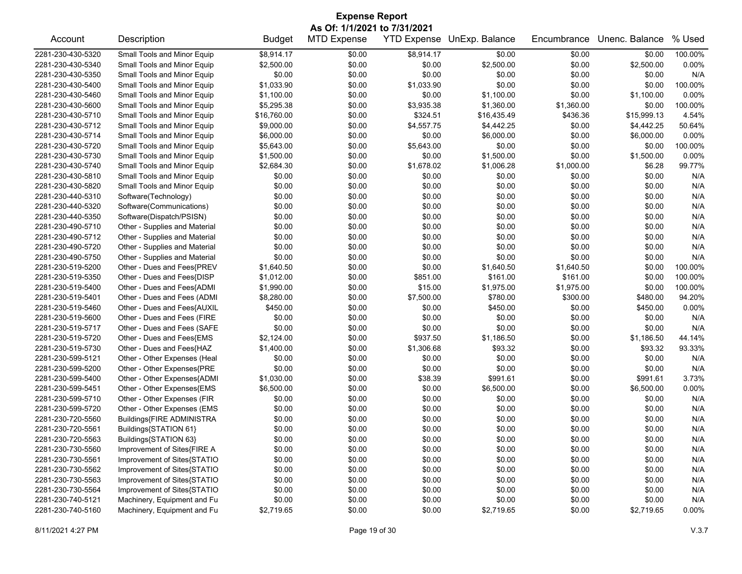| <b>Expense Report</b><br>As Of: 1/1/2021 to 7/31/2021 |                               |               |                    |            |                            |             |                |          |  |
|-------------------------------------------------------|-------------------------------|---------------|--------------------|------------|----------------------------|-------------|----------------|----------|--|
| Account                                               | Description                   | <b>Budget</b> | <b>MTD Expense</b> |            | YTD Expense UnExp. Balance | Encumbrance | Unenc. Balance | % Used   |  |
| 2281-230-430-5320                                     | Small Tools and Minor Equip   | \$8,914.17    | \$0.00             | \$8,914.17 | \$0.00                     | \$0.00      | \$0.00         | 100.00%  |  |
| 2281-230-430-5340                                     | Small Tools and Minor Equip   | \$2,500.00    | \$0.00             | \$0.00     | \$2,500.00                 | \$0.00      | \$2,500.00     | 0.00%    |  |
| 2281-230-430-5350                                     | Small Tools and Minor Equip   | \$0.00        | \$0.00             | \$0.00     | \$0.00                     | \$0.00      | \$0.00         | N/A      |  |
| 2281-230-430-5400                                     | Small Tools and Minor Equip   | \$1,033.90    | \$0.00             | \$1,033.90 | \$0.00                     | \$0.00      | \$0.00         | 100.00%  |  |
| 2281-230-430-5460                                     | Small Tools and Minor Equip   | \$1,100.00    | \$0.00             | \$0.00     | \$1,100.00                 | \$0.00      | \$1,100.00     | 0.00%    |  |
| 2281-230-430-5600                                     | Small Tools and Minor Equip   | \$5,295.38    | \$0.00             | \$3,935.38 | \$1,360.00                 | \$1,360.00  | \$0.00         | 100.00%  |  |
| 2281-230-430-5710                                     | Small Tools and Minor Equip   | \$16,760.00   | \$0.00             | \$324.51   | \$16,435.49                | \$436.36    | \$15,999.13    | 4.54%    |  |
| 2281-230-430-5712                                     | Small Tools and Minor Equip   | \$9,000.00    | \$0.00             | \$4,557.75 | \$4,442.25                 | \$0.00      | \$4,442.25     | 50.64%   |  |
| 2281-230-430-5714                                     | Small Tools and Minor Equip   | \$6,000.00    | \$0.00             | \$0.00     | \$6,000.00                 | \$0.00      | \$6,000.00     | 0.00%    |  |
| 2281-230-430-5720                                     | Small Tools and Minor Equip   | \$5,643.00    | \$0.00             | \$5,643.00 | \$0.00                     | \$0.00      | \$0.00         | 100.00%  |  |
| 2281-230-430-5730                                     | Small Tools and Minor Equip   | \$1,500.00    | \$0.00             | \$0.00     | \$1,500.00                 | \$0.00      | \$1,500.00     | 0.00%    |  |
| 2281-230-430-5740                                     | Small Tools and Minor Equip   | \$2,684.30    | \$0.00             | \$1,678.02 | \$1,006.28                 | \$1,000.00  | \$6.28         | 99.77%   |  |
| 2281-230-430-5810                                     | Small Tools and Minor Equip   | \$0.00        | \$0.00             | \$0.00     | \$0.00                     | \$0.00      | \$0.00         | N/A      |  |
| 2281-230-430-5820                                     | Small Tools and Minor Equip   | \$0.00        | \$0.00             | \$0.00     | \$0.00                     | \$0.00      | \$0.00         | N/A      |  |
| 2281-230-440-5310                                     | Software(Technology)          | \$0.00        | \$0.00             | \$0.00     | \$0.00                     | \$0.00      | \$0.00         | N/A      |  |
| 2281-230-440-5320                                     | Software(Communications)      | \$0.00        | \$0.00             | \$0.00     | \$0.00                     | \$0.00      | \$0.00         | N/A      |  |
| 2281-230-440-5350                                     | Software(Dispatch/PSISN)      | \$0.00        | \$0.00             | \$0.00     | \$0.00                     | \$0.00      | \$0.00         | N/A      |  |
| 2281-230-490-5710                                     | Other - Supplies and Material | \$0.00        | \$0.00             | \$0.00     | \$0.00                     | \$0.00      | \$0.00         | N/A      |  |
| 2281-230-490-5712                                     | Other - Supplies and Material | \$0.00        | \$0.00             | \$0.00     | \$0.00                     | \$0.00      | \$0.00         | N/A      |  |
| 2281-230-490-5720                                     | Other - Supplies and Material | \$0.00        | \$0.00             | \$0.00     | \$0.00                     | \$0.00      | \$0.00         | N/A      |  |
| 2281-230-490-5750                                     | Other - Supplies and Material | \$0.00        | \$0.00             | \$0.00     | \$0.00                     | \$0.00      | \$0.00         | N/A      |  |
| 2281-230-519-5200                                     | Other - Dues and Fees{PREV    | \$1,640.50    | \$0.00             | \$0.00     | \$1,640.50                 | \$1,640.50  | \$0.00         | 100.00%  |  |
| 2281-230-519-5350                                     | Other - Dues and Fees{DISP    | \$1,012.00    | \$0.00             | \$851.00   | \$161.00                   | \$161.00    | \$0.00         | 100.00%  |  |
| 2281-230-519-5400                                     | Other - Dues and Fees{ADMI    | \$1,990.00    | \$0.00             | \$15.00    | \$1,975.00                 | \$1,975.00  | \$0.00         | 100.00%  |  |
| 2281-230-519-5401                                     | Other - Dues and Fees (ADMI   | \$8,280.00    | \$0.00             | \$7,500.00 | \$780.00                   | \$300.00    | \$480.00       | 94.20%   |  |
| 2281-230-519-5460                                     | Other - Dues and Fees{AUXIL   | \$450.00      | \$0.00             | \$0.00     | \$450.00                   | \$0.00      | \$450.00       | 0.00%    |  |
| 2281-230-519-5600                                     | Other - Dues and Fees (FIRE   | \$0.00        | \$0.00             | \$0.00     | \$0.00                     | \$0.00      | \$0.00         | N/A      |  |
| 2281-230-519-5717                                     | Other - Dues and Fees (SAFE   | \$0.00        | \$0.00             | \$0.00     | \$0.00                     |             | \$0.00         | N/A      |  |
|                                                       |                               |               |                    |            |                            | \$0.00      |                |          |  |
| 2281-230-519-5720                                     | Other - Dues and Fees{EMS     | \$2,124.00    | \$0.00             | \$937.50   | \$1,186.50                 | \$0.00      | \$1,186.50     | 44.14%   |  |
| 2281-230-519-5730                                     | Other - Dues and Fees{HAZ     | \$1,400.00    | \$0.00             | \$1,306.68 | \$93.32                    | \$0.00      | \$93.32        | 93.33%   |  |
| 2281-230-599-5121                                     | Other - Other Expenses (Heal  | \$0.00        | \$0.00             | \$0.00     | \$0.00                     | \$0.00      | \$0.00         | N/A      |  |
| 2281-230-599-5200                                     | Other - Other Expenses{PRE    | \$0.00        | \$0.00             | \$0.00     | \$0.00                     | \$0.00      | \$0.00         | N/A      |  |
| 2281-230-599-5400                                     | Other - Other Expenses{ADMI   | \$1,030.00    | \$0.00             | \$38.39    | \$991.61                   | \$0.00      | \$991.61       | 3.73%    |  |
| 2281-230-599-5451                                     | Other - Other Expenses{EMS    | \$6,500.00    | \$0.00             | \$0.00     | \$6,500.00                 | \$0.00      | \$6,500.00     | 0.00%    |  |
| 2281-230-599-5710                                     | Other - Other Expenses (FIR   | \$0.00        | \$0.00             | \$0.00     | \$0.00                     | \$0.00      | \$0.00         | N/A      |  |
| 2281-230-599-5720                                     | Other - Other Expenses (EMS   | \$0.00        | \$0.00             | \$0.00     | \$0.00                     | \$0.00      | \$0.00         | N/A      |  |
| 2281-230-720-5560                                     | Buildings{FIRE ADMINISTRA     | \$0.00        | \$0.00             | \$0.00     | \$0.00                     | \$0.00      | \$0.00         | N/A      |  |
| 2281-230-720-5561                                     | Buildings{STATION 61}         | \$0.00        | \$0.00             | \$0.00     | \$0.00                     | \$0.00      | \$0.00         | N/A      |  |
| 2281-230-720-5563                                     | Buildings{STATION 63}         | \$0.00        | \$0.00             | \$0.00     | \$0.00                     | \$0.00      | \$0.00         | N/A      |  |
| 2281-230-730-5560                                     | Improvement of Sites{FIRE A   | \$0.00        | \$0.00             | \$0.00     | \$0.00                     | \$0.00      | \$0.00         | N/A      |  |
| 2281-230-730-5561                                     | Improvement of Sites{STATIO   | \$0.00        | \$0.00             | \$0.00     | \$0.00                     | \$0.00      | \$0.00         | N/A      |  |
| 2281-230-730-5562                                     | Improvement of Sites{STATIO   | \$0.00        | \$0.00             | \$0.00     | \$0.00                     | \$0.00      | \$0.00         | N/A      |  |
| 2281-230-730-5563                                     | Improvement of Sites{STATIO   | \$0.00        | \$0.00             | \$0.00     | \$0.00                     | \$0.00      | \$0.00         | N/A      |  |
| 2281-230-730-5564                                     | Improvement of Sites{STATIO   | \$0.00        | \$0.00             | \$0.00     | \$0.00                     | \$0.00      | \$0.00         | N/A      |  |
| 2281-230-740-5121                                     | Machinery, Equipment and Fu   | \$0.00        | \$0.00             | \$0.00     | \$0.00                     | \$0.00      | \$0.00         | N/A      |  |
| 2281-230-740-5160                                     | Machinery, Equipment and Fu   | \$2,719.65    | \$0.00             | \$0.00     | \$2,719.65                 | \$0.00      | \$2,719.65     | $0.00\%$ |  |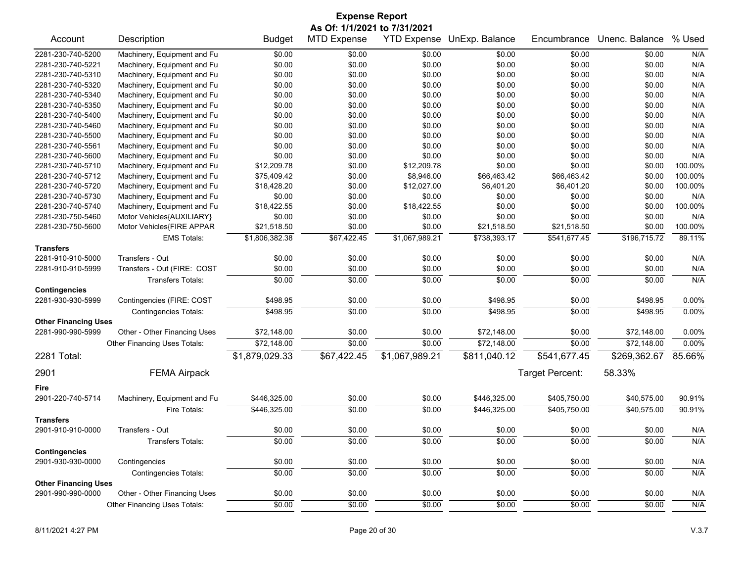|                             |                              |                | <b>Expense Report</b> |                |                            |                 |                |         |  |  |
|-----------------------------|------------------------------|----------------|-----------------------|----------------|----------------------------|-----------------|----------------|---------|--|--|
|                             | As Of: 1/1/2021 to 7/31/2021 |                |                       |                |                            |                 |                |         |  |  |
| Account                     | Description                  | <b>Budget</b>  | <b>MTD Expense</b>    |                | YTD Expense UnExp. Balance | Encumbrance     | Unenc. Balance | % Used  |  |  |
| 2281-230-740-5200           | Machinery, Equipment and Fu  | \$0.00         | \$0.00                | \$0.00         | \$0.00                     | \$0.00          | \$0.00         | N/A     |  |  |
| 2281-230-740-5221           | Machinery, Equipment and Fu  | \$0.00         | \$0.00                | \$0.00         | \$0.00                     | \$0.00          | \$0.00         | N/A     |  |  |
| 2281-230-740-5310           | Machinery, Equipment and Fu  | \$0.00         | \$0.00                | \$0.00         | \$0.00                     | \$0.00          | \$0.00         | N/A     |  |  |
| 2281-230-740-5320           | Machinery, Equipment and Fu  | \$0.00         | \$0.00                | \$0.00         | \$0.00                     | \$0.00          | \$0.00         | N/A     |  |  |
| 2281-230-740-5340           | Machinery, Equipment and Fu  | \$0.00         | \$0.00                | \$0.00         | \$0.00                     | \$0.00          | \$0.00         | N/A     |  |  |
| 2281-230-740-5350           | Machinery, Equipment and Fu  | \$0.00         | \$0.00                | \$0.00         | \$0.00                     | \$0.00          | \$0.00         | N/A     |  |  |
| 2281-230-740-5400           | Machinery, Equipment and Fu  | \$0.00         | \$0.00                | \$0.00         | \$0.00                     | \$0.00          | \$0.00         | N/A     |  |  |
| 2281-230-740-5460           | Machinery, Equipment and Fu  | \$0.00         | \$0.00                | \$0.00         | \$0.00                     | \$0.00          | \$0.00         | N/A     |  |  |
| 2281-230-740-5500           | Machinery, Equipment and Fu  | \$0.00         | \$0.00                | \$0.00         | \$0.00                     | \$0.00          | \$0.00         | N/A     |  |  |
| 2281-230-740-5561           | Machinery, Equipment and Fu  | \$0.00         | \$0.00                | \$0.00         | \$0.00                     | \$0.00          | \$0.00         | N/A     |  |  |
| 2281-230-740-5600           | Machinery, Equipment and Fu  | \$0.00         | \$0.00                | \$0.00         | \$0.00                     | \$0.00          | \$0.00         | N/A     |  |  |
| 2281-230-740-5710           | Machinery, Equipment and Fu  | \$12,209.78    | \$0.00                | \$12,209.78    | \$0.00                     | \$0.00          | \$0.00         | 100.00% |  |  |
| 2281-230-740-5712           | Machinery, Equipment and Fu  | \$75,409.42    | \$0.00                | \$8,946.00     | \$66,463.42                | \$66,463.42     | \$0.00         | 100.00% |  |  |
| 2281-230-740-5720           | Machinery, Equipment and Fu  | \$18,428.20    | \$0.00                | \$12,027.00    | \$6,401.20                 | \$6,401.20      | \$0.00         | 100.00% |  |  |
| 2281-230-740-5730           | Machinery, Equipment and Fu  | \$0.00         | \$0.00                | \$0.00         | \$0.00                     | \$0.00          | \$0.00         | N/A     |  |  |
| 2281-230-740-5740           | Machinery, Equipment and Fu  | \$18,422.55    | \$0.00                | \$18,422.55    | \$0.00                     | \$0.00          | \$0.00         | 100.00% |  |  |
| 2281-230-750-5460           | Motor Vehicles{AUXILIARY}    | \$0.00         | \$0.00                | \$0.00         | \$0.00                     | \$0.00          | \$0.00         | N/A     |  |  |
| 2281-230-750-5600           | Motor Vehicles{FIRE APPAR    | \$21,518.50    | \$0.00                | \$0.00         | \$21,518.50                | \$21,518.50     | \$0.00         | 100.00% |  |  |
|                             | <b>EMS Totals:</b>           | \$1,806,382.38 | \$67,422.45           | \$1,067,989.21 | \$738,393.17               | \$541,677.45    | \$196,715.72   | 89.11%  |  |  |
| <b>Transfers</b>            |                              |                |                       |                |                            |                 |                |         |  |  |
| 2281-910-910-5000           | Transfers - Out              | \$0.00         | \$0.00                | \$0.00         | \$0.00                     | \$0.00          | \$0.00         | N/A     |  |  |
| 2281-910-910-5999           | Transfers - Out (FIRE: COST  | \$0.00         | \$0.00                | \$0.00         | \$0.00                     | \$0.00          | \$0.00         | N/A     |  |  |
|                             | <b>Transfers Totals:</b>     | \$0.00         | \$0.00                | \$0.00         | \$0.00                     | \$0.00          | \$0.00         | N/A     |  |  |
| <b>Contingencies</b>        |                              |                |                       |                |                            |                 |                |         |  |  |
| 2281-930-930-5999           | Contingencies (FIRE: COST    | \$498.95       | \$0.00                | \$0.00         | \$498.95                   | \$0.00          | \$498.95       | 0.00%   |  |  |
|                             | <b>Contingencies Totals:</b> | \$498.95       | \$0.00                | \$0.00         | \$498.95                   | \$0.00          | \$498.95       | 0.00%   |  |  |
| <b>Other Financing Uses</b> |                              |                |                       |                |                            |                 |                |         |  |  |
| 2281-990-990-5999           | Other - Other Financing Uses | \$72,148.00    | \$0.00                | \$0.00         | \$72,148.00                | \$0.00          | \$72,148.00    | 0.00%   |  |  |
|                             | Other Financing Uses Totals: | \$72,148.00    | \$0.00                | \$0.00         | \$72,148.00                | \$0.00          | \$72,148.00    | 0.00%   |  |  |
| 2281 Total:                 |                              | \$1,879,029.33 | \$67,422.45           | \$1,067,989.21 | \$811,040.12               | \$541,677.45    | \$269,362.67   | 85.66%  |  |  |
| 2901                        | <b>FEMA Airpack</b>          |                |                       |                |                            | Target Percent: | 58.33%         |         |  |  |
| Fire                        |                              |                |                       |                |                            |                 |                |         |  |  |
| 2901-220-740-5714           | Machinery, Equipment and Fu  | \$446,325.00   | \$0.00                | \$0.00         | \$446,325.00               | \$405,750.00    | \$40,575.00    | 90.91%  |  |  |
|                             | Fire Totals:                 | \$446,325.00   | \$0.00                | \$0.00         | \$446,325.00               | \$405,750.00    | \$40,575.00    | 90.91%  |  |  |
| <b>Transfers</b>            |                              |                |                       |                |                            |                 |                |         |  |  |
| 2901-910-910-0000           | Transfers - Out              | \$0.00         | \$0.00                | \$0.00         | \$0.00                     | \$0.00          | \$0.00         | N/A     |  |  |
|                             | Transfers Totals:            | \$0.00         | \$0.00                | \$0.00         | \$0.00                     | \$0.00          | \$0.00         | N/A     |  |  |
| <b>Contingencies</b>        |                              |                |                       |                |                            |                 |                |         |  |  |
| 2901-930-930-0000           | Contingencies                | \$0.00         | \$0.00                | \$0.00         | \$0.00                     | \$0.00          | \$0.00         | N/A     |  |  |
|                             | <b>Contingencies Totals:</b> | \$0.00         | \$0.00                | \$0.00         | \$0.00                     | \$0.00          | \$0.00         | N/A     |  |  |
| <b>Other Financing Uses</b> |                              |                |                       |                |                            |                 |                |         |  |  |
| 2901-990-990-0000           | Other - Other Financing Uses | \$0.00         | \$0.00                | \$0.00         | \$0.00                     | \$0.00          | \$0.00         | N/A     |  |  |
|                             | Other Financing Uses Totals: | \$0.00         | \$0.00                | \$0.00         | \$0.00                     | \$0.00          | \$0.00         | N/A     |  |  |
|                             |                              |                |                       |                |                            |                 |                |         |  |  |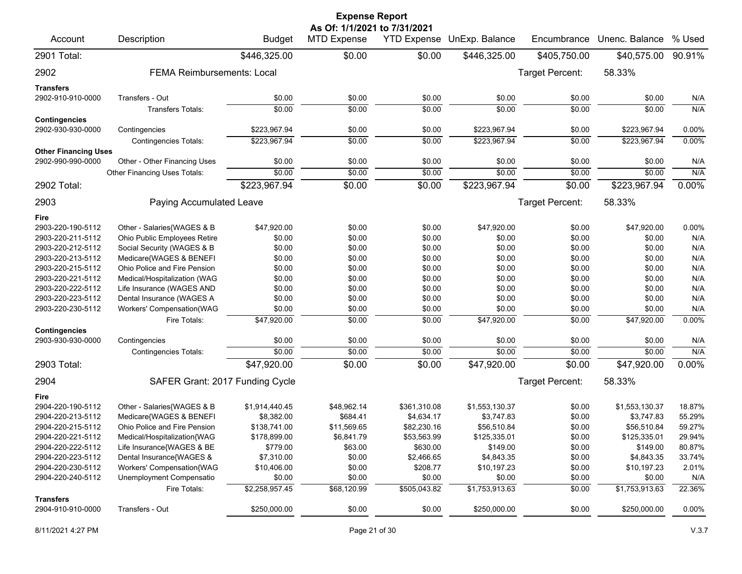|                                           |                                   |                | <b>Expense Report</b>                              |                    |                |                        |                            |          |
|-------------------------------------------|-----------------------------------|----------------|----------------------------------------------------|--------------------|----------------|------------------------|----------------------------|----------|
| Account                                   | Description                       | <b>Budget</b>  | As Of: 1/1/2021 to 7/31/2021<br><b>MTD Expense</b> | <b>YTD Expense</b> | UnExp. Balance | Encumbrance            | Unenc. Balance             | % Used   |
| 2901 Total:                               |                                   | \$446,325.00   | \$0.00                                             | \$0.00             | \$446,325.00   | \$405,750.00           | \$40,575.00                | 90.91%   |
| 2902                                      | <b>FEMA Reimbursements: Local</b> |                |                                                    |                    |                | <b>Target Percent:</b> | 58.33%                     |          |
| <b>Transfers</b>                          |                                   |                |                                                    |                    |                |                        |                            |          |
| 2902-910-910-0000                         | Transfers - Out                   | \$0.00         | \$0.00                                             | \$0.00             | \$0.00         | \$0.00                 | \$0.00                     | N/A      |
|                                           | Transfers Totals:                 | \$0.00         | \$0.00                                             | \$0.00             | \$0.00         | \$0.00                 | \$0.00                     | N/A      |
| <b>Contingencies</b><br>2902-930-930-0000 | Contingencies                     | \$223,967.94   | \$0.00                                             | \$0.00             | \$223,967.94   | \$0.00                 | \$223,967.94               | 0.00%    |
|                                           | <b>Contingencies Totals:</b>      | \$223,967.94   | \$0.00                                             | \$0.00             | \$223,967.94   | \$0.00                 | \$223,967.94               | 0.00%    |
| <b>Other Financing Uses</b>               |                                   |                |                                                    |                    |                |                        |                            |          |
| 2902-990-990-0000                         | Other - Other Financing Uses      | \$0.00         | \$0.00                                             | \$0.00             | \$0.00         | \$0.00                 | \$0.00                     | N/A      |
|                                           | Other Financing Uses Totals:      | \$0.00         | \$0.00                                             | \$0.00             | \$0.00         | \$0.00                 | \$0.00                     | N/A      |
| 2902 Total:                               |                                   | \$223,967.94   | \$0.00                                             | $\sqrt{$0.00}$     | \$223,967.94   | \$0.00                 | \$223,967.94               | $0.00\%$ |
| 2903                                      | Paying Accumulated Leave          |                |                                                    |                    |                | Target Percent:        | 58.33%                     |          |
| Fire                                      |                                   |                |                                                    |                    |                |                        |                            |          |
| 2903-220-190-5112                         | Other - Salaries{WAGES & B        | \$47,920.00    | \$0.00                                             | \$0.00             | \$47,920.00    | \$0.00                 | \$47,920.00                | 0.00%    |
| 2903-220-211-5112                         | Ohio Public Employees Retire      | \$0.00         | \$0.00                                             | \$0.00             | \$0.00         | \$0.00                 | \$0.00                     | N/A      |
| 2903-220-212-5112                         | Social Security (WAGES & B        | \$0.00         | \$0.00                                             | \$0.00             | \$0.00         | \$0.00                 | \$0.00                     | N/A      |
| 2903-220-213-5112                         | Medicare{WAGES & BENEFI           | \$0.00         | \$0.00                                             | \$0.00             | \$0.00         | \$0.00                 | \$0.00                     | N/A      |
| 2903-220-215-5112                         | Ohio Police and Fire Pension      | \$0.00         | \$0.00                                             | \$0.00             | \$0.00         | \$0.00                 | \$0.00                     | N/A      |
| 2903-220-221-5112                         | Medical/Hospitalization (WAG      | \$0.00         | \$0.00                                             | \$0.00             | \$0.00         | \$0.00                 | \$0.00                     | N/A      |
| 2903-220-222-5112                         | Life Insurance (WAGES AND         | \$0.00         | \$0.00                                             | \$0.00             | \$0.00         | \$0.00                 | \$0.00                     | N/A      |
| 2903-220-223-5112                         | Dental Insurance (WAGES A         | \$0.00         | \$0.00                                             | \$0.00             | \$0.00         | \$0.00                 | \$0.00                     | N/A      |
| 2903-220-230-5112                         | Workers' Compensation(WAG         | \$0.00         | \$0.00                                             | \$0.00             | \$0.00         | \$0.00                 | \$0.00                     | N/A      |
| <b>Contingencies</b>                      | Fire Totals:                      | \$47,920.00    | \$0.00                                             | \$0.00             | \$47,920.00    | \$0.00                 | \$47,920.00                | 0.00%    |
| 2903-930-930-0000                         | Contingencies                     | \$0.00         | \$0.00                                             | \$0.00             | \$0.00         | \$0.00                 | \$0.00                     | N/A      |
|                                           | <b>Contingencies Totals:</b>      | \$0.00         | \$0.00                                             | \$0.00             | \$0.00         | \$0.00                 | \$0.00                     | N/A      |
| 2903 Total:                               |                                   | \$47,920.00    | \$0.00                                             | \$0.00             | \$47,920.00    | \$0.00                 | \$47,920.00                | 0.00%    |
| 2904                                      | SAFER Grant: 2017 Funding Cycle   |                |                                                    |                    |                | Target Percent:        | 58.33%                     |          |
| Fire                                      |                                   |                |                                                    |                    |                |                        |                            |          |
| 2904-220-190-5112                         | Other - Salaries{WAGES & B        | \$1,914,440.45 | \$48,962.14                                        | \$361,310.08       | \$1,553,130.37 | \$0.00                 | \$1,553,130.37             | 18.87%   |
| 2904-220-213-5112                         | Medicare{WAGES & BENEFI           | \$8,382.00     | \$684.41                                           | \$4,634.17         | \$3,747.83     | \$0.00                 | \$3,747.83                 | 55.29%   |
| 2904-220-215-5112                         | Ohio Police and Fire Pension      | \$138,741.00   | \$11,569.65                                        | \$82,230.16        | \$56,510.84    | \$0.00                 | \$56,510.84                | 59.27%   |
| 2904-220-221-5112                         | Medical/Hospitalization{WAG       | \$178,899.00   | \$6,841.79                                         | \$53,563.99        | \$125,335.01   | \$0.00                 | \$125,335.01               | 29.94%   |
| 2904-220-222-5112                         | Life Insurance{WAGES & BE         | \$779.00       | \$63.00                                            | \$630.00           | \$149.00       | \$0.00                 | \$149.00                   | 80.87%   |
| 2904-220-223-5112                         | Dental Insurance{WAGES &          | \$7,310.00     | \$0.00                                             | \$2,466.65         | \$4,843.35     | \$0.00                 | \$4,843.35                 | 33.74%   |
| 2904-220-230-5112                         | Workers' Compensation{WAG         | \$10,406.00    | \$0.00                                             | \$208.77           | \$10,197.23    | \$0.00                 | \$10,197.23                | 2.01%    |
| 2904-220-240-5112                         | Unemployment Compensatio          | \$0.00         | \$0.00                                             | \$0.00             | \$0.00         | \$0.00                 | \$0.00                     | N/A      |
|                                           | Fire Totals:                      | \$2,258,957.45 | \$68,120.99                                        | \$505,043.82       | \$1,753,913.63 | \$0.00                 | $\overline{$1,753,913.63}$ | 22.36%   |
| <b>Transfers</b>                          |                                   |                |                                                    |                    |                |                        |                            |          |
| 2904-910-910-0000                         | Transfers - Out                   | \$250,000.00   | \$0.00                                             | \$0.00             | \$250,000.00   | \$0.00                 | \$250,000.00               | 0.00%    |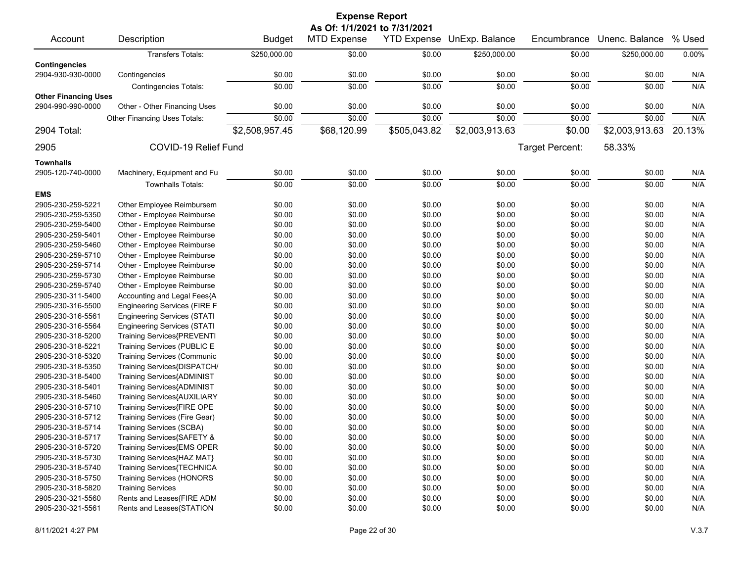|                             |                                     |                | <b>Expense Report</b> |                    |                |                 |                |        |  |  |  |
|-----------------------------|-------------------------------------|----------------|-----------------------|--------------------|----------------|-----------------|----------------|--------|--|--|--|
|                             | As Of: 1/1/2021 to 7/31/2021        |                |                       |                    |                |                 |                |        |  |  |  |
| Account                     | Description                         | <b>Budget</b>  | <b>MTD Expense</b>    | <b>YTD Expense</b> | UnExp. Balance | Encumbrance     | Unenc. Balance | % Used |  |  |  |
|                             | <b>Transfers Totals:</b>            | \$250,000.00   | \$0.00                | \$0.00             | \$250,000.00   | \$0.00          | \$250,000.00   | 0.00%  |  |  |  |
| <b>Contingencies</b>        |                                     |                |                       |                    |                |                 |                |        |  |  |  |
| 2904-930-930-0000           | Contingencies                       | \$0.00         | \$0.00                | \$0.00             | \$0.00         | \$0.00          | \$0.00         | N/A    |  |  |  |
|                             | <b>Contingencies Totals:</b>        | \$0.00         | \$0.00                | \$0.00             | \$0.00         | \$0.00          | \$0.00         | N/A    |  |  |  |
| <b>Other Financing Uses</b> |                                     |                |                       |                    |                |                 |                |        |  |  |  |
| 2904-990-990-0000           | Other - Other Financing Uses        | \$0.00         | \$0.00                | \$0.00             | \$0.00         | \$0.00          | \$0.00         | N/A    |  |  |  |
|                             | <b>Other Financing Uses Totals:</b> | \$0.00         | \$0.00                | \$0.00             | \$0.00         | \$0.00          | \$0.00         | N/A    |  |  |  |
| 2904 Total:                 |                                     | \$2,508,957.45 | \$68,120.99           | \$505,043.82       | \$2,003,913.63 | \$0.00          | \$2,003,913.63 | 20.13% |  |  |  |
| 2905                        | COVID-19 Relief Fund                |                |                       |                    |                | Target Percent: | 58.33%         |        |  |  |  |
|                             |                                     |                |                       |                    |                |                 |                |        |  |  |  |
| <b>Townhalls</b>            |                                     |                |                       |                    |                |                 |                |        |  |  |  |
| 2905-120-740-0000           | Machinery, Equipment and Fu         | \$0.00         | \$0.00                | \$0.00             | \$0.00         | \$0.00          | \$0.00         | N/A    |  |  |  |
|                             | <b>Townhalls Totals:</b>            | \$0.00         | \$0.00                | \$0.00             | \$0.00         | \$0.00          | \$0.00         | N/A    |  |  |  |
| <b>EMS</b>                  |                                     |                |                       |                    |                |                 |                |        |  |  |  |
| 2905-230-259-5221           | Other Employee Reimbursem           | \$0.00         | \$0.00                | \$0.00             | \$0.00         | \$0.00          | \$0.00         | N/A    |  |  |  |
| 2905-230-259-5350           | Other - Employee Reimburse          | \$0.00         | \$0.00                | \$0.00             | \$0.00         | \$0.00          | \$0.00         | N/A    |  |  |  |
| 2905-230-259-5400           | Other - Employee Reimburse          | \$0.00         | \$0.00                | \$0.00             | \$0.00         | \$0.00          | \$0.00         | N/A    |  |  |  |
| 2905-230-259-5401           | Other - Employee Reimburse          | \$0.00         | \$0.00                | \$0.00             | \$0.00         | \$0.00          | \$0.00         | N/A    |  |  |  |
| 2905-230-259-5460           | Other - Employee Reimburse          | \$0.00         | \$0.00                | \$0.00             | \$0.00         | \$0.00          | \$0.00         | N/A    |  |  |  |
| 2905-230-259-5710           | Other - Employee Reimburse          | \$0.00         | \$0.00                | \$0.00             | \$0.00         | \$0.00          | \$0.00         | N/A    |  |  |  |
| 2905-230-259-5714           | Other - Employee Reimburse          | \$0.00         | \$0.00                | \$0.00             | \$0.00         | \$0.00          | \$0.00         | N/A    |  |  |  |
| 2905-230-259-5730           | Other - Employee Reimburse          | \$0.00         | \$0.00                | \$0.00             | \$0.00         | \$0.00          | \$0.00         | N/A    |  |  |  |
| 2905-230-259-5740           | Other - Employee Reimburse          | \$0.00         | \$0.00                | \$0.00             | \$0.00         | \$0.00          | \$0.00         | N/A    |  |  |  |
| 2905-230-311-5400           | Accounting and Legal Fees{A         | \$0.00         | \$0.00                | \$0.00             | \$0.00         | \$0.00          | \$0.00         | N/A    |  |  |  |
| 2905-230-316-5500           | <b>Engineering Services (FIRE F</b> | \$0.00         | \$0.00                | \$0.00             | \$0.00         | \$0.00          | \$0.00         | N/A    |  |  |  |
| 2905-230-316-5561           | <b>Engineering Services (STATI</b>  | \$0.00         | \$0.00                | \$0.00             | \$0.00         | \$0.00          | \$0.00         | N/A    |  |  |  |
| 2905-230-316-5564           | <b>Engineering Services (STATI</b>  | \$0.00         | \$0.00                | \$0.00             | \$0.00         | \$0.00          | \$0.00         | N/A    |  |  |  |
| 2905-230-318-5200           | Training Services{PREVENTI          | \$0.00         | \$0.00                | \$0.00             | \$0.00         | \$0.00          | \$0.00         | N/A    |  |  |  |
| 2905-230-318-5221           | Training Services (PUBLIC E         | \$0.00         | \$0.00                | \$0.00             | \$0.00         | \$0.00          | \$0.00         | N/A    |  |  |  |
| 2905-230-318-5320           | <b>Training Services (Communic</b>  | \$0.00         | \$0.00                | \$0.00             | \$0.00         | \$0.00          | \$0.00         | N/A    |  |  |  |
| 2905-230-318-5350           | Training Services{DISPATCH/         | \$0.00         | \$0.00                | \$0.00             | \$0.00         | \$0.00          | \$0.00         | N/A    |  |  |  |
| 2905-230-318-5400           | Training Services{ADMINIST          | \$0.00         | \$0.00                | \$0.00             | \$0.00         | \$0.00          | \$0.00         | N/A    |  |  |  |
| 2905-230-318-5401           | <b>Training Services{ADMINIST</b>   | \$0.00         | \$0.00                | \$0.00             | \$0.00         | \$0.00          | \$0.00         | N/A    |  |  |  |
| 2905-230-318-5460           | Training Services{AUXILIARY         | \$0.00         | \$0.00                | \$0.00             | \$0.00         | \$0.00          | \$0.00         | N/A    |  |  |  |
| 2905-230-318-5710           | Training Services{FIRE OPE          | \$0.00         | \$0.00                | \$0.00             | \$0.00         | \$0.00          | \$0.00         | N/A    |  |  |  |
| 2905-230-318-5712           | Training Services (Fire Gear)       | \$0.00         | \$0.00                | \$0.00             | \$0.00         | \$0.00          | \$0.00         | N/A    |  |  |  |
| 2905-230-318-5714           | <b>Training Services (SCBA)</b>     | \$0.00         | \$0.00                | \$0.00             | \$0.00         | \$0.00          | \$0.00         | N/A    |  |  |  |
| 2905-230-318-5717           | Training Services{SAFETY &          | \$0.00         | \$0.00                | \$0.00             | \$0.00         | \$0.00          | \$0.00         | N/A    |  |  |  |
| 2905-230-318-5720           | Training Services{EMS OPER          | \$0.00         | \$0.00                | \$0.00             | \$0.00         | \$0.00          | \$0.00         | N/A    |  |  |  |
| 2905-230-318-5730           | Training Services{HAZ MAT}          | \$0.00         | \$0.00                | \$0.00             | \$0.00         | \$0.00          | \$0.00         | N/A    |  |  |  |
| 2905-230-318-5740           | Training Services{TECHNICA          | \$0.00         | \$0.00                | \$0.00             | \$0.00         | \$0.00          | \$0.00         | N/A    |  |  |  |
| 2905-230-318-5750           | <b>Training Services (HONORS</b>    | \$0.00         | \$0.00                | \$0.00             | \$0.00         | \$0.00          | \$0.00         | N/A    |  |  |  |
| 2905-230-318-5820           | <b>Training Services</b>            | \$0.00         | \$0.00                | \$0.00             | \$0.00         | \$0.00          | \$0.00         | N/A    |  |  |  |
| 2905-230-321-5560           | Rents and Leases{FIRE ADM           | \$0.00         | \$0.00                | \$0.00             | \$0.00         | \$0.00          | \$0.00         | N/A    |  |  |  |
| 2905-230-321-5561           | Rents and Leases{STATION            | \$0.00         | \$0.00                | \$0.00             | \$0.00         | \$0.00          | \$0.00         | N/A    |  |  |  |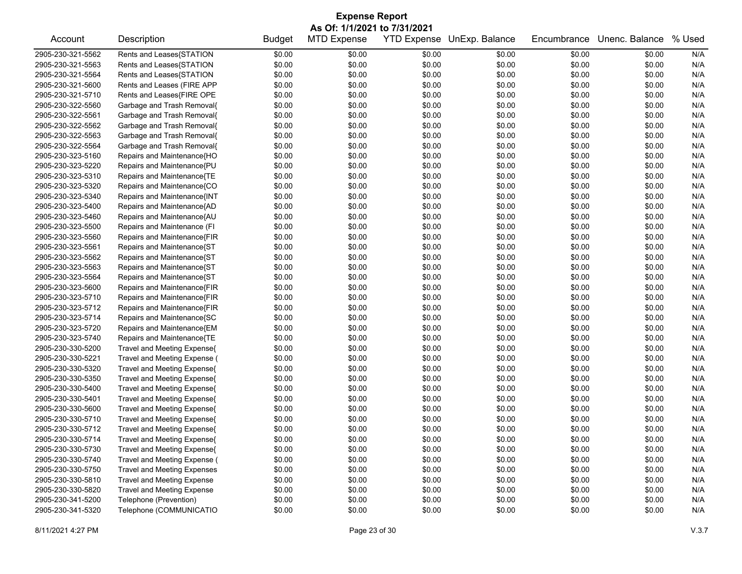| <b>Expense Report</b>        |                                    |               |                    |                    |                |             |                |        |  |
|------------------------------|------------------------------------|---------------|--------------------|--------------------|----------------|-------------|----------------|--------|--|
| As Of: 1/1/2021 to 7/31/2021 |                                    |               |                    |                    |                |             |                |        |  |
| Account                      | Description                        | <b>Budget</b> | <b>MTD Expense</b> | <b>YTD Expense</b> | UnExp. Balance | Encumbrance | Unenc. Balance | % Used |  |
| 2905-230-321-5562            | Rents and Leases{STATION           | \$0.00        | \$0.00             | \$0.00             | \$0.00         | \$0.00      | \$0.00         | N/A    |  |
| 2905-230-321-5563            | Rents and Leases{STATION           | \$0.00        | \$0.00             | \$0.00             | \$0.00         | \$0.00      | \$0.00         | N/A    |  |
| 2905-230-321-5564            | Rents and Leases{STATION           | \$0.00        | \$0.00             | \$0.00             | \$0.00         | \$0.00      | \$0.00         | N/A    |  |
| 2905-230-321-5600            | Rents and Leases (FIRE APP         | \$0.00        | \$0.00             | \$0.00             | \$0.00         | \$0.00      | \$0.00         | N/A    |  |
| 2905-230-321-5710            | Rents and Leases{FIRE OPE          | \$0.00        | \$0.00             | \$0.00             | \$0.00         | \$0.00      | \$0.00         | N/A    |  |
| 2905-230-322-5560            | Garbage and Trash Removal{         | \$0.00        | \$0.00             | \$0.00             | \$0.00         | \$0.00      | \$0.00         | N/A    |  |
| 2905-230-322-5561            | Garbage and Trash Removal{         | \$0.00        | \$0.00             | \$0.00             | \$0.00         | \$0.00      | \$0.00         | N/A    |  |
| 2905-230-322-5562            | Garbage and Trash Removal{         | \$0.00        | \$0.00             | \$0.00             | \$0.00         | \$0.00      | \$0.00         | N/A    |  |
| 2905-230-322-5563            | Garbage and Trash Removal{         | \$0.00        | \$0.00             | \$0.00             | \$0.00         | \$0.00      | \$0.00         | N/A    |  |
| 2905-230-322-5564            | Garbage and Trash Removal{         | \$0.00        | \$0.00             | \$0.00             | \$0.00         | \$0.00      | \$0.00         | N/A    |  |
| 2905-230-323-5160            | Repairs and Maintenance{HO         | \$0.00        | \$0.00             | \$0.00             | \$0.00         | \$0.00      | \$0.00         | N/A    |  |
| 2905-230-323-5220            | Repairs and Maintenance{PU         | \$0.00        | \$0.00             | \$0.00             | \$0.00         | \$0.00      | \$0.00         | N/A    |  |
| 2905-230-323-5310            | Repairs and Maintenance{TE         | \$0.00        | \$0.00             | \$0.00             | \$0.00         | \$0.00      | \$0.00         | N/A    |  |
| 2905-230-323-5320            | Repairs and Maintenance{CO         | \$0.00        | \$0.00             | \$0.00             | \$0.00         | \$0.00      | \$0.00         | N/A    |  |
| 2905-230-323-5340            | Repairs and Maintenance{INT        | \$0.00        | \$0.00             | \$0.00             | \$0.00         | \$0.00      | \$0.00         | N/A    |  |
| 2905-230-323-5400            | Repairs and Maintenance{AD         | \$0.00        | \$0.00             | \$0.00             | \$0.00         | \$0.00      | \$0.00         | N/A    |  |
| 2905-230-323-5460            | Repairs and Maintenance{AU         | \$0.00        | \$0.00             | \$0.00             | \$0.00         | \$0.00      | \$0.00         | N/A    |  |
| 2905-230-323-5500            | Repairs and Maintenance (FI        | \$0.00        | \$0.00             | \$0.00             | \$0.00         | \$0.00      | \$0.00         | N/A    |  |
| 2905-230-323-5560            | Repairs and Maintenance{FIR        | \$0.00        | \$0.00             | \$0.00             | \$0.00         | \$0.00      | \$0.00         | N/A    |  |
| 2905-230-323-5561            | Repairs and Maintenance{ST         | \$0.00        | \$0.00             | \$0.00             | \$0.00         | \$0.00      | \$0.00         | N/A    |  |
| 2905-230-323-5562            | Repairs and Maintenance{ST         | \$0.00        | \$0.00             | \$0.00             | \$0.00         | \$0.00      | \$0.00         | N/A    |  |
| 2905-230-323-5563            | Repairs and Maintenance{ST         | \$0.00        | \$0.00             | \$0.00             | \$0.00         | \$0.00      | \$0.00         | N/A    |  |
| 2905-230-323-5564            | Repairs and Maintenance{ST         | \$0.00        | \$0.00             | \$0.00             | \$0.00         | \$0.00      | \$0.00         | N/A    |  |
| 2905-230-323-5600            | Repairs and Maintenance{FIR        | \$0.00        | \$0.00             | \$0.00             | \$0.00         | \$0.00      | \$0.00         | N/A    |  |
| 2905-230-323-5710            | Repairs and Maintenance{FIR        | \$0.00        | \$0.00             | \$0.00             | \$0.00         | \$0.00      | \$0.00         | N/A    |  |
| 2905-230-323-5712            | Repairs and Maintenance{FIR        | \$0.00        | \$0.00             | \$0.00             | \$0.00         | \$0.00      | \$0.00         | N/A    |  |
| 2905-230-323-5714            | Repairs and Maintenance{SC         | \$0.00        | \$0.00             | \$0.00             | \$0.00         | \$0.00      | \$0.00         | N/A    |  |
| 2905-230-323-5720            | Repairs and Maintenance{EM         | \$0.00        | \$0.00             | \$0.00             | \$0.00         | \$0.00      | \$0.00         | N/A    |  |
| 2905-230-323-5740            | Repairs and Maintenance{TE         | \$0.00        | \$0.00             | \$0.00             | \$0.00         | \$0.00      | \$0.00         | N/A    |  |
| 2905-230-330-5200            | Travel and Meeting Expense{        | \$0.00        | \$0.00             | \$0.00             | \$0.00         | \$0.00      | \$0.00         | N/A    |  |
| 2905-230-330-5221            | Travel and Meeting Expense (       | \$0.00        | \$0.00             | \$0.00             | \$0.00         | \$0.00      | \$0.00         | N/A    |  |
| 2905-230-330-5320            | Travel and Meeting Expense{        | \$0.00        | \$0.00             | \$0.00             | \$0.00         | \$0.00      | \$0.00         | N/A    |  |
| 2905-230-330-5350            | Travel and Meeting Expense{        | \$0.00        | \$0.00             | \$0.00             | \$0.00         | \$0.00      | \$0.00         | N/A    |  |
| 2905-230-330-5400            | Travel and Meeting Expense{        | \$0.00        | \$0.00             | \$0.00             | \$0.00         | \$0.00      | \$0.00         | N/A    |  |
| 2905-230-330-5401            | Travel and Meeting Expense{        | \$0.00        | \$0.00             | \$0.00             | \$0.00         | \$0.00      | \$0.00         | N/A    |  |
| 2905-230-330-5600            | Travel and Meeting Expense{        | \$0.00        | \$0.00             | \$0.00             | \$0.00         | \$0.00      | \$0.00         | N/A    |  |
| 2905-230-330-5710            | Travel and Meeting Expense{        | \$0.00        | \$0.00             | \$0.00             | \$0.00         | \$0.00      | \$0.00         | N/A    |  |
| 2905-230-330-5712            | Travel and Meeting Expense{        | \$0.00        | \$0.00             | \$0.00             | \$0.00         | \$0.00      | \$0.00         | N/A    |  |
| 2905-230-330-5714            | Travel and Meeting Expense{        | \$0.00        | \$0.00             | \$0.00             | \$0.00         | \$0.00      | \$0.00         | N/A    |  |
| 2905-230-330-5730            | Travel and Meeting Expense{        | \$0.00        | \$0.00             | \$0.00             | \$0.00         | \$0.00      | \$0.00         | N/A    |  |
| 2905-230-330-5740            | Travel and Meeting Expense (       | \$0.00        | \$0.00             | \$0.00             | \$0.00         | \$0.00      | \$0.00         | N/A    |  |
| 2905-230-330-5750            | <b>Travel and Meeting Expenses</b> | \$0.00        | \$0.00             | \$0.00             | \$0.00         | \$0.00      | \$0.00         | N/A    |  |
| 2905-230-330-5810            | Travel and Meeting Expense         | \$0.00        | \$0.00             | \$0.00             | \$0.00         | \$0.00      | \$0.00         | N/A    |  |
| 2905-230-330-5820            | Travel and Meeting Expense         | \$0.00        | \$0.00             | \$0.00             | \$0.00         | \$0.00      | \$0.00         | N/A    |  |
| 2905-230-341-5200            | Telephone (Prevention)             | \$0.00        | \$0.00             | \$0.00             | \$0.00         | \$0.00      | \$0.00         | N/A    |  |
| 2905-230-341-5320            | Telephone (COMMUNICATIO            | \$0.00        | \$0.00             | \$0.00             | \$0.00         | \$0.00      | \$0.00         | N/A    |  |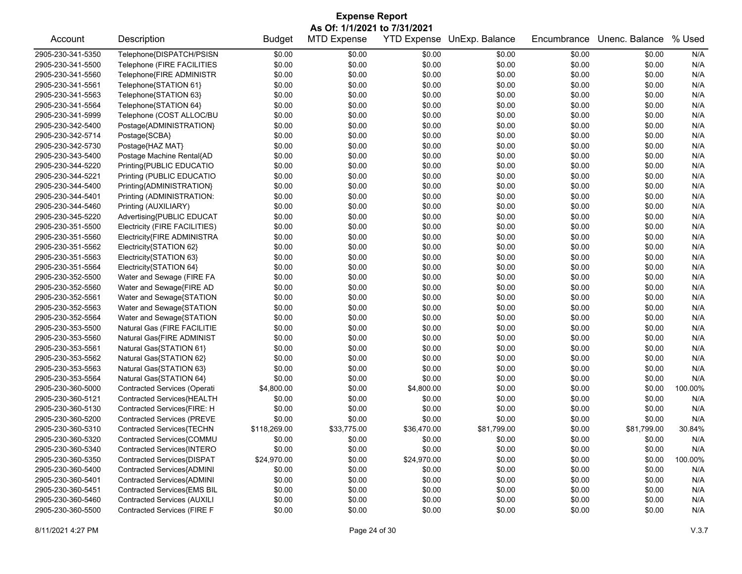| <b>Expense Report</b>        |                                     |               |                    |                    |                |             |                |         |  |
|------------------------------|-------------------------------------|---------------|--------------------|--------------------|----------------|-------------|----------------|---------|--|
| As Of: 1/1/2021 to 7/31/2021 |                                     |               |                    |                    |                |             |                |         |  |
| Account                      | Description                         | <b>Budget</b> | <b>MTD Expense</b> | <b>YTD Expense</b> | UnExp. Balance | Encumbrance | Unenc. Balance | % Used  |  |
| 2905-230-341-5350            | Telephone{DISPATCH/PSISN            | \$0.00        | \$0.00             | \$0.00             | \$0.00         | \$0.00      | \$0.00         | N/A     |  |
| 2905-230-341-5500            | Telephone (FIRE FACILITIES          | \$0.00        | \$0.00             | \$0.00             | \$0.00         | \$0.00      | \$0.00         | N/A     |  |
| 2905-230-341-5560            | Telephone{FIRE ADMINISTR            | \$0.00        | \$0.00             | \$0.00             | \$0.00         | \$0.00      | \$0.00         | N/A     |  |
| 2905-230-341-5561            | Telephone{STATION 61}               | \$0.00        | \$0.00             | \$0.00             | \$0.00         | \$0.00      | \$0.00         | N/A     |  |
| 2905-230-341-5563            | Telephone{STATION 63}               | \$0.00        | \$0.00             | \$0.00             | \$0.00         | \$0.00      | \$0.00         | N/A     |  |
| 2905-230-341-5564            | Telephone{STATION 64}               | \$0.00        | \$0.00             | \$0.00             | \$0.00         | \$0.00      | \$0.00         | N/A     |  |
| 2905-230-341-5999            | Telephone (COST ALLOC/BU            | \$0.00        | \$0.00             | \$0.00             | \$0.00         | \$0.00      | \$0.00         | N/A     |  |
| 2905-230-342-5400            | Postage{ADMINISTRATION}             | \$0.00        | \$0.00             | \$0.00             | \$0.00         | \$0.00      | \$0.00         | N/A     |  |
| 2905-230-342-5714            | Postage{SCBA}                       | \$0.00        | \$0.00             | \$0.00             | \$0.00         | \$0.00      | \$0.00         | N/A     |  |
| 2905-230-342-5730            | Postage{HAZ MAT}                    | \$0.00        | \$0.00             | \$0.00             | \$0.00         | \$0.00      | \$0.00         | N/A     |  |
| 2905-230-343-5400            | Postage Machine Rental{AD           | \$0.00        | \$0.00             | \$0.00             | \$0.00         | \$0.00      | \$0.00         | N/A     |  |
| 2905-230-344-5220            | Printing{PUBLIC EDUCATIO            | \$0.00        | \$0.00             | \$0.00             | \$0.00         | \$0.00      | \$0.00         | N/A     |  |
| 2905-230-344-5221            | Printing (PUBLIC EDUCATIO           | \$0.00        | \$0.00             | \$0.00             | \$0.00         | \$0.00      | \$0.00         | N/A     |  |
| 2905-230-344-5400            | Printing{ADMINISTRATION}            | \$0.00        | \$0.00             | \$0.00             | \$0.00         | \$0.00      | \$0.00         | N/A     |  |
| 2905-230-344-5401            | Printing (ADMINISTRATION:           | \$0.00        | \$0.00             | \$0.00             | \$0.00         | \$0.00      | \$0.00         | N/A     |  |
| 2905-230-344-5460            | Printing (AUXILIARY)                | \$0.00        | \$0.00             | \$0.00             | \$0.00         | \$0.00      | \$0.00         | N/A     |  |
| 2905-230-345-5220            | Advertising{PUBLIC EDUCAT           | \$0.00        | \$0.00             | \$0.00             | \$0.00         | \$0.00      | \$0.00         | N/A     |  |
| 2905-230-351-5500            | Electricity (FIRE FACILITIES)       | \$0.00        | \$0.00             | \$0.00             | \$0.00         | \$0.00      | \$0.00         | N/A     |  |
| 2905-230-351-5560            | Electricity{FIRE ADMINISTRA         | \$0.00        | \$0.00             | \$0.00             | \$0.00         | \$0.00      | \$0.00         | N/A     |  |
| 2905-230-351-5562            | Electricity{STATION 62}             | \$0.00        | \$0.00             | \$0.00             | \$0.00         | \$0.00      | \$0.00         | N/A     |  |
| 2905-230-351-5563            | Electricity{STATION 63}             | \$0.00        | \$0.00             | \$0.00             | \$0.00         | \$0.00      | \$0.00         | N/A     |  |
| 2905-230-351-5564            | Electricity{STATION 64}             | \$0.00        | \$0.00             | \$0.00             | \$0.00         | \$0.00      | \$0.00         | N/A     |  |
| 2905-230-352-5500            | Water and Sewage (FIRE FA           | \$0.00        | \$0.00             | \$0.00             | \$0.00         | \$0.00      | \$0.00         | N/A     |  |
| 2905-230-352-5560            | Water and Sewage{FIRE AD            | \$0.00        | \$0.00             | \$0.00             | \$0.00         | \$0.00      | \$0.00         | N/A     |  |
| 2905-230-352-5561            | Water and Sewage{STATION            | \$0.00        | \$0.00             | \$0.00             | \$0.00         | \$0.00      | \$0.00         | N/A     |  |
| 2905-230-352-5563            | Water and Sewage{STATION            | \$0.00        | \$0.00             | \$0.00             | \$0.00         | \$0.00      | \$0.00         | N/A     |  |
| 2905-230-352-5564            | Water and Sewage{STATION            | \$0.00        | \$0.00             | \$0.00             | \$0.00         | \$0.00      | \$0.00         | N/A     |  |
| 2905-230-353-5500            | Natural Gas (FIRE FACILITIE         | \$0.00        | \$0.00             | \$0.00             | \$0.00         | \$0.00      | \$0.00         | N/A     |  |
| 2905-230-353-5560            | Natural Gas{FIRE ADMINIST           | \$0.00        | \$0.00             | \$0.00             | \$0.00         | \$0.00      | \$0.00         | N/A     |  |
| 2905-230-353-5561            | Natural Gas{STATION 61}             | \$0.00        | \$0.00             | \$0.00             | \$0.00         | \$0.00      | \$0.00         | N/A     |  |
| 2905-230-353-5562            | Natural Gas{STATION 62}             | \$0.00        | \$0.00             | \$0.00             | \$0.00         | \$0.00      | \$0.00         | N/A     |  |
| 2905-230-353-5563            | Natural Gas{STATION 63}             | \$0.00        | \$0.00             | \$0.00             | \$0.00         | \$0.00      | \$0.00         | N/A     |  |
| 2905-230-353-5564            | Natural Gas{STATION 64}             | \$0.00        | \$0.00             | \$0.00             | \$0.00         | \$0.00      | \$0.00         | N/A     |  |
| 2905-230-360-5000            | <b>Contracted Services (Operati</b> | \$4,800.00    | \$0.00             | \$4,800.00         | \$0.00         | \$0.00      | \$0.00         | 100.00% |  |
| 2905-230-360-5121            | Contracted Services{HEALTH          | \$0.00        | \$0.00             | \$0.00             | \$0.00         | \$0.00      | \$0.00         | N/A     |  |
| 2905-230-360-5130            | Contracted Services{FIRE: H         | \$0.00        | \$0.00             | \$0.00             | \$0.00         | \$0.00      | \$0.00         | N/A     |  |
| 2905-230-360-5200            | <b>Contracted Services (PREVE</b>   | \$0.00        | \$0.00             | \$0.00             | \$0.00         | \$0.00      | \$0.00         | N/A     |  |
| 2905-230-360-5310            | Contracted Services{TECHN           | \$118,269.00  | \$33,775.00        | \$36,470.00        | \$81,799.00    | \$0.00      | \$81,799.00    | 30.84%  |  |
| 2905-230-360-5320            | Contracted Services{COMMU           | \$0.00        | \$0.00             | \$0.00             | \$0.00         | \$0.00      | \$0.00         | N/A     |  |
| 2905-230-360-5340            | Contracted Services{INTERO          | \$0.00        | \$0.00             | \$0.00             | \$0.00         | \$0.00      | \$0.00         | N/A     |  |
| 2905-230-360-5350            | Contracted Services{DISPAT          | \$24,970.00   | \$0.00             | \$24,970.00        | \$0.00         | \$0.00      | \$0.00         | 100.00% |  |
| 2905-230-360-5400            | Contracted Services{ADMINI          | \$0.00        | \$0.00             | \$0.00             | \$0.00         | \$0.00      | \$0.00         | N/A     |  |
| 2905-230-360-5401            | Contracted Services{ADMINI          | \$0.00        | \$0.00             | \$0.00             | \$0.00         | \$0.00      | \$0.00         | N/A     |  |
| 2905-230-360-5451            | Contracted Services{EMS BIL         | \$0.00        | \$0.00             | \$0.00             | \$0.00         | \$0.00      | \$0.00         | N/A     |  |
| 2905-230-360-5460            | <b>Contracted Services (AUXILI</b>  | \$0.00        | \$0.00             | \$0.00             | \$0.00         | \$0.00      | \$0.00         | N/A     |  |
| 2905-230-360-5500            | Contracted Services (FIRE F         | \$0.00        | \$0.00             | \$0.00             | \$0.00         | \$0.00      | \$0.00         | N/A     |  |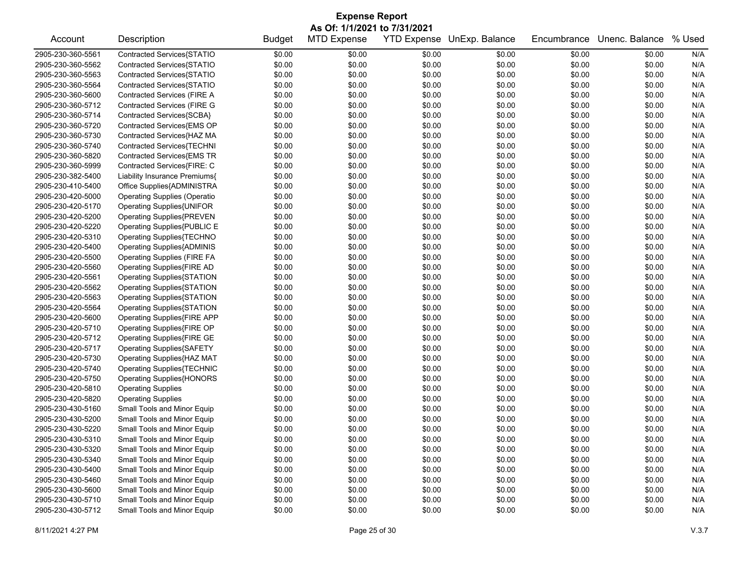|                              | <b>Expense Report</b>               |               |                    |        |                            |             |                |        |  |
|------------------------------|-------------------------------------|---------------|--------------------|--------|----------------------------|-------------|----------------|--------|--|
| As Of: 1/1/2021 to 7/31/2021 |                                     |               |                    |        |                            |             |                |        |  |
| Account                      | Description                         | <b>Budget</b> | <b>MTD Expense</b> |        | YTD Expense UnExp. Balance | Encumbrance | Unenc. Balance | % Used |  |
| 2905-230-360-5561            | Contracted Services{STATIO          | \$0.00        | \$0.00             | \$0.00 | \$0.00                     | \$0.00      | \$0.00         | N/A    |  |
| 2905-230-360-5562            | Contracted Services{STATIO          | \$0.00        | \$0.00             | \$0.00 | \$0.00                     | \$0.00      | \$0.00         | N/A    |  |
| 2905-230-360-5563            | Contracted Services{STATIO          | \$0.00        | \$0.00             | \$0.00 | \$0.00                     | \$0.00      | \$0.00         | N/A    |  |
| 2905-230-360-5564            | Contracted Services{STATIO          | \$0.00        | \$0.00             | \$0.00 | \$0.00                     | \$0.00      | \$0.00         | N/A    |  |
| 2905-230-360-5600            | Contracted Services (FIRE A         | \$0.00        | \$0.00             | \$0.00 | \$0.00                     | \$0.00      | \$0.00         | N/A    |  |
| 2905-230-360-5712            | <b>Contracted Services (FIRE G</b>  | \$0.00        | \$0.00             | \$0.00 | \$0.00                     | \$0.00      | \$0.00         | N/A    |  |
| 2905-230-360-5714            | Contracted Services{SCBA}           | \$0.00        | \$0.00             | \$0.00 | \$0.00                     | \$0.00      | \$0.00         | N/A    |  |
| 2905-230-360-5720            | Contracted Services{EMS OP          | \$0.00        | \$0.00             | \$0.00 | \$0.00                     | \$0.00      | \$0.00         | N/A    |  |
| 2905-230-360-5730            | Contracted Services{HAZ MA          | \$0.00        | \$0.00             | \$0.00 | \$0.00                     | \$0.00      | \$0.00         | N/A    |  |
| 2905-230-360-5740            | Contracted Services{TECHNI          | \$0.00        | \$0.00             | \$0.00 | \$0.00                     | \$0.00      | \$0.00         | N/A    |  |
| 2905-230-360-5820            | Contracted Services{EMS TR          | \$0.00        | \$0.00             | \$0.00 | \$0.00                     | \$0.00      | \$0.00         | N/A    |  |
| 2905-230-360-5999            | Contracted Services{FIRE: C         | \$0.00        | \$0.00             | \$0.00 | \$0.00                     | \$0.00      | \$0.00         | N/A    |  |
| 2905-230-382-5400            | Liability Insurance Premiums{       | \$0.00        | \$0.00             | \$0.00 | \$0.00                     | \$0.00      | \$0.00         | N/A    |  |
| 2905-230-410-5400            | Office Supplies{ADMINISTRA          | \$0.00        | \$0.00             | \$0.00 | \$0.00                     | \$0.00      | \$0.00         | N/A    |  |
| 2905-230-420-5000            | <b>Operating Supplies (Operatio</b> | \$0.00        | \$0.00             | \$0.00 | \$0.00                     | \$0.00      | \$0.00         | N/A    |  |
| 2905-230-420-5170            | Operating Supplies{UNIFOR           | \$0.00        | \$0.00             | \$0.00 | \$0.00                     | \$0.00      | \$0.00         | N/A    |  |
| 2905-230-420-5200            | <b>Operating Supplies{PREVEN</b>    | \$0.00        | \$0.00             | \$0.00 | \$0.00                     | \$0.00      | \$0.00         | N/A    |  |
| 2905-230-420-5220            | Operating Supplies{PUBLIC E         | \$0.00        | \$0.00             | \$0.00 | \$0.00                     | \$0.00      | \$0.00         | N/A    |  |
| 2905-230-420-5310            | Operating Supplies{TECHNO           | \$0.00        | \$0.00             | \$0.00 | \$0.00                     | \$0.00      | \$0.00         | N/A    |  |
| 2905-230-420-5400            | <b>Operating Supplies{ADMINIS</b>   | \$0.00        | \$0.00             | \$0.00 | \$0.00                     | \$0.00      | \$0.00         | N/A    |  |
| 2905-230-420-5500            | <b>Operating Supplies (FIRE FA</b>  | \$0.00        | \$0.00             | \$0.00 | \$0.00                     | \$0.00      | \$0.00         | N/A    |  |
| 2905-230-420-5560            | Operating Supplies{FIRE AD          | \$0.00        | \$0.00             | \$0.00 | \$0.00                     | \$0.00      | \$0.00         | N/A    |  |
| 2905-230-420-5561            | Operating Supplies{STATION          | \$0.00        | \$0.00             | \$0.00 | \$0.00                     | \$0.00      | \$0.00         | N/A    |  |
| 2905-230-420-5562            | <b>Operating Supplies{STATION</b>   | \$0.00        | \$0.00             | \$0.00 | \$0.00                     | \$0.00      | \$0.00         | N/A    |  |
| 2905-230-420-5563            | Operating Supplies{STATION          | \$0.00        | \$0.00             | \$0.00 | \$0.00                     | \$0.00      | \$0.00         | N/A    |  |
| 2905-230-420-5564            | Operating Supplies{STATION          | \$0.00        | \$0.00             | \$0.00 | \$0.00                     | \$0.00      | \$0.00         | N/A    |  |
| 2905-230-420-5600            | Operating Supplies{FIRE APP         | \$0.00        | \$0.00             | \$0.00 | \$0.00                     | \$0.00      | \$0.00         | N/A    |  |
| 2905-230-420-5710            | Operating Supplies{FIRE OP          | \$0.00        | \$0.00             | \$0.00 | \$0.00                     | \$0.00      | \$0.00         | N/A    |  |
| 2905-230-420-5712            | Operating Supplies{FIRE GE          | \$0.00        | \$0.00             | \$0.00 | \$0.00                     | \$0.00      | \$0.00         | N/A    |  |
| 2905-230-420-5717            | <b>Operating Supplies{SAFETY</b>    | \$0.00        | \$0.00             | \$0.00 | \$0.00                     | \$0.00      | \$0.00         | N/A    |  |
| 2905-230-420-5730            | Operating Supplies{HAZ MAT          | \$0.00        | \$0.00             | \$0.00 | \$0.00                     | \$0.00      | \$0.00         | N/A    |  |
| 2905-230-420-5740            | <b>Operating Supplies{TECHNIC</b>   | \$0.00        | \$0.00             | \$0.00 | \$0.00                     | \$0.00      | \$0.00         | N/A    |  |
| 2905-230-420-5750            | <b>Operating Supplies{HONORS</b>    | \$0.00        | \$0.00             | \$0.00 | \$0.00                     | \$0.00      | \$0.00         | N/A    |  |
| 2905-230-420-5810            | <b>Operating Supplies</b>           | \$0.00        | \$0.00             | \$0.00 | \$0.00                     | \$0.00      | \$0.00         | N/A    |  |
| 2905-230-420-5820            | <b>Operating Supplies</b>           | \$0.00        | \$0.00             | \$0.00 | \$0.00                     | \$0.00      | \$0.00         | N/A    |  |
| 2905-230-430-5160            | Small Tools and Minor Equip         | \$0.00        | \$0.00             | \$0.00 | \$0.00                     | \$0.00      | \$0.00         | N/A    |  |
| 2905-230-430-5200            | Small Tools and Minor Equip         | \$0.00        | \$0.00             | \$0.00 | \$0.00                     | \$0.00      | \$0.00         | N/A    |  |
| 2905-230-430-5220            | Small Tools and Minor Equip         | \$0.00        | \$0.00             | \$0.00 | \$0.00                     | \$0.00      | \$0.00         | N/A    |  |
| 2905-230-430-5310            | Small Tools and Minor Equip         | \$0.00        | \$0.00             | \$0.00 | \$0.00                     | \$0.00      | \$0.00         | N/A    |  |
| 2905-230-430-5320            | Small Tools and Minor Equip         | \$0.00        | \$0.00             | \$0.00 | \$0.00                     | \$0.00      | \$0.00         | N/A    |  |
| 2905-230-430-5340            | Small Tools and Minor Equip         | \$0.00        | \$0.00             | \$0.00 | \$0.00                     | \$0.00      | \$0.00         | N/A    |  |
| 2905-230-430-5400            | Small Tools and Minor Equip         | \$0.00        | \$0.00             | \$0.00 | \$0.00                     | \$0.00      | \$0.00         | N/A    |  |
| 2905-230-430-5460            | Small Tools and Minor Equip         | \$0.00        | \$0.00             | \$0.00 | \$0.00                     | \$0.00      | \$0.00         | N/A    |  |
| 2905-230-430-5600            | Small Tools and Minor Equip         | \$0.00        | \$0.00             | \$0.00 | \$0.00                     | \$0.00      | \$0.00         | N/A    |  |
| 2905-230-430-5710            | Small Tools and Minor Equip         | \$0.00        | \$0.00             | \$0.00 | \$0.00                     | \$0.00      | \$0.00         | N/A    |  |
| 2905-230-430-5712            | Small Tools and Minor Equip         | \$0.00        | \$0.00             | \$0.00 | \$0.00                     | \$0.00      | \$0.00         | N/A    |  |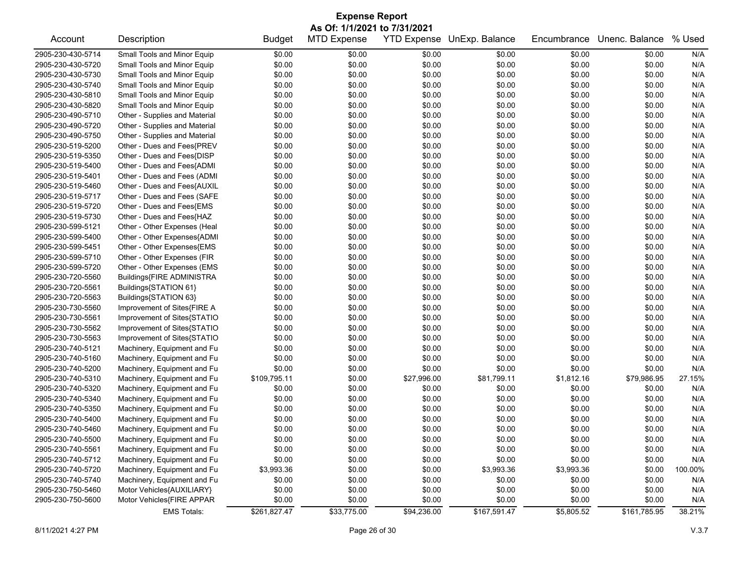|                   |                               |               | <b>Expense Report</b> |                    |                |             |                |         |
|-------------------|-------------------------------|---------------|-----------------------|--------------------|----------------|-------------|----------------|---------|
|                   | As Of: 1/1/2021 to 7/31/2021  |               |                       |                    |                |             |                |         |
| Account           | Description                   | <b>Budget</b> | <b>MTD Expense</b>    | <b>YTD Expense</b> | UnExp. Balance | Encumbrance | Unenc. Balance | % Used  |
| 2905-230-430-5714 | Small Tools and Minor Equip   | \$0.00        | \$0.00                | \$0.00             | \$0.00         | \$0.00      | \$0.00         | N/A     |
| 2905-230-430-5720 | Small Tools and Minor Equip   | \$0.00        | \$0.00                | \$0.00             | \$0.00         | \$0.00      | \$0.00         | N/A     |
| 2905-230-430-5730 | Small Tools and Minor Equip   | \$0.00        | \$0.00                | \$0.00             | \$0.00         | \$0.00      | \$0.00         | N/A     |
| 2905-230-430-5740 | Small Tools and Minor Equip   | \$0.00        | \$0.00                | \$0.00             | \$0.00         | \$0.00      | \$0.00         | N/A     |
| 2905-230-430-5810 | Small Tools and Minor Equip   | \$0.00        | \$0.00                | \$0.00             | \$0.00         | \$0.00      | \$0.00         | N/A     |
| 2905-230-430-5820 | Small Tools and Minor Equip   | \$0.00        | \$0.00                | \$0.00             | \$0.00         | \$0.00      | \$0.00         | N/A     |
| 2905-230-490-5710 | Other - Supplies and Material | \$0.00        | \$0.00                | \$0.00             | \$0.00         | \$0.00      | \$0.00         | N/A     |
| 2905-230-490-5720 | Other - Supplies and Material | \$0.00        | \$0.00                | \$0.00             | \$0.00         | \$0.00      | \$0.00         | N/A     |
| 2905-230-490-5750 | Other - Supplies and Material | \$0.00        | \$0.00                | \$0.00             | \$0.00         | \$0.00      | \$0.00         | N/A     |
| 2905-230-519-5200 | Other - Dues and Fees{PREV    | \$0.00        | \$0.00                | \$0.00             | \$0.00         | \$0.00      | \$0.00         | N/A     |
| 2905-230-519-5350 | Other - Dues and Fees{DISP    | \$0.00        | \$0.00                | \$0.00             | \$0.00         | \$0.00      | \$0.00         | N/A     |
| 2905-230-519-5400 | Other - Dues and Fees{ADMI    | \$0.00        | \$0.00                | \$0.00             | \$0.00         | \$0.00      | \$0.00         | N/A     |
| 2905-230-519-5401 | Other - Dues and Fees (ADMI   | \$0.00        | \$0.00                | \$0.00             | \$0.00         | \$0.00      | \$0.00         | N/A     |
| 2905-230-519-5460 | Other - Dues and Fees{AUXIL   | \$0.00        | \$0.00                | \$0.00             | \$0.00         | \$0.00      | \$0.00         | N/A     |
| 2905-230-519-5717 | Other - Dues and Fees (SAFE   | \$0.00        | \$0.00                | \$0.00             | \$0.00         | \$0.00      | \$0.00         | N/A     |
| 2905-230-519-5720 | Other - Dues and Fees{EMS     | \$0.00        | \$0.00                | \$0.00             | \$0.00         | \$0.00      | \$0.00         | N/A     |
| 2905-230-519-5730 | Other - Dues and Fees{HAZ     | \$0.00        | \$0.00                | \$0.00             | \$0.00         | \$0.00      | \$0.00         | N/A     |
| 2905-230-599-5121 | Other - Other Expenses (Heal  | \$0.00        | \$0.00                | \$0.00             | \$0.00         | \$0.00      | \$0.00         | N/A     |
| 2905-230-599-5400 | Other - Other Expenses{ADMI   | \$0.00        | \$0.00                | \$0.00             | \$0.00         | \$0.00      | \$0.00         | N/A     |
| 2905-230-599-5451 | Other - Other Expenses{EMS    | \$0.00        | \$0.00                | \$0.00             | \$0.00         | \$0.00      | \$0.00         | N/A     |
| 2905-230-599-5710 | Other - Other Expenses (FIR   | \$0.00        | \$0.00                | \$0.00             | \$0.00         | \$0.00      | \$0.00         | N/A     |
| 2905-230-599-5720 | Other - Other Expenses (EMS   | \$0.00        | \$0.00                | \$0.00             | \$0.00         | \$0.00      | \$0.00         | N/A     |
| 2905-230-720-5560 | Buildings{FIRE ADMINISTRA     | \$0.00        | \$0.00                | \$0.00             | \$0.00         | \$0.00      | \$0.00         | N/A     |
| 2905-230-720-5561 | Buildings{STATION 61}         | \$0.00        | \$0.00                | \$0.00             | \$0.00         | \$0.00      | \$0.00         | N/A     |
| 2905-230-720-5563 | Buildings{STATION 63}         | \$0.00        | \$0.00                | \$0.00             | \$0.00         | \$0.00      | \$0.00         | N/A     |
| 2905-230-730-5560 | Improvement of Sites{FIRE A   | \$0.00        | \$0.00                | \$0.00             | \$0.00         | \$0.00      | \$0.00         | N/A     |
| 2905-230-730-5561 | Improvement of Sites{STATIO   | \$0.00        | \$0.00                | \$0.00             | \$0.00         | \$0.00      | \$0.00         | N/A     |
| 2905-230-730-5562 | Improvement of Sites{STATIO   | \$0.00        | \$0.00                | \$0.00             | \$0.00         | \$0.00      | \$0.00         | N/A     |
| 2905-230-730-5563 | Improvement of Sites{STATIO   | \$0.00        | \$0.00                | \$0.00             | \$0.00         | \$0.00      | \$0.00         | N/A     |
| 2905-230-740-5121 | Machinery, Equipment and Fu   | \$0.00        | \$0.00                | \$0.00             | \$0.00         | \$0.00      | \$0.00         | N/A     |
| 2905-230-740-5160 | Machinery, Equipment and Fu   | \$0.00        | \$0.00                | \$0.00             | \$0.00         | \$0.00      | \$0.00         | N/A     |
| 2905-230-740-5200 | Machinery, Equipment and Fu   | \$0.00        | \$0.00                | \$0.00             | \$0.00         | \$0.00      | \$0.00         | N/A     |
| 2905-230-740-5310 | Machinery, Equipment and Fu   | \$109,795.11  | \$0.00                | \$27,996.00        | \$81,799.11    | \$1,812.16  | \$79,986.95    | 27.15%  |
| 2905-230-740-5320 | Machinery, Equipment and Fu   | \$0.00        | \$0.00                | \$0.00             | \$0.00         | \$0.00      | \$0.00         | N/A     |
| 2905-230-740-5340 | Machinery, Equipment and Fu   | \$0.00        | \$0.00                | \$0.00             | \$0.00         | \$0.00      | \$0.00         | N/A     |
| 2905-230-740-5350 | Machinery, Equipment and Fu   | \$0.00        | \$0.00                | \$0.00             | \$0.00         | \$0.00      | \$0.00         | N/A     |
| 2905-230-740-5400 | Machinery, Equipment and Fu   | \$0.00        | \$0.00                | \$0.00             | \$0.00         | \$0.00      | \$0.00         | N/A     |
| 2905-230-740-5460 | Machinery, Equipment and Fu   | \$0.00        | \$0.00                | \$0.00             | \$0.00         | \$0.00      | \$0.00         | N/A     |
| 2905-230-740-5500 | Machinery, Equipment and Fu   | \$0.00        | \$0.00                | \$0.00             | \$0.00         | \$0.00      | \$0.00         | N/A     |
| 2905-230-740-5561 | Machinery, Equipment and Fu   | \$0.00        | \$0.00                | \$0.00             | \$0.00         | \$0.00      | \$0.00         | N/A     |
| 2905-230-740-5712 | Machinery, Equipment and Fu   | \$0.00        | \$0.00                | \$0.00             | \$0.00         | \$0.00      | \$0.00         | N/A     |
| 2905-230-740-5720 | Machinery, Equipment and Fu   | \$3,993.36    | \$0.00                | \$0.00             | \$3,993.36     | \$3,993.36  | \$0.00         | 100.00% |
| 2905-230-740-5740 | Machinery, Equipment and Fu   | \$0.00        | \$0.00                | \$0.00             | \$0.00         | \$0.00      | \$0.00         | N/A     |
| 2905-230-750-5460 | Motor Vehicles{AUXILIARY}     | \$0.00        | \$0.00                | \$0.00             | \$0.00         | \$0.00      | \$0.00         | N/A     |
| 2905-230-750-5600 | Motor Vehicles{FIRE APPAR     | \$0.00        | \$0.00                | \$0.00             | \$0.00         | \$0.00      | \$0.00         | N/A     |
|                   | <b>EMS Totals:</b>            | \$261,827.47  | \$33,775.00           | \$94,236.00        | \$167,591.47   | \$5,805.52  | \$161,785.95   | 38.21%  |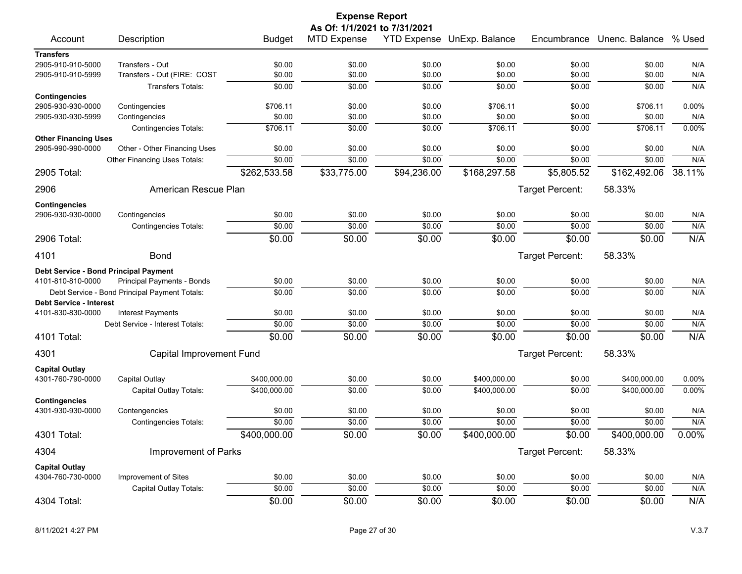|                                                  |                                               |                            | <b>Expense Report</b>        |                  |                            |                  |                       |            |
|--------------------------------------------------|-----------------------------------------------|----------------------------|------------------------------|------------------|----------------------------|------------------|-----------------------|------------|
|                                                  |                                               |                            | As Of: 1/1/2021 to 7/31/2021 |                  | YTD Expense UnExp. Balance | Encumbrance      | Unenc. Balance % Used |            |
| Account                                          | Description                                   | <b>Budget</b>              | <b>MTD Expense</b>           |                  |                            |                  |                       |            |
| <b>Transfers</b><br>2905-910-910-5000            | Transfers - Out                               | \$0.00                     | \$0.00                       | \$0.00           | \$0.00                     | \$0.00           | \$0.00                | N/A        |
| 2905-910-910-5999                                | Transfers - Out (FIRE: COST                   | \$0.00                     | \$0.00                       | \$0.00           | \$0.00                     | \$0.00           | \$0.00                | N/A        |
|                                                  | Transfers Totals:                             | \$0.00                     | \$0.00                       | \$0.00           | \$0.00                     | \$0.00           | \$0.00                | N/A        |
| <b>Contingencies</b>                             |                                               |                            |                              |                  |                            |                  |                       |            |
| 2905-930-930-0000                                | Contingencies                                 | \$706.11                   | \$0.00                       | \$0.00           | \$706.11                   | \$0.00           | \$706.11              | 0.00%      |
| 2905-930-930-5999                                | Contingencies                                 | \$0.00                     | \$0.00                       | \$0.00           | \$0.00                     | \$0.00           | \$0.00                | N/A        |
|                                                  | <b>Contingencies Totals:</b>                  | \$706.11                   | \$0.00                       | \$0.00           | \$706.11                   | \$0.00           | \$706.11              | 0.00%      |
| <b>Other Financing Uses</b><br>2905-990-990-0000 | Other - Other Financing Uses                  | \$0.00                     | \$0.00                       | \$0.00           | \$0.00                     | \$0.00           | \$0.00                | N/A        |
|                                                  | Other Financing Uses Totals:                  | \$0.00                     | \$0.00                       | \$0.00           | \$0.00                     | \$0.00           | \$0.00                | N/A        |
| 2905 Total:                                      |                                               | \$262,533.58               | \$33,775.00                  | \$94,236.00      | \$168,297.58               | \$5,805.52       | \$162,492.06          | 38.11%     |
|                                                  |                                               |                            |                              |                  |                            |                  |                       |            |
| 2906                                             | American Rescue Plan                          |                            |                              |                  |                            | Target Percent:  | 58.33%                |            |
| <b>Contingencies</b>                             |                                               |                            |                              |                  |                            |                  |                       |            |
| 2906-930-930-0000                                | Contingencies                                 | \$0.00                     | \$0.00                       | \$0.00           | \$0.00                     | \$0.00           | \$0.00                | N/A        |
|                                                  | <b>Contingencies Totals:</b>                  | \$0.00                     | \$0.00                       | \$0.00           | \$0.00                     | \$0.00           | \$0.00                | N/A        |
| 2906 Total:                                      |                                               | \$0.00                     | \$0.00                       | \$0.00           | \$0.00                     | \$0.00           | \$0.00                | N/A        |
| 4101                                             | <b>Bond</b>                                   |                            |                              |                  |                            | Target Percent:  | 58.33%                |            |
| Debt Service - Bond Principal Payment            |                                               |                            |                              |                  |                            |                  |                       |            |
| 4101-810-810-0000                                | Principal Payments - Bonds                    | \$0.00                     | \$0.00                       | \$0.00           | \$0.00                     | \$0.00           | \$0.00                | N/A        |
|                                                  | Debt Service - Bond Principal Payment Totals: | \$0.00                     | \$0.00                       | \$0.00           | \$0.00                     | \$0.00           | \$0.00                | N/A        |
| <b>Debt Service - Interest</b>                   |                                               |                            |                              |                  |                            |                  |                       |            |
| 4101-830-830-0000                                | <b>Interest Payments</b>                      | \$0.00                     | \$0.00                       | \$0.00           | \$0.00                     | \$0.00           | \$0.00                | N/A        |
|                                                  | Debt Service - Interest Totals:               | \$0.00                     | \$0.00                       | \$0.00           | \$0.00                     | \$0.00           | \$0.00                | N/A        |
| 4101 Total:                                      |                                               | \$0.00                     | \$0.00                       | \$0.00           | \$0.00                     | \$0.00           | \$0.00                | N/A        |
| 4301                                             | Capital Improvement Fund                      |                            |                              |                  |                            | Target Percent:  | 58.33%                |            |
| <b>Capital Outlay</b>                            |                                               |                            |                              |                  |                            |                  |                       |            |
| 4301-760-790-0000                                | Capital Outlay                                | \$400,000.00               | \$0.00                       | \$0.00           | \$400,000.00               | \$0.00           | \$400,000.00          | 0.00%      |
|                                                  | Capital Outlay Totals:                        | \$400,000.00               | \$0.00                       | \$0.00           | \$400,000.00               | \$0.00           | \$400,000.00          | 0.00%      |
| <b>Contingencies</b>                             |                                               |                            |                              |                  |                            |                  |                       |            |
| 4301-930-930-0000                                | Contengencies                                 | \$0.00<br>$\frac{1}{0000}$ | \$0.00<br>\$0.00             | \$0.00<br>\$0.00 | \$0.00<br>\$0.00           | \$0.00<br>\$0.00 | \$0.00<br>\$0.00      | N/A<br>N/A |
|                                                  | <b>Contingencies Totals:</b>                  |                            |                              |                  |                            |                  |                       | 0.00%      |
| 4301 Total:                                      |                                               | \$400,000.00               | \$0.00                       | \$0.00           | \$400,000.00               | \$0.00           | \$400,000.00          |            |
| 4304                                             | Improvement of Parks                          |                            |                              |                  |                            | Target Percent:  | 58.33%                |            |
| <b>Capital Outlay</b>                            |                                               |                            |                              |                  |                            |                  |                       |            |
| 4304-760-730-0000                                | Improvement of Sites                          | \$0.00                     | \$0.00                       | \$0.00           | \$0.00                     | \$0.00           | \$0.00                | N/A        |
|                                                  | Capital Outlay Totals:                        | \$0.00                     | \$0.00                       | \$0.00           | \$0.00                     | \$0.00           | \$0.00                | N/A        |
| 4304 Total:                                      |                                               | \$0.00                     | \$0.00                       | \$0.00           | \$0.00                     | \$0.00           | \$0.00                | N/A        |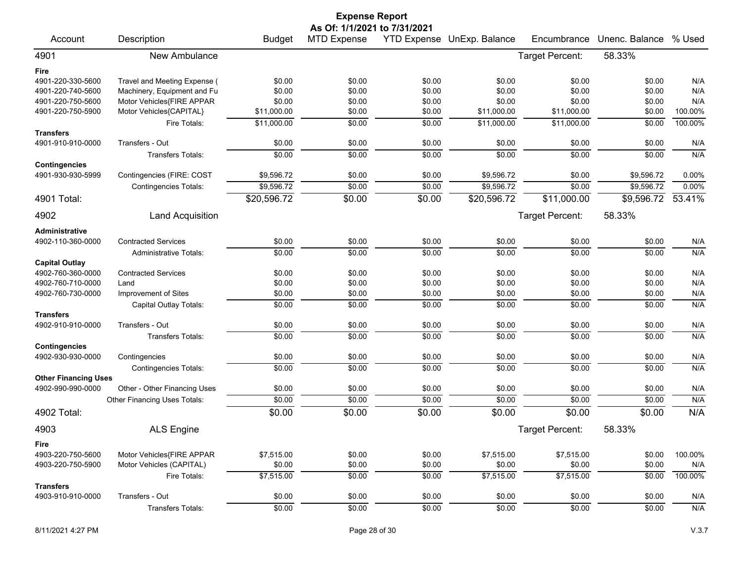| <b>Expense Report</b>                 |                               |               |                              |        |                            |                 |                |         |
|---------------------------------------|-------------------------------|---------------|------------------------------|--------|----------------------------|-----------------|----------------|---------|
|                                       |                               |               | As Of: 1/1/2021 to 7/31/2021 |        |                            |                 |                |         |
| Account                               | Description                   | <b>Budget</b> | <b>MTD Expense</b>           |        | YTD Expense UnExp. Balance | Encumbrance     | Unenc. Balance | % Used  |
| 4901                                  | New Ambulance                 |               |                              |        |                            | Target Percent: | 58.33%         |         |
| Fire                                  |                               |               |                              |        |                            |                 |                |         |
| 4901-220-330-5600                     | Travel and Meeting Expense (  | \$0.00        | \$0.00                       | \$0.00 | \$0.00                     | \$0.00          | \$0.00         | N/A     |
| 4901-220-740-5600                     | Machinery, Equipment and Fu   | \$0.00        | \$0.00                       | \$0.00 | \$0.00                     | \$0.00          | \$0.00         | N/A     |
| 4901-220-750-5600                     | Motor Vehicles{FIRE APPAR     | \$0.00        | \$0.00                       | \$0.00 | \$0.00                     | \$0.00          | \$0.00         | N/A     |
| 4901-220-750-5900                     | Motor Vehicles{CAPITAL}       | \$11,000.00   | \$0.00                       | \$0.00 | \$11,000.00                | \$11,000.00     | \$0.00         | 100.00% |
|                                       | Fire Totals:                  | \$11,000.00   | \$0.00                       | \$0.00 | \$11,000.00                | \$11,000.00     | \$0.00         | 100.00% |
| <b>Transfers</b>                      |                               |               |                              |        |                            |                 |                |         |
| 4901-910-910-0000                     | Transfers - Out               | \$0.00        | \$0.00                       | \$0.00 | \$0.00                     | \$0.00          | \$0.00         | N/A     |
|                                       | <b>Transfers Totals:</b>      | \$0.00        | \$0.00                       | \$0.00 | \$0.00                     | \$0.00          | \$0.00         | N/A     |
| <b>Contingencies</b>                  |                               |               |                              |        |                            |                 |                |         |
| 4901-930-930-5999                     | Contingencies (FIRE: COST     | \$9,596.72    | \$0.00                       | \$0.00 | \$9,596.72                 | \$0.00          | \$9,596.72     | 0.00%   |
|                                       | <b>Contingencies Totals:</b>  | \$9,596.72    | \$0.00                       | \$0.00 | \$9,596.72                 | \$0.00          | \$9,596.72     | 0.00%   |
| 4901 Total:                           |                               | \$20,596.72   | \$0.00                       | \$0.00 | \$20,596.72                | \$11,000.00     | \$9,596.72     | 53.41%  |
| 4902                                  | <b>Land Acquisition</b>       |               |                              |        |                            | Target Percent: | 58.33%         |         |
| Administrative                        |                               |               |                              |        |                            |                 |                |         |
| 4902-110-360-0000                     | <b>Contracted Services</b>    | \$0.00        | \$0.00                       | \$0.00 | \$0.00                     | \$0.00          | \$0.00         | N/A     |
|                                       | <b>Administrative Totals:</b> | \$0.00        | \$0.00                       | \$0.00 | \$0.00                     | \$0.00          | \$0.00         | N/A     |
| <b>Capital Outlay</b>                 |                               |               |                              |        |                            |                 |                |         |
| 4902-760-360-0000                     | <b>Contracted Services</b>    | \$0.00        | \$0.00                       | \$0.00 | \$0.00                     | \$0.00          | \$0.00         | N/A     |
| 4902-760-710-0000                     | Land                          | \$0.00        | \$0.00                       | \$0.00 | \$0.00                     | \$0.00          | \$0.00         | N/A     |
| 4902-760-730-0000                     | Improvement of Sites          | \$0.00        | \$0.00                       | \$0.00 | \$0.00                     | \$0.00          | \$0.00         | N/A     |
|                                       | Capital Outlay Totals:        | \$0.00        | \$0.00                       | \$0.00 | \$0.00                     | \$0.00          | \$0.00         | N/A     |
| <b>Transfers</b>                      |                               |               |                              |        |                            |                 |                |         |
| 4902-910-910-0000                     | Transfers - Out               | \$0.00        | \$0.00                       | \$0.00 | \$0.00                     | \$0.00          | \$0.00         | N/A     |
|                                       | <b>Transfers Totals:</b>      | \$0.00        | \$0.00                       | \$0.00 | \$0.00                     | \$0.00          | \$0.00         | N/A     |
| <b>Contingencies</b>                  |                               |               |                              |        |                            |                 |                |         |
| 4902-930-930-0000                     | Contingencies                 | \$0.00        | \$0.00                       | \$0.00 | \$0.00                     | \$0.00          | \$0.00         | N/A     |
|                                       | <b>Contingencies Totals:</b>  | \$0.00        | \$0.00                       | \$0.00 | \$0.00                     | \$0.00          | \$0.00         | N/A     |
| <b>Other Financing Uses</b>           |                               |               |                              |        |                            |                 |                |         |
| 4902-990-990-0000                     | Other - Other Financing Uses  | \$0.00        | \$0.00                       | \$0.00 | \$0.00                     | \$0.00          | \$0.00         | N/A     |
|                                       | Other Financing Uses Totals:  | \$0.00        | \$0.00                       | \$0.00 | \$0.00                     | \$0.00          | \$0.00         | N/A     |
| 4902 Total:                           |                               | \$0.00        | \$0.00                       | \$0.00 | \$0.00                     | \$0.00          | \$0.00         | N/A     |
| 4903                                  | ALS Engine                    |               |                              |        |                            | Target Percent: | 58.33%         |         |
| Fire                                  |                               |               |                              |        |                            |                 |                |         |
| 4903-220-750-5600                     | Motor Vehicles{FIRE APPAR     | \$7,515.00    | \$0.00                       | \$0.00 | \$7,515.00                 | \$7,515.00      | \$0.00         | 100.00% |
| 4903-220-750-5900                     | Motor Vehicles (CAPITAL)      | \$0.00        | \$0.00                       | \$0.00 | \$0.00                     | \$0.00          | \$0.00         | N/A     |
|                                       | Fire Totals:                  | \$7,515.00    | \$0.00                       | \$0.00 | \$7,515.00                 | \$7,515.00      | \$0.00         | 100.00% |
| <b>Transfers</b><br>4903-910-910-0000 | Transfers - Out               | \$0.00        | \$0.00                       | \$0.00 | \$0.00                     | \$0.00          | \$0.00         | N/A     |
|                                       | Transfers Totals:             | \$0.00        | \$0.00                       | \$0.00 | \$0.00                     | \$0.00          |                |         |
|                                       |                               |               |                              |        |                            |                 | \$0.00         | N/A     |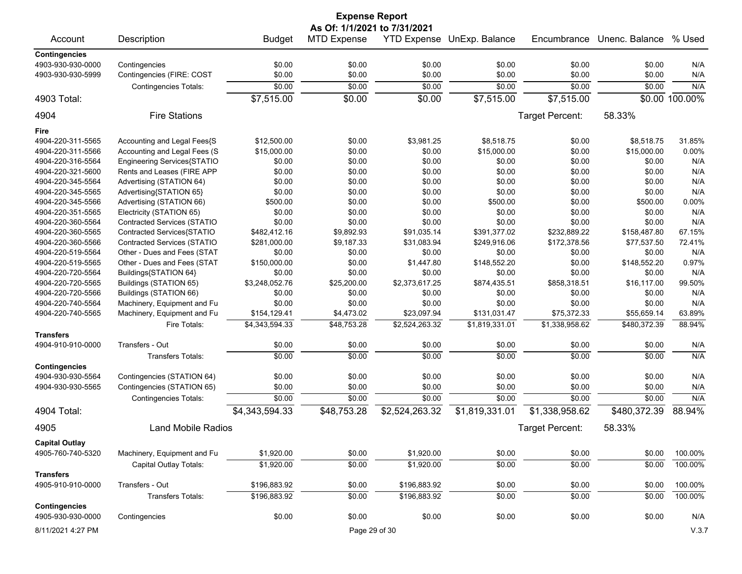| <b>Expense Report</b>        |                              |                |                    |                |                            |                 |                |                |  |
|------------------------------|------------------------------|----------------|--------------------|----------------|----------------------------|-----------------|----------------|----------------|--|
| As Of: 1/1/2021 to 7/31/2021 |                              |                |                    |                |                            |                 |                |                |  |
| Account                      | Description                  | <b>Budget</b>  | <b>MTD Expense</b> |                | YTD Expense UnExp. Balance | Encumbrance     | Unenc. Balance | % Used         |  |
| <b>Contingencies</b>         |                              |                |                    |                |                            |                 |                |                |  |
| 4903-930-930-0000            | Contingencies                | \$0.00         | \$0.00             | \$0.00         | \$0.00                     | \$0.00          | \$0.00         | N/A            |  |
| 4903-930-930-5999            | Contingencies (FIRE: COST    | \$0.00         | \$0.00             | \$0.00         | \$0.00                     | \$0.00          | \$0.00         | N/A            |  |
|                              | <b>Contingencies Totals:</b> | \$0.00         | \$0.00             | \$0.00         | \$0.00                     | \$0.00          | \$0.00         | N/A            |  |
| 4903 Total:                  |                              | \$7,515.00     | \$0.00             | \$0.00         | \$7,515.00                 | \$7,515.00      |                | \$0.00 100.00% |  |
| 4904                         | <b>Fire Stations</b>         |                |                    |                |                            | Target Percent: | 58.33%         |                |  |
| <b>Fire</b>                  |                              |                |                    |                |                            |                 |                |                |  |
| 4904-220-311-5565            | Accounting and Legal Fees{S  | \$12,500.00    | \$0.00             | \$3,981.25     | \$8,518.75                 | \$0.00          | \$8,518.75     | 31.85%         |  |
| 4904-220-311-5566            | Accounting and Legal Fees (S | \$15,000.00    | \$0.00             | \$0.00         | \$15,000.00                | \$0.00          | \$15,000.00    | 0.00%          |  |
| 4904-220-316-5564            | Engineering Services{STATIO  | \$0.00         | \$0.00             | \$0.00         | \$0.00                     | \$0.00          | \$0.00         | N/A            |  |
| 4904-220-321-5600            | Rents and Leases (FIRE APP   | \$0.00         | \$0.00             | \$0.00         | \$0.00                     | \$0.00          | \$0.00         | N/A            |  |
|                              |                              |                |                    |                |                            |                 |                | N/A            |  |
| 4904-220-345-5564            | Advertising (STATION 64)     | \$0.00         | \$0.00             | \$0.00         | \$0.00                     | \$0.00          | \$0.00         |                |  |
| 4904-220-345-5565            | Advertising{STATION 65}      | \$0.00         | \$0.00             | \$0.00         | \$0.00                     | \$0.00          | \$0.00         | N/A            |  |
| 4904-220-345-5566            | Advertising (STATION 66)     | \$500.00       | \$0.00             | \$0.00         | \$500.00                   | \$0.00          | \$500.00       | 0.00%          |  |
| 4904-220-351-5565            | Electricity (STATION 65)     | \$0.00         | \$0.00             | \$0.00         | \$0.00                     | \$0.00          | \$0.00         | N/A            |  |
| 4904-220-360-5564            | Contracted Services (STATIO  | \$0.00         | \$0.00             | \$0.00         | \$0.00                     | \$0.00          | \$0.00         | N/A            |  |
| 4904-220-360-5565            | Contracted Services{STATIO   | \$482,412.16   | \$9,892.93         | \$91,035.14    | \$391,377.02               | \$232,889.22    | \$158,487.80   | 67.15%         |  |
| 4904-220-360-5566            | Contracted Services (STATIO  | \$281,000.00   | \$9,187.33         | \$31,083.94    | \$249,916.06               | \$172,378.56    | \$77,537.50    | 72.41%         |  |
| 4904-220-519-5564            | Other - Dues and Fees (STAT  | \$0.00         | \$0.00             | \$0.00         | \$0.00                     | \$0.00          | \$0.00         | N/A            |  |
| 4904-220-519-5565            | Other - Dues and Fees (STAT  | \$150,000.00   | \$0.00             | \$1,447.80     | \$148,552.20               | \$0.00          | \$148,552.20   | 0.97%          |  |
| 4904-220-720-5564            | Buildings{STATION 64}        | \$0.00         | \$0.00             | \$0.00         | \$0.00                     | \$0.00          | \$0.00         | N/A            |  |
| 4904-220-720-5565            | Buildings (STATION 65)       | \$3,248,052.76 | \$25,200.00        | \$2,373,617.25 | \$874,435.51               | \$858,318.51    | \$16,117.00    | 99.50%         |  |
| 4904-220-720-5566            | Buildings (STATION 66)       | \$0.00         | \$0.00             | \$0.00         | \$0.00                     | \$0.00          | \$0.00         | N/A            |  |
| 4904-220-740-5564            | Machinery, Equipment and Fu  | \$0.00         | \$0.00             | \$0.00         | \$0.00                     | \$0.00          | \$0.00         | N/A            |  |
| 4904-220-740-5565            | Machinery, Equipment and Fu  | \$154,129.41   | \$4,473.02         | \$23,097.94    | \$131,031.47               | \$75,372.33     | \$55,659.14    | 63.89%         |  |
|                              | Fire Totals:                 | \$4,343,594.33 | \$48,753.28        | \$2,524,263.32 | \$1,819,331.01             | \$1,338,958.62  | \$480,372.39   | 88.94%         |  |
| <b>Transfers</b>             |                              |                |                    |                |                            |                 |                |                |  |
| 4904-910-910-0000            | Transfers - Out              | \$0.00         | \$0.00             | \$0.00         | \$0.00                     | \$0.00          | \$0.00         | N/A            |  |
|                              | <b>Transfers Totals:</b>     | \$0.00         | \$0.00             | \$0.00         | \$0.00                     | \$0.00          | \$0.00         | N/A            |  |
| <b>Contingencies</b>         |                              |                |                    |                |                            |                 |                |                |  |
| 4904-930-930-5564            | Contingencies (STATION 64)   | \$0.00         | \$0.00             | \$0.00         | \$0.00                     | \$0.00          | \$0.00         | N/A            |  |
| 4904-930-930-5565            | Contingencies (STATION 65)   | \$0.00         | \$0.00             | \$0.00         | \$0.00                     | \$0.00          | \$0.00         | N/A            |  |
|                              | <b>Contingencies Totals:</b> | \$0.00         | \$0.00             | \$0.00         | \$0.00                     | \$0.00          | \$0.00         | N/A            |  |
| 4904 Total:                  |                              | \$4,343,594.33 | \$48,753.28        | \$2,524,263.32 | \$1,819,331.01             | \$1,338,958.62  | \$480,372.39   | 88.94%         |  |
| 4905                         | <b>Land Mobile Radios</b>    |                |                    |                |                            | Target Percent: | 58.33%         |                |  |
| <b>Capital Outlay</b>        |                              |                |                    |                |                            |                 |                |                |  |
| 4905-760-740-5320            | Machinery, Equipment and Fu  | \$1,920.00     | \$0.00             | \$1,920.00     | \$0.00                     | \$0.00          | \$0.00         | 100.00%        |  |
|                              | Capital Outlay Totals:       | \$1,920.00     | \$0.00             | \$1,920.00     | \$0.00                     | \$0.00          | \$0.00         | 100.00%        |  |
| <b>Transfers</b>             |                              |                |                    |                |                            |                 |                |                |  |
| 4905-910-910-0000            | Transfers - Out              | \$196,883.92   | \$0.00             | \$196,883.92   | \$0.00                     | \$0.00          | \$0.00         | 100.00%        |  |
|                              | Transfers Totals:            | \$196,883.92   | \$0.00             | \$196,883.92   | \$0.00                     | \$0.00          | \$0.00         | 100.00%        |  |
| <b>Contingencies</b>         |                              |                |                    |                |                            |                 |                |                |  |
| 4905-930-930-0000            | Contingencies                | \$0.00         | \$0.00             | \$0.00         | \$0.00                     | \$0.00          | \$0.00         | N/A            |  |
|                              |                              |                |                    |                |                            |                 |                |                |  |
| 8/11/2021 4:27 PM            |                              |                |                    | Page 29 of 30  |                            |                 |                | V.3.7          |  |